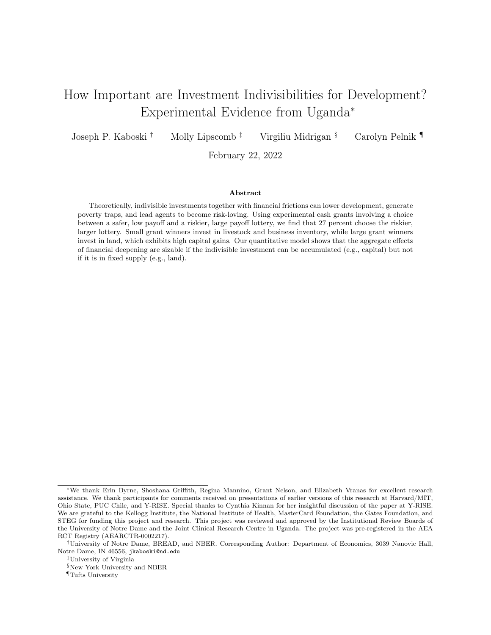# How Important are Investment Indivisibilities for Development? Experimental Evidence from Uganda<sup>∗</sup>

Joseph P. Kaboski † Molly Lipscomb ‡ Virgiliu Midrigan § Carolyn Pelnik ¶

February 22, 2022

#### Abstract

Theoretically, indivisible investments together with financial frictions can lower development, generate poverty traps, and lead agents to become risk-loving. Using experimental cash grants involving a choice between a safer, low payoff and a riskier, large payoff lottery, we find that 27 percent choose the riskier, larger lottery. Small grant winners invest in livestock and business inventory, while large grant winners invest in land, which exhibits high capital gains. Our quantitative model shows that the aggregate effects of financial deepening are sizable if the indivisible investment can be accumulated (e.g., capital) but not if it is in fixed supply (e.g., land).

<sup>∗</sup>We thank Erin Byrne, Shoshana Griffith, Regina Mannino, Grant Nelson, and Elizabeth Vranas for excellent research assistance. We thank participants for comments received on presentations of earlier versions of this research at Harvard/MIT, Ohio State, PUC Chile, and Y-RISE. Special thanks to Cynthia Kinnan for her insightful discussion of the paper at Y-RISE. We are grateful to the Kellogg Institute, the National Institute of Health, MasterCard Foundation, the Gates Foundation, and STEG for funding this project and research. This project was reviewed and approved by the Institutional Review Boards of the University of Notre Dame and the Joint Clinical Research Centre in Uganda. The project was pre-registered in the AEA RCT Registry (AEARCTR-0002217).

<sup>†</sup>University of Notre Dame, BREAD, and NBER. Corresponding Author: Department of Economics, 3039 Nanovic Hall, Notre Dame, IN 46556, [jkaboski@nd.edu](mailto:jkaboski@nd.edu)

<sup>‡</sup>University of Virginia

<sup>§</sup>New York University and NBER

<sup>¶</sup>Tufts University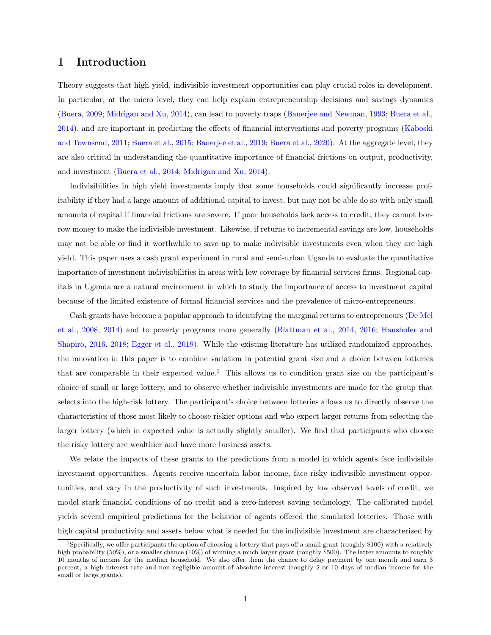## 1 Introduction

Theory suggests that high yield, indivisible investment opportunities can play crucial roles in development. In particular, at the micro level, they can help explain entrepreneurship decisions and savings dynamics [\(Buera,](#page-30-0) [2009;](#page-30-0) [Midrigan and Xu,](#page-32-0) [2014\)](#page-32-0), can lead to poverty traps [\(Banerjee and Newman,](#page-30-1) [1993;](#page-30-1) [Buera et al.,](#page-30-2) [2014\)](#page-30-2), and are important in predicting the effects of financial interventions and poverty programs [\(Kaboski](#page-31-0) [and Townsend,](#page-31-0) [2011;](#page-31-0) [Buera et al.,](#page-30-3) [2015;](#page-30-3) [Banerjee et al.,](#page-30-4) [2019;](#page-30-4) [Buera et al.,](#page-30-5) [2020\)](#page-30-5). At the aggregate level, they are also critical in understanding the quantitative importance of financial frictions on output, productivity, and investment [\(Buera et al.,](#page-30-2) [2014;](#page-30-2) [Midrigan and Xu,](#page-32-0) [2014\)](#page-32-0).

Indivisibilities in high yield investments imply that some households could significantly increase profitability if they had a large amount of additional capital to invest, but may not be able do so with only small amounts of capital if financial frictions are severe. If poor households lack access to credit, they cannot borrow money to make the indivisible investment. Likewise, if returns to incremental savings are low, households may not be able or find it worthwhile to save up to make indivisible investments even when they are high yield. This paper uses a cash grant experiment in rural and semi-urban Uganda to evaluate the quantitative importance of investment indivisibilities in areas with low coverage by financial services firms. Regional capitals in Uganda are a natural environment in which to study the importance of access to investment capital because of the limited existence of formal financial services and the prevalence of micro-entrepreneurs.

Cash grants have become a popular approach to identifying the marginal returns to entrepreneurs [\(De Mel](#page-31-1) [et al.,](#page-31-1) [2008,](#page-31-1) [2014\)](#page-31-2) and to poverty programs more generally [\(Blattman et al.,](#page-30-6) [2014,](#page-30-6) [2016;](#page-30-7) [Haushofer and](#page-31-3) [Shapiro,](#page-31-3) [2016,](#page-31-3) [2018;](#page-31-4) [Egger et al.,](#page-31-5) [2019\)](#page-31-5). While the existing literature has utilized randomized approaches, the innovation in this paper is to combine variation in potential grant size and a choice between lotteries that are comparable in their expected value.<sup>1</sup> This allows us to condition grant size on the participant's choice of small or large lottery, and to observe whether indivisible investments are made for the group that selects into the high-risk lottery. The participant's choice between lotteries allows us to directly observe the characteristics of those most likely to choose riskier options and who expect larger returns from selecting the larger lottery (which in expected value is actually slightly smaller). We find that participants who choose the risky lottery are wealthier and have more business assets.

We relate the impacts of these grants to the predictions from a model in which agents face indivisible investment opportunities. Agents receive uncertain labor income, face risky indivisible investment opportunities, and vary in the productivity of such investments. Inspired by low observed levels of credit, we model stark financial conditions of no credit and a zero-interest saving technology. The calibrated model yields several empirical predictions for the behavior of agents offered the simulated lotteries. Those with high capital productivity and assets below what is needed for the indivisible investment are characterized by

<sup>&</sup>lt;sup>1</sup>Specifically, we offer participants the option of choosing a lottery that pays off a small grant (roughly \$100) with a relatively high probability (50%), or a smaller chance (10%) of winning a much larger grant (roughly \$500). The latter amounts to roughly 10 months of income for the median household. We also offer them the chance to delay payment by one month and earn 3 percent, a high interest rate and non-negligible amount of absolute interest (roughly 2 or 10 days of median income for the small or large grants).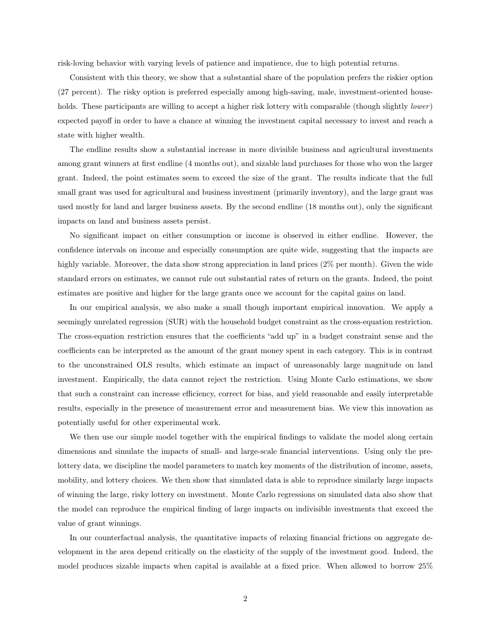risk-loving behavior with varying levels of patience and impatience, due to high potential returns.

Consistent with this theory, we show that a substantial share of the population prefers the riskier option (27 percent). The risky option is preferred especially among high-saving, male, investment-oriented households. These participants are willing to accept a higher risk lottery with comparable (though slightly lower) expected payoff in order to have a chance at winning the investment capital necessary to invest and reach a state with higher wealth.

The endline results show a substantial increase in more divisible business and agricultural investments among grant winners at first endline (4 months out), and sizable land purchases for those who won the larger grant. Indeed, the point estimates seem to exceed the size of the grant. The results indicate that the full small grant was used for agricultural and business investment (primarily inventory), and the large grant was used mostly for land and larger business assets. By the second endline (18 months out), only the significant impacts on land and business assets persist.

No significant impact on either consumption or income is observed in either endline. However, the confidence intervals on income and especially consumption are quite wide, suggesting that the impacts are highly variable. Moreover, the data show strong appreciation in land prices (2% per month). Given the wide standard errors on estimates, we cannot rule out substantial rates of return on the grants. Indeed, the point estimates are positive and higher for the large grants once we account for the capital gains on land.

In our empirical analysis, we also make a small though important empirical innovation. We apply a seemingly unrelated regression (SUR) with the household budget constraint as the cross-equation restriction. The cross-equation restriction ensures that the coefficients "add up" in a budget constraint sense and the coefficients can be interpreted as the amount of the grant money spent in each category. This is in contrast to the unconstrained OLS results, which estimate an impact of unreasonably large magnitude on land investment. Empirically, the data cannot reject the restriction. Using Monte Carlo estimations, we show that such a constraint can increase efficiency, correct for bias, and yield reasonable and easily interpretable results, especially in the presence of measurement error and measurement bias. We view this innovation as potentially useful for other experimental work.

We then use our simple model together with the empirical findings to validate the model along certain dimensions and simulate the impacts of small- and large-scale financial interventions. Using only the prelottery data, we discipline the model parameters to match key moments of the distribution of income, assets, mobility, and lottery choices. We then show that simulated data is able to reproduce similarly large impacts of winning the large, risky lottery on investment. Monte Carlo regressions on simulated data also show that the model can reproduce the empirical finding of large impacts on indivisible investments that exceed the value of grant winnings.

In our counterfactual analysis, the quantitative impacts of relaxing financial frictions on aggregate development in the area depend critically on the elasticity of the supply of the investment good. Indeed, the model produces sizable impacts when capital is available at a fixed price. When allowed to borrow 25%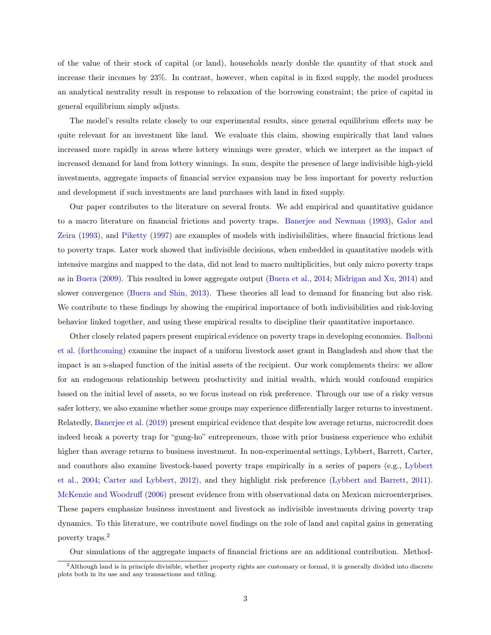of the value of their stock of capital (or land), households nearly double the quantity of that stock and increase their incomes by 23%. In contrast, however, when capital is in fixed supply, the model produces an analytical neutrality result in response to relaxation of the borrowing constraint; the price of capital in general equilibrium simply adjusts.

The model's results relate closely to our experimental results, since general equilibrium effects may be quite relevant for an investment like land. We evaluate this claim, showing empirically that land values increased more rapidly in areas where lottery winnings were greater, which we interpret as the impact of increased demand for land from lottery winnings. In sum, despite the presence of large indivisible high-yield investments, aggregate impacts of financial service expansion may be less important for poverty reduction and development if such investments are land purchases with land in fixed supply.

Our paper contributes to the literature on several fronts. We add empirical and quantitative guidance to a macro literature on financial frictions and poverty traps. [Banerjee and Newman](#page-30-1) [\(1993\)](#page-30-1), [Galor and](#page-31-6) [Zeira](#page-31-6) [\(1993\)](#page-31-6), and [Piketty](#page-32-1) [\(1997\)](#page-32-1) are examples of models with indivisibilities, where financial frictions lead to poverty traps. Later work showed that indivisible decisions, when embedded in quantitative models with intensive margins and mapped to the data, did not lead to macro multiplicities, but only micro poverty traps as in [Buera](#page-30-0) [\(2009\)](#page-30-0). This resulted in lower aggregate output [\(Buera et al.,](#page-30-2) [2014;](#page-30-2) [Midrigan and Xu,](#page-32-0) [2014\)](#page-32-0) and slower convergence [\(Buera and Shin,](#page-30-8) [2013\)](#page-30-8). These theories all lead to demand for financing but also risk. We contribute to these findings by showing the empirical importance of both indivisibilities and risk-loving behavior linked together, and using these empirical results to discipline their quantitative importance.

Other closely related papers present empirical evidence on poverty traps in developing economies. [Balboni](#page-30-9) [et al.](#page-30-9) [\(forthcoming\)](#page-30-9) examine the impact of a uniform livestock asset grant in Bangladesh and show that the impact is an s-shaped function of the initial assets of the recipient. Our work complements theirs: we allow for an endogenous relationship between productivity and initial wealth, which would confound empirics based on the initial level of assets, so we focus instead on risk preference. Through our use of a risky versus safer lottery, we also examine whether some groups may experience differentially larger returns to investment. Relatedly, [Banerjee et al.](#page-30-4) [\(2019\)](#page-30-4) present empirical evidence that despite low average returns, microcredit does indeed break a poverty trap for "gung-ho" entrepreneurs, those with prior business experience who exhibit higher than average returns to business investment. In non-experimental settings, Lybbert, Barrett, Carter, and coauthors also examine livestock-based poverty traps empirically in a series of papers (e.g., [Lybbert](#page-32-2) [et al.,](#page-32-2) [2004;](#page-32-2) [Carter and Lybbert,](#page-30-10) [2012\)](#page-30-10), and they highlight risk preference [\(Lybbert and Barrett,](#page-32-3) [2011\)](#page-32-3). [McKenzie and Woodruff](#page-32-4) [\(2006\)](#page-32-4) present evidence from with observational data on Mexican microenterprises. These papers emphasize business investment and livestock as indivisible investments driving poverty trap dynamics. To this literature, we contribute novel findings on the role of land and capital gains in generating poverty traps.<sup>2</sup>

Our simulations of the aggregate impacts of financial frictions are an additional contribution. Method-

<sup>2</sup>Although land is in principle divisible, whether property rights are customary or formal, it is generally divided into discrete plots both in its use and any transactions and titling.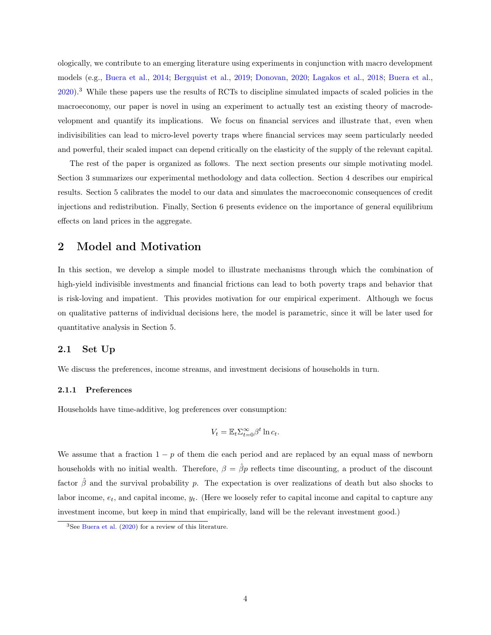ologically, we contribute to an emerging literature using experiments in conjunction with macro development models (e.g., [Buera et al.,](#page-30-2) [2014;](#page-30-2) [Bergquist et al.,](#page-30-11) [2019;](#page-30-11) [Donovan,](#page-31-7) [2020;](#page-31-7) [Lagakos et al.,](#page-31-8) [2018;](#page-31-8) [Buera et al.,](#page-30-5) [2020\)](#page-30-5).<sup>3</sup> While these papers use the results of RCTs to discipline simulated impacts of scaled policies in the macroeconomy, our paper is novel in using an experiment to actually test an existing theory of macrodevelopment and quantify its implications. We focus on financial services and illustrate that, even when indivisibilities can lead to micro-level poverty traps where financial services may seem particularly needed and powerful, their scaled impact can depend critically on the elasticity of the supply of the relevant capital.

The rest of the paper is organized as follows. The next section presents our simple motivating model. Section [3](#page-9-0) summarizes our experimental methodology and data collection. Section [4](#page-14-0) describes our empirical results. Section [5](#page-21-0) calibrates the model to our data and simulates the macroeconomic consequences of credit injections and redistribution. Finally, Section [6](#page-27-0) presents evidence on the importance of general equilibrium effects on land prices in the aggregate.

## <span id="page-4-0"></span>2 Model and Motivation

In this section, we develop a simple model to illustrate mechanisms through which the combination of high-yield indivisible investments and financial frictions can lead to both poverty traps and behavior that is risk-loving and impatient. This provides motivation for our empirical experiment. Although we focus on qualitative patterns of individual decisions here, the model is parametric, since it will be later used for quantitative analysis in Section [5.](#page-21-0)

#### 2.1 Set Up

We discuss the preferences, income streams, and investment decisions of households in turn.

#### 2.1.1 Preferences

Households have time-additive, log preferences over consumption:

$$
V_t = \mathbb{E}_t \sum_{t=0}^{\infty} \beta^t \ln c_t.
$$

We assume that a fraction  $1 - p$  of them die each period and are replaced by an equal mass of newborn households with no initial wealth. Therefore,  $\beta = \hat{\beta}p$  reflects time discounting, a product of the discount factor  $\hat{\beta}$  and the survival probability p. The expectation is over realizations of death but also shocks to labor income,  $e_t$ , and capital income,  $y_t$ . (Here we loosely refer to capital income and capital to capture any investment income, but keep in mind that empirically, land will be the relevant investment good.)

<sup>3</sup>See [Buera et al.](#page-30-5) [\(2020\)](#page-30-5) for a review of this literature.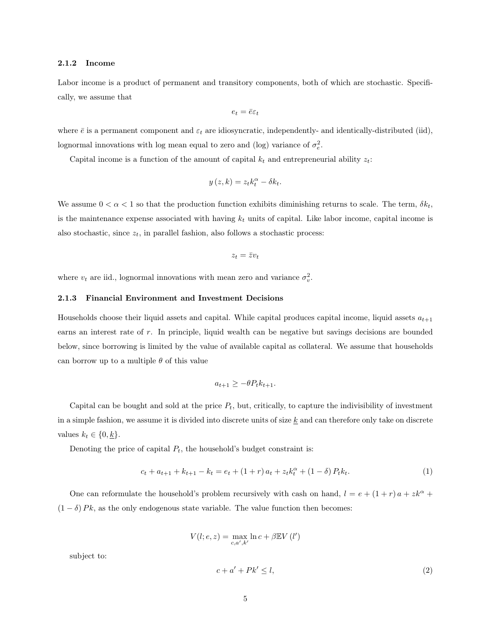#### 2.1.2 Income

Labor income is a product of permanent and transitory components, both of which are stochastic. Specifically, we assume that

$$
e_t = \bar{e}\varepsilon_t
$$

where  $\bar{e}$  is a permanent component and  $\varepsilon_t$  are idiosyncratic, independently- and identically-distributed (iid), lognormal innovations with log mean equal to zero and (log) variance of  $\sigma_e^2$ .

Capital income is a function of the amount of capital  $k_t$  and entrepreneurial ability  $z_t$ :

$$
y(z,k) = z_t k_t^{\alpha} - \delta k_t.
$$

We assume  $0 < \alpha < 1$  so that the production function exhibits diminishing returns to scale. The term,  $\delta k_t$ , is the maintenance expense associated with having  $k_t$  units of capital. Like labor income, capital income is also stochastic, since  $z_t$ , in parallel fashion, also follows a stochastic process:

$$
z_t = \bar{z} v_t
$$

where  $v_t$  are iid., lognormal innovations with mean zero and variance  $\sigma_v^2$ .

#### 2.1.3 Financial Environment and Investment Decisions

Households choose their liquid assets and capital. While capital produces capital income, liquid assets  $a_{t+1}$ earns an interest rate of r. In principle, liquid wealth can be negative but savings decisions are bounded below, since borrowing is limited by the value of available capital as collateral. We assume that households can borrow up to a multiple  $\theta$  of this value

<span id="page-5-1"></span>
$$
a_{t+1} \ge -\theta P_t k_{t+1}.
$$

Capital can be bought and sold at the price  $P_t$ , but, critically, to capture the indivisibility of investment in a simple fashion, we assume it is divided into discrete units of size  $k$  and can therefore only take on discrete values  $k_t \in \{0, \underline{k}\}.$ 

Denoting the price of capital  $P_t$ , the household's budget constraint is:

$$
c_t + a_{t+1} + k_{t+1} - k_t = e_t + (1+r)a_t + z_t k_t^{\alpha} + (1-\delta) P_t k_t.
$$
\n(1)

One can reformulate the household's problem recursively with cash on hand,  $l = e + (1 + r)a + zk^{\alpha} +$  $(1 - \delta) P k$ , as the only endogenous state variable. The value function then becomes:

$$
V(l;e,z) = \max_{c,a',k'} \ln c + \beta \mathbb{E} V(l')
$$

<span id="page-5-0"></span>subject to:

$$
c + a' + Pk' \le l,\tag{2}
$$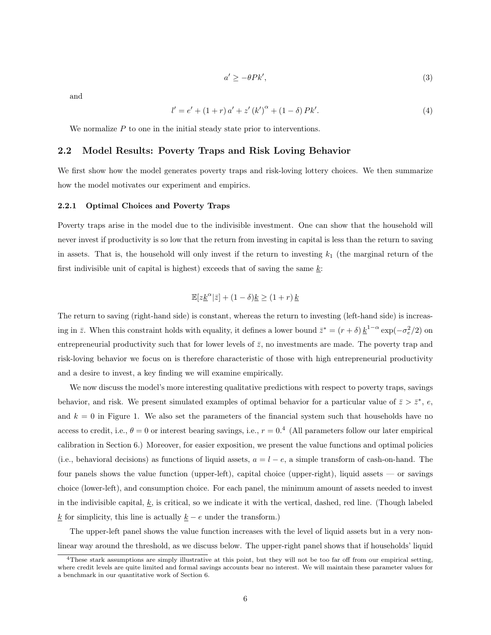$$
a' \ge -\theta P k',\tag{3}
$$

<span id="page-6-0"></span>and

$$
l' = e' + (1+r)a' + z'(k')^{\alpha} + (1-\delta)Pk'. \tag{4}
$$

We normalize  $P$  to one in the initial steady state prior to interventions.

#### 2.2 Model Results: Poverty Traps and Risk Loving Behavior

We first show how the model generates poverty traps and risk-loving lottery choices. We then summarize how the model motivates our experiment and empirics.

#### 2.2.1 Optimal Choices and Poverty Traps

Poverty traps arise in the model due to the indivisible investment. One can show that the household will never invest if productivity is so low that the return from investing in capital is less than the return to saving in assets. That is, the household will only invest if the return to investing  $k_1$  (the marginal return of the first indivisible unit of capital is highest) exceeds that of saving the same  $\underline{k}$ :

$$
\mathbb{E}[z\underline{k}^{\alpha}|\overline{z}] + (1-\delta)\underline{k} \ge (1+r)\,\underline{k}
$$

The return to saving (right-hand side) is constant, whereas the return to investing (left-hand side) is increasing in  $\bar{z}$ . When this constraint holds with equality, it defines a lower bound  $\bar{z}^* = (r + \delta) \underline{k}^{1-\alpha} \exp(-\sigma_e^2/2)$  on entrepreneurial productivity such that for lower levels of  $\bar{z}$ , no investments are made. The poverty trap and risk-loving behavior we focus on is therefore characteristic of those with high entrepreneurial productivity and a desire to invest, a key finding we will examine empirically.

We now discuss the model's more interesting qualitative predictions with respect to poverty traps, savings behavior, and risk. We present simulated examples of optimal behavior for a particular value of  $\bar{z} > \bar{z}^*, e$ , and  $k = 0$  in Figure [1.](#page-32-5) We also set the parameters of the financial system such that households have no access to credit, i.e.,  $\theta = 0$  or interest bearing savings, i.e.,  $r = 0.4$  (All parameters follow our later empirical calibration in Section [6.](#page-27-0)) Moreover, for easier exposition, we present the value functions and optimal policies (i.e., behavioral decisions) as functions of liquid assets,  $a = l - e$ , a simple transform of cash-on-hand. The four panels shows the value function (upper-left), capital choice (upper-right), liquid assets — or savings choice (lower-left), and consumption choice. For each panel, the minimum amount of assets needed to invest in the indivisible capital,  $\underline{k}$ , is critical, so we indicate it with the vertical, dashed, red line. (Though labeled <u>k</u> for simplicity, this line is actually  $\underline{k}$  − e under the transform.)

The upper-left panel shows the value function increases with the level of liquid assets but in a very nonlinear way around the threshold, as we discuss below. The upper-right panel shows that if households' liquid

<sup>&</sup>lt;sup>4</sup>These stark assumptions are simply illustrative at this point, but they will not be too far off from our empirical setting, where credit levels are quite limited and formal savings accounts bear no interest. We will maintain these parameter values for a benchmark in our quantitative work of Section [6.](#page-27-0)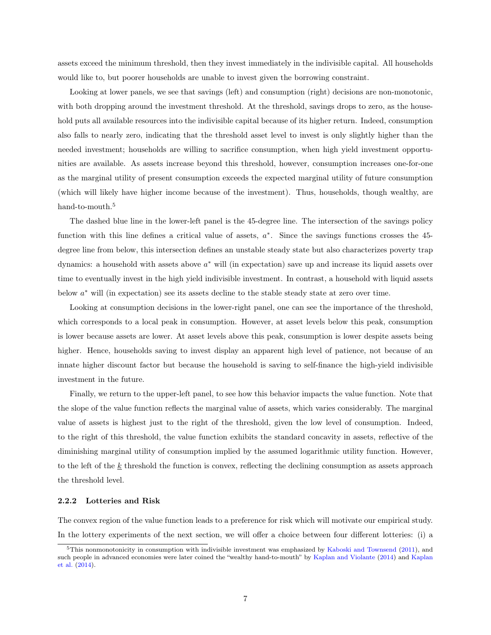assets exceed the minimum threshold, then they invest immediately in the indivisible capital. All households would like to, but poorer households are unable to invest given the borrowing constraint.

Looking at lower panels, we see that savings (left) and consumption (right) decisions are non-monotonic, with both dropping around the investment threshold. At the threshold, savings drops to zero, as the household puts all available resources into the indivisible capital because of its higher return. Indeed, consumption also falls to nearly zero, indicating that the threshold asset level to invest is only slightly higher than the needed investment; households are willing to sacrifice consumption, when high yield investment opportunities are available. As assets increase beyond this threshold, however, consumption increases one-for-one as the marginal utility of present consumption exceeds the expected marginal utility of future consumption (which will likely have higher income because of the investment). Thus, households, though wealthy, are hand-to-mouth.<sup>5</sup>

The dashed blue line in the lower-left panel is the 45-degree line. The intersection of the savings policy function with this line defines a critical value of assets,  $a^*$ . Since the savings functions crosses the 45degree line from below, this intersection defines an unstable steady state but also characterizes poverty trap dynamics: a household with assets above  $a^*$  will (in expectation) save up and increase its liquid assets over time to eventually invest in the high yield indivisible investment. In contrast, a household with liquid assets below  $a^*$  will (in expectation) see its assets decline to the stable steady state at zero over time.

Looking at consumption decisions in the lower-right panel, one can see the importance of the threshold, which corresponds to a local peak in consumption. However, at asset levels below this peak, consumption is lower because assets are lower. At asset levels above this peak, consumption is lower despite assets being higher. Hence, households saving to invest display an apparent high level of patience, not because of an innate higher discount factor but because the household is saving to self-finance the high-yield indivisible investment in the future.

Finally, we return to the upper-left panel, to see how this behavior impacts the value function. Note that the slope of the value function reflects the marginal value of assets, which varies considerably. The marginal value of assets is highest just to the right of the threshold, given the low level of consumption. Indeed, to the right of this threshold, the value function exhibits the standard concavity in assets, reflective of the diminishing marginal utility of consumption implied by the assumed logarithmic utility function. However, to the left of the k threshold the function is convex, reflecting the declining consumption as assets approach the threshold level.

#### 2.2.2 Lotteries and Risk

The convex region of the value function leads to a preference for risk which will motivate our empirical study. In the lottery experiments of the next section, we will offer a choice between four different lotteries: (i) a

 $5$ This nonmonotonicity in consumption with indivisible investment was emphasized by [Kaboski and Townsend](#page-31-0) [\(2011\)](#page-31-0), and such people in advanced economies were later coined the "wealthy hand-to-mouth" by [Kaplan and Violante](#page-31-9) [\(2014\)](#page-31-9) and [Kaplan](#page-31-10) [et al.](#page-31-10) [\(2014\)](#page-31-10).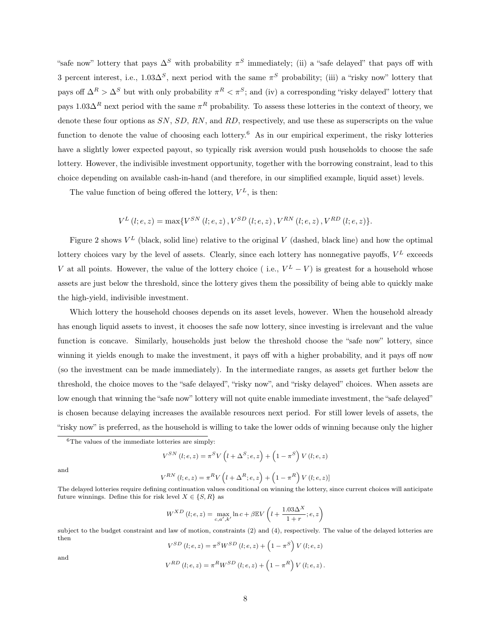"safe now" lottery that pays  $\Delta^S$  with probability  $\pi^S$  immediately; (ii) a "safe delayed" that pays off with 3 percent interest, i.e.,  $1.03\Delta^S$ , next period with the same  $\pi^S$  probability; (iii) a "risky now" lottery that pays off  $\Delta^R > \Delta^S$  but with only probability  $\pi^R < \pi^S$ ; and (iv) a corresponding "risky delayed" lottery that pays  $1.03\Delta^R$  next period with the same  $\pi^R$  probability. To assess these lotteries in the context of theory, we denote these four options as SN, SD, RN, and RD, respectively, and use these as superscripts on the value function to denote the value of choosing each lottery.<sup>6</sup> As in our empirical experiment, the risky lotteries have a slightly lower expected payout, so typically risk aversion would push households to choose the safe lottery. However, the indivisible investment opportunity, together with the borrowing constraint, lead to this choice depending on available cash-in-hand (and therefore, in our simplified example, liquid asset) levels.

The value function of being offered the lottery,  $V^L$ , is then:

$$
V^{L}(l;e,z) = \max\{V^{SN}(l;e,z), V^{SD}(l;e,z), V^{RN}(l;e,z), V^{RD}(l;e,z)\}.
$$

Figure [2](#page-33-0) shows  $V^L$  (black, solid line) relative to the original V (dashed, black line) and how the optimal lottery choices vary by the level of assets. Clearly, since each lottery has nonnegative payoffs,  $V^L$  exceeds V at all points. However, the value of the lottery choice (i.e.,  $V^L - V$ ) is greatest for a household whose assets are just below the threshold, since the lottery gives them the possibility of being able to quickly make the high-yield, indivisible investment.

Which lottery the household chooses depends on its asset levels, however. When the household already has enough liquid assets to invest, it chooses the safe now lottery, since investing is irrelevant and the value function is concave. Similarly, households just below the threshold choose the "safe now" lottery, since winning it yields enough to make the investment, it pays off with a higher probability, and it pays off now (so the investment can be made immediately). In the intermediate ranges, as assets get further below the threshold, the choice moves to the "safe delayed", "risky now", and "risky delayed" choices. When assets are low enough that winning the "safe now" lottery will not quite enable immediate investment, the "safe delayed" is chosen because delaying increases the available resources next period. For still lower levels of assets, the "risky now" is preferred, as the household is willing to take the lower odds of winning because only the higher

$$
V^{SN}\left(l;e,z\right) = \pi^{S}V\left(l+\Delta^{S};e,z\right) + \left(1-\pi^{S}\right)V\left(l;e,z\right)
$$

and

$$
V^{RN}\left(l;e,z\right)=\pi^{R}V\left(l+\Delta^{R};e,z\right)+\left(1-\pi^{R}\right)V\left(l;e,z\right)]
$$

The delayed lotteries require defining continuation values conditional on winning the lottery, since current choices will anticipate future winnings. Define this for risk level  $X \in \{S, R\}$  as

$$
W^{XD} (l; e, z) = \max_{c, a', k'} \ln c + \beta \mathbb{E} V \left( l + \frac{1.03 \Delta^X}{1+r}; e, z \right)
$$

subject to the budget constraint and law of motion, constraints [\(2\)](#page-5-0) and [\(4\)](#page-6-0), respectively. The value of the delayed lotteries are then

$$
V^{SD} (l; e, z) = \pi^{S} W^{SD} (l; e, z) + (1 - \pi^{S}) V (l; e, z)
$$
  
and  

$$
V^{RD} (l; e, z) = \pi^{R} W^{SD} (l; e, z) + (1 - \pi^{R}) V (l; e, z).
$$

8

 ${}^{6}$ The values of the immediate lotteries are simply: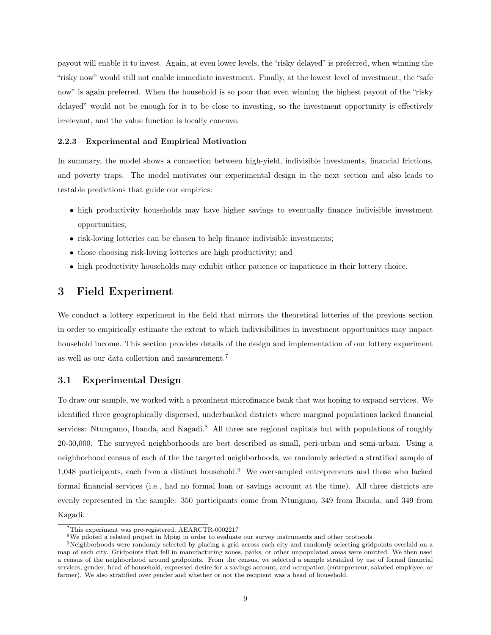payout will enable it to invest. Again, at even lower levels, the "risky delayed" is preferred, when winning the "risky now" would still not enable immediate investment. Finally, at the lowest level of investment, the "safe now" is again preferred. When the household is so poor that even winning the highest payout of the "risky delayed" would not be enough for it to be close to investing, so the investment opportunity is effectively irrelevant, and the value function is locally concave.

#### 2.2.3 Experimental and Empirical Motivation

In summary, the model shows a connection between high-yield, indivisible investments, financial frictions, and poverty traps. The model motivates our experimental design in the next section and also leads to testable predictions that guide our empirics:

- high productivity households may have higher savings to eventually finance indivisible investment opportunities;
- risk-loving lotteries can be chosen to help finance indivisible investments;
- those choosing risk-loving lotteries are high productivity; and
- high productivity households may exhibit either patience or impatience in their lottery choice.

### <span id="page-9-0"></span>3 Field Experiment

We conduct a lottery experiment in the field that mirrors the theoretical lotteries of the previous section in order to empirically estimate the extent to which indivisibilities in investment opportunities may impact household income. This section provides details of the design and implementation of our lottery experiment as well as our data collection and measurement.<sup>7</sup>

### 3.1 Experimental Design

To draw our sample, we worked with a prominent microfinance bank that was hoping to expand services. We identified three geographically dispersed, underbanked districts where marginal populations lacked financial services: Ntungamo, Ibanda, and Kagadi.<sup>8</sup> All three are regional capitals but with populations of roughly 20-30,000. The surveyed neighborhoods are best described as small, peri-urban and semi-urban. Using a neighborhood census of each of the the targeted neighborhoods, we randomly selected a stratified sample of 1,048 participants, each from a distinct household.<sup>9</sup> We oversampled entrepreneurs and those who lacked formal financial services (i.e., had no formal loan or savings account at the time). All three districts are evenly represented in the sample: 350 participants come from Ntungano, 349 from Ibanda, and 349 from Kagadi.

<sup>7</sup>This experiment was pre-registered, AEARCTR-0002217

<sup>&</sup>lt;sup>8</sup>We piloted a related project in Mpigi in order to evaluate our survey instruments and other protocols.

<sup>9</sup>Neighborhoods were randomly selected by placing a grid across each city and randomly selecting gridpoints overlaid on a map of each city. Gridpoints that fell in manufacturing zones, parks, or other unpopulated areas were omitted. We then used a census of the neighborhood around gridpoints. From the census, we selected a sample stratified by use of formal financial services, gender, head of household, expressed desire for a savings account, and occupation (entrepreneur, salaried employee, or farmer). We also stratified over gender and whether or not the recipient was a head of household.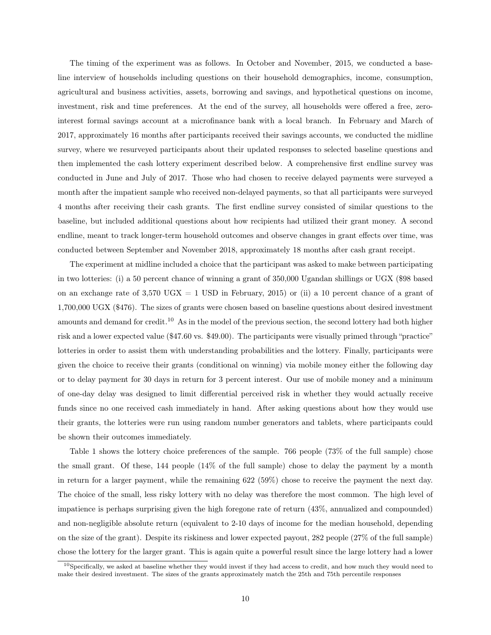The timing of the experiment was as follows. In October and November, 2015, we conducted a baseline interview of households including questions on their household demographics, income, consumption, agricultural and business activities, assets, borrowing and savings, and hypothetical questions on income, investment, risk and time preferences. At the end of the survey, all households were offered a free, zerointerest formal savings account at a microfinance bank with a local branch. In February and March of 2017, approximately 16 months after participants received their savings accounts, we conducted the midline survey, where we resurveyed participants about their updated responses to selected baseline questions and then implemented the cash lottery experiment described below. A comprehensive first endline survey was conducted in June and July of 2017. Those who had chosen to receive delayed payments were surveyed a month after the impatient sample who received non-delayed payments, so that all participants were surveyed 4 months after receiving their cash grants. The first endline survey consisted of similar questions to the baseline, but included additional questions about how recipients had utilized their grant money. A second endline, meant to track longer-term household outcomes and observe changes in grant effects over time, was conducted between September and November 2018, approximately 18 months after cash grant receipt.

The experiment at midline included a choice that the participant was asked to make between participating in two lotteries: (i) a 50 percent chance of winning a grant of 350,000 Ugandan shillings or UGX (\$98 based on an exchange rate of  $3,570$  UGX = 1 USD in February, 2015) or (ii) a 10 percent chance of a grant of 1,700,000 UGX (\$476). The sizes of grants were chosen based on baseline questions about desired investment amounts and demand for credit.<sup>10</sup> As in the model of the previous section, the second lottery had both higher risk and a lower expected value (\$47.60 vs. \$49.00). The participants were visually primed through "practice" lotteries in order to assist them with understanding probabilities and the lottery. Finally, participants were given the choice to receive their grants (conditional on winning) via mobile money either the following day or to delay payment for 30 days in return for 3 percent interest. Our use of mobile money and a minimum of one-day delay was designed to limit differential perceived risk in whether they would actually receive funds since no one received cash immediately in hand. After asking questions about how they would use their grants, the lotteries were run using random number generators and tablets, where participants could be shown their outcomes immediately.

Table [1](#page-33-1) shows the lottery choice preferences of the sample. 766 people (73% of the full sample) chose the small grant. Of these, 144 people (14% of the full sample) chose to delay the payment by a month in return for a larger payment, while the remaining 622 (59%) chose to receive the payment the next day. The choice of the small, less risky lottery with no delay was therefore the most common. The high level of impatience is perhaps surprising given the high foregone rate of return (43%, annualized and compounded) and non-negligible absolute return (equivalent to 2-10 days of income for the median household, depending on the size of the grant). Despite its riskiness and lower expected payout, 282 people (27% of the full sample) chose the lottery for the larger grant. This is again quite a powerful result since the large lottery had a lower

 $10$ Specifically, we asked at baseline whether they would invest if they had access to credit, and how much they would need to make their desired investment. The sizes of the grants approximately match the 25th and 75th percentile responses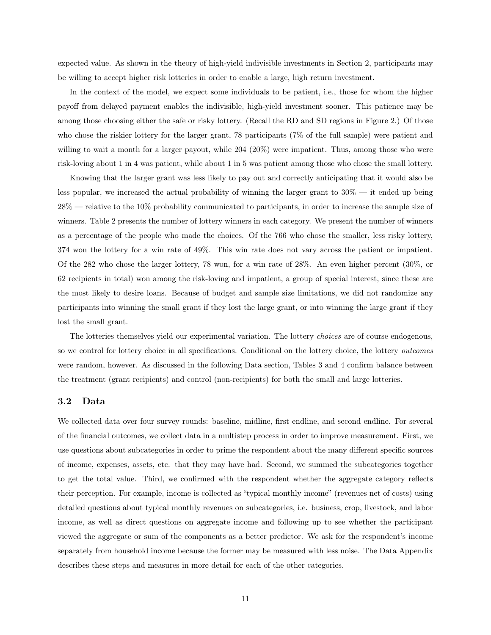expected value. As shown in the theory of high-yield indivisible investments in Section [2,](#page-4-0) participants may be willing to accept higher risk lotteries in order to enable a large, high return investment.

In the context of the model, we expect some individuals to be patient, i.e., those for whom the higher payoff from delayed payment enables the indivisible, high-yield investment sooner. This patience may be among those choosing either the safe or risky lottery. (Recall the RD and SD regions in Figure [2.](#page-33-0)) Of those who chose the riskier lottery for the larger grant, 78 participants (7% of the full sample) were patient and willing to wait a month for a larger payout, while 204 (20%) were impatient. Thus, among those who were risk-loving about 1 in 4 was patient, while about 1 in 5 was patient among those who chose the small lottery.

Knowing that the larger grant was less likely to pay out and correctly anticipating that it would also be less popular, we increased the actual probability of winning the larger grant to 30% — it ended up being 28% — relative to the 10% probability communicated to participants, in order to increase the sample size of winners. Table [2](#page-33-2) presents the number of lottery winners in each category. We present the number of winners as a percentage of the people who made the choices. Of the 766 who chose the smaller, less risky lottery, 374 won the lottery for a win rate of 49%. This win rate does not vary across the patient or impatient. Of the 282 who chose the larger lottery, 78 won, for a win rate of 28%. An even higher percent (30%, or 62 recipients in total) won among the risk-loving and impatient, a group of special interest, since these are the most likely to desire loans. Because of budget and sample size limitations, we did not randomize any participants into winning the small grant if they lost the large grant, or into winning the large grant if they lost the small grant.

The lotteries themselves yield our experimental variation. The lottery choices are of course endogenous, so we control for lottery choice in all specifications. Conditional on the lottery choice, the lottery outcomes were random, however. As discussed in the following Data section, Tables [3](#page-34-0) and [4](#page-34-1) confirm balance between the treatment (grant recipients) and control (non-recipients) for both the small and large lotteries.

#### <span id="page-11-0"></span>3.2 Data

We collected data over four survey rounds: baseline, midline, first endline, and second endline. For several of the financial outcomes, we collect data in a multistep process in order to improve measurement. First, we use questions about subcategories in order to prime the respondent about the many different specific sources of income, expenses, assets, etc. that they may have had. Second, we summed the subcategories together to get the total value. Third, we confirmed with the respondent whether the aggregate category reflects their perception. For example, income is collected as "typical monthly income" (revenues net of costs) using detailed questions about typical monthly revenues on subcategories, i.e. business, crop, livestock, and labor income, as well as direct questions on aggregate income and following up to see whether the participant viewed the aggregate or sum of the components as a better predictor. We ask for the respondent's income separately from household income because the former may be measured with less noise. The Data Appendix describes these steps and measures in more detail for each of the other categories.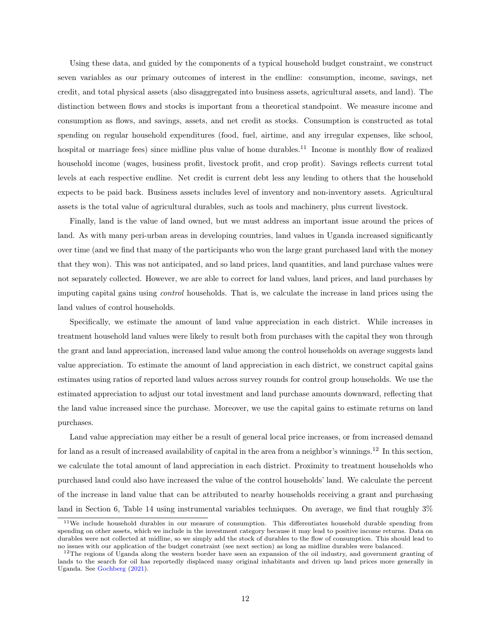Using these data, and guided by the components of a typical household budget constraint, we construct seven variables as our primary outcomes of interest in the endline: consumption, income, savings, net credit, and total physical assets (also disaggregated into business assets, agricultural assets, and land). The distinction between flows and stocks is important from a theoretical standpoint. We measure income and consumption as flows, and savings, assets, and net credit as stocks. Consumption is constructed as total spending on regular household expenditures (food, fuel, airtime, and any irregular expenses, like school, hospital or marriage fees) since midline plus value of home durables.<sup>11</sup> Income is monthly flow of realized household income (wages, business profit, livestock profit, and crop profit). Savings reflects current total levels at each respective endline. Net credit is current debt less any lending to others that the household expects to be paid back. Business assets includes level of inventory and non-inventory assets. Agricultural assets is the total value of agricultural durables, such as tools and machinery, plus current livestock.

Finally, land is the value of land owned, but we must address an important issue around the prices of land. As with many peri-urban areas in developing countries, land values in Uganda increased significantly over time (and we find that many of the participants who won the large grant purchased land with the money that they won). This was not anticipated, and so land prices, land quantities, and land purchase values were not separately collected. However, we are able to correct for land values, land prices, and land purchases by imputing capital gains using control households. That is, we calculate the increase in land prices using the land values of control households.

Specifically, we estimate the amount of land value appreciation in each district. While increases in treatment household land values were likely to result both from purchases with the capital they won through the grant and land appreciation, increased land value among the control households on average suggests land value appreciation. To estimate the amount of land appreciation in each district, we construct capital gains estimates using ratios of reported land values across survey rounds for control group households. We use the estimated appreciation to adjust our total investment and land purchase amounts downward, reflecting that the land value increased since the purchase. Moreover, we use the capital gains to estimate returns on land purchases.

Land value appreciation may either be a result of general local price increases, or from increased demand for land as a result of increased availability of capital in the area from a neighbor's winnings.<sup>12</sup> In this section, we calculate the total amount of land appreciation in each district. Proximity to treatment households who purchased land could also have increased the value of the control households' land. We calculate the percent of the increase in land value that can be attributed to nearby households receiving a grant and purchasing land in Section [6,](#page-27-0) Table [14](#page-44-0) using instrumental variables techniques. On average, we find that roughly 3%

<sup>&</sup>lt;sup>11</sup>We include household durables in our measure of consumption. This differentiates household durable spending from spending on other assets, which we include in the investment category because it may lead to positive income returns. Data on durables were not collected at midline, so we simply add the stock of durables to the flow of consumption. This should lead to no issues with our application of the budget constraint (see next section) as long as midline durables were balanced.

 $12$ The regions of Uganda along the western border have seen an expansion of the oil industry, and government granting of lands to the search for oil has reportedly displaced many original inhabitants and driven up land prices more generally in Uganda. See [Gochberg](#page-31-11) [\(2021\)](#page-31-11).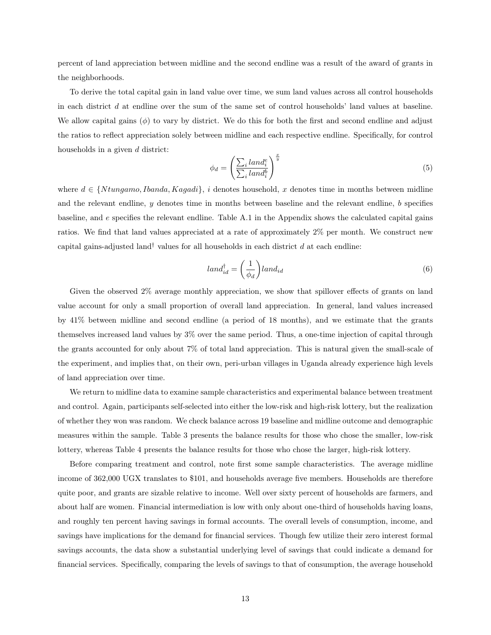percent of land appreciation between midline and the second endline was a result of the award of grants in the neighborhoods.

To derive the total capital gain in land value over time, we sum land values across all control households in each district d at endline over the sum of the same set of control households' land values at baseline. We allow capital gains  $(\phi)$  to vary by district. We do this for both the first and second endline and adjust the ratios to reflect appreciation solely between midline and each respective endline. Specifically, for control households in a given d district:

$$
\phi_d = \left(\frac{\sum_i \text{land}_i^e}{\sum_i \text{land}_i^b}\right)^{\frac{x}{y}} \tag{5}
$$

where  $d \in \{Ntungamo, Ibanda, Kagadi\}, i$  denotes household, x denotes time in months between midline and the relevant endline,  $y$  denotes time in months between baseline and the relevant endline,  $b$  specifies baseline, and e specifies the relevant endline. Table [A.1](#page-45-0) in the Appendix shows the calculated capital gains ratios. We find that land values appreciated at a rate of approximately 2% per month. We construct new capital gains-adjusted land<sup>†</sup> values for all households in each district d at each endline:

<span id="page-13-0"></span>
$$
land_{id}^{\dagger} = \left(\frac{1}{\phi_d}\right) land_{id} \tag{6}
$$

Given the observed 2% average monthly appreciation, we show that spillover effects of grants on land value account for only a small proportion of overall land appreciation. In general, land values increased by 41% between midline and second endline (a period of 18 months), and we estimate that the grants themselves increased land values by 3% over the same period. Thus, a one-time injection of capital through the grants accounted for only about 7% of total land appreciation. This is natural given the small-scale of the experiment, and implies that, on their own, peri-urban villages in Uganda already experience high levels of land appreciation over time.

We return to midline data to examine sample characteristics and experimental balance between treatment and control. Again, participants self-selected into either the low-risk and high-risk lottery, but the realization of whether they won was random. We check balance across 19 baseline and midline outcome and demographic measures within the sample. Table [3](#page-34-0) presents the balance results for those who chose the smaller, low-risk lottery, whereas Table [4](#page-34-1) presents the balance results for those who chose the larger, high-risk lottery.

Before comparing treatment and control, note first some sample characteristics. The average midline income of 362,000 UGX translates to \$101, and households average five members. Households are therefore quite poor, and grants are sizable relative to income. Well over sixty percent of households are farmers, and about half are women. Financial intermediation is low with only about one-third of households having loans, and roughly ten percent having savings in formal accounts. The overall levels of consumption, income, and savings have implications for the demand for financial services. Though few utilize their zero interest formal savings accounts, the data show a substantial underlying level of savings that could indicate a demand for financial services. Specifically, comparing the levels of savings to that of consumption, the average household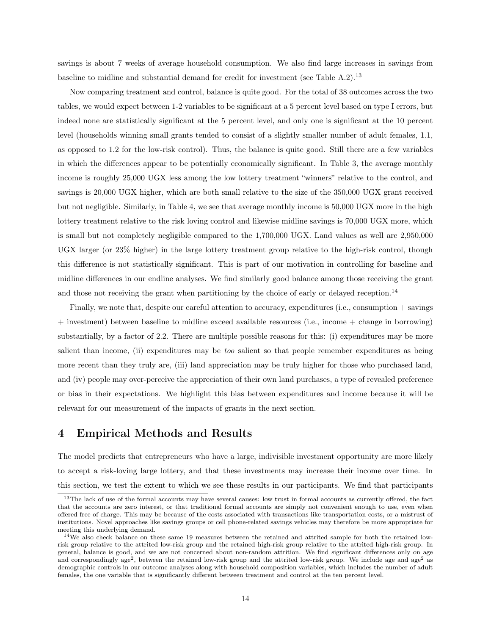savings is about 7 weeks of average household consumption. We also find large increases in savings from baseline to midline and substantial demand for credit for investment (see Table [A.2\)](#page-46-0).<sup>13</sup>

Now comparing treatment and control, balance is quite good. For the total of 38 outcomes across the two tables, we would expect between 1-2 variables to be significant at a 5 percent level based on type I errors, but indeed none are statistically significant at the 5 percent level, and only one is significant at the 10 percent level (households winning small grants tended to consist of a slightly smaller number of adult females, 1.1, as opposed to 1.2 for the low-risk control). Thus, the balance is quite good. Still there are a few variables in which the differences appear to be potentially economically significant. In Table [3,](#page-34-0) the average monthly income is roughly 25,000 UGX less among the low lottery treatment "winners" relative to the control, and savings is 20,000 UGX higher, which are both small relative to the size of the 350,000 UGX grant received but not negligible. Similarly, in Table [4,](#page-34-1) we see that average monthly income is 50,000 UGX more in the high lottery treatment relative to the risk loving control and likewise midline savings is 70,000 UGX more, which is small but not completely negligible compared to the 1,700,000 UGX. Land values as well are 2,950,000 UGX larger (or 23% higher) in the large lottery treatment group relative to the high-risk control, though this difference is not statistically significant. This is part of our motivation in controlling for baseline and midline differences in our endline analyses. We find similarly good balance among those receiving the grant and those not receiving the grant when partitioning by the choice of early or delayed reception.<sup>14</sup>

Finally, we note that, despite our careful attention to accuracy, expenditures (i.e., consumption + savings + investment) between baseline to midline exceed available resources (i.e., income + change in borrowing) substantially, by a factor of 2.2. There are multiple possible reasons for this: (i) expenditures may be more salient than income, (ii) expenditures may be too salient so that people remember expenditures as being more recent than they truly are, (iii) land appreciation may be truly higher for those who purchased land, and (iv) people may over-perceive the appreciation of their own land purchases, a type of revealed preference or bias in their expectations. We highlight this bias between expenditures and income because it will be relevant for our measurement of the impacts of grants in the next section.

# <span id="page-14-0"></span>4 Empirical Methods and Results

The model predicts that entrepreneurs who have a large, indivisible investment opportunity are more likely to accept a risk-loving large lottery, and that these investments may increase their income over time. In this section, we test the extent to which we see these results in our participants. We find that participants

 $13$ The lack of use of the formal accounts may have several causes: low trust in formal accounts as currently offered, the fact that the accounts are zero interest, or that traditional formal accounts are simply not convenient enough to use, even when offered free of charge. This may be because of the costs associated with transactions like transportation costs, or a mistrust of institutions. Novel approaches like savings groups or cell phone-related savings vehicles may therefore be more appropriate for meeting this underlying demand.

 $14\text{We}$  also check balance on these same 19 measures between the retained and attrited sample for both the retained lowrisk group relative to the attrited low-risk group and the retained high-risk group relative to the attrited high-risk group. In general, balance is good, and we are not concerned about non-random attrition. We find significant differences only on age and correspondingly age<sup>2</sup>, between the retained low-risk group and the attrited low-risk group. We include age and age<sup>2</sup> as demographic controls in our outcome analyses along with household composition variables, which includes the number of adult females, the one variable that is significantly different between treatment and control at the ten percent level.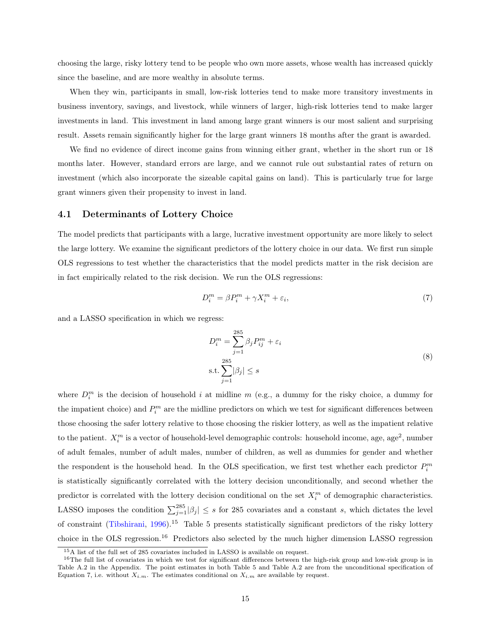choosing the large, risky lottery tend to be people who own more assets, whose wealth has increased quickly since the baseline, and are more wealthy in absolute terms.

When they win, participants in small, low-risk lotteries tend to make more transitory investments in business inventory, savings, and livestock, while winners of larger, high-risk lotteries tend to make larger investments in land. This investment in land among large grant winners is our most salient and surprising result. Assets remain significantly higher for the large grant winners 18 months after the grant is awarded.

We find no evidence of direct income gains from winning either grant, whether in the short run or 18 months later. However, standard errors are large, and we cannot rule out substantial rates of return on investment (which also incorporate the sizeable capital gains on land). This is particularly true for large grant winners given their propensity to invest in land.

### 4.1 Determinants of Lottery Choice

The model predicts that participants with a large, lucrative investment opportunity are more likely to select the large lottery. We examine the significant predictors of the lottery choice in our data. We first run simple OLS regressions to test whether the characteristics that the model predicts matter in the risk decision are in fact empirically related to the risk decision. We run the OLS regressions:

<span id="page-15-0"></span>
$$
D_i^m = \beta P_i^m + \gamma X_i^m + \varepsilon_i,\tag{7}
$$

and a LASSO specification in which we regress:

$$
D_i^m = \sum_{j=1}^{285} \beta_j P_{ij}^m + \varepsilon_i
$$
  
s.t. 
$$
\sum_{j=1}^{285} |\beta_j| \le s
$$
 (8)

where  $D_i^m$  is the decision of household i at midline m (e.g., a dummy for the risky choice, a dummy for the impatient choice) and  $P_i^m$  are the midline predictors on which we test for significant differences between those choosing the safer lottery relative to those choosing the riskier lottery, as well as the impatient relative to the patient.  $X_i^m$  is a vector of household-level demographic controls: household income, age, age<sup>2</sup>, number of adult females, number of adult males, number of children, as well as dummies for gender and whether the respondent is the household head. In the OLS specification, we first test whether each predictor  $P_i^m$ is statistically significantly correlated with the lottery decision unconditionally, and second whether the predictor is correlated with the lottery decision conditional on the set  $X_i^m$  of demographic characteristics. LASSO imposes the condition  $\sum_{j=1}^{285} |\beta_j| \leq s$  for 285 covariates and a constant s, which dictates the level of constraint [\(Tibshirani,](#page-32-6) [1996\)](#page-32-6).<sup>1[5](#page-35-0)</sup> Table 5 presents statistically significant predictors of the risky lottery choice in the OLS regression.<sup>16</sup> Predictors also selected by the much higher dimension LASSO regression

<sup>15</sup>A list of the full set of 285 covariates included in LASSO is available on request.

 $16$ The full list of covariates in which we test for significant differences between the high-risk group and low-risk group is in Table [A.2](#page-46-0) in the Appendix. The point estimates in both Table [5](#page-35-0) and Table [A.2](#page-46-0) are from the unconditional specification of Equation [7,](#page-15-0) i.e. without  $X_{i,m}$ . The estimates conditional on  $X_{i,m}$  are available by request.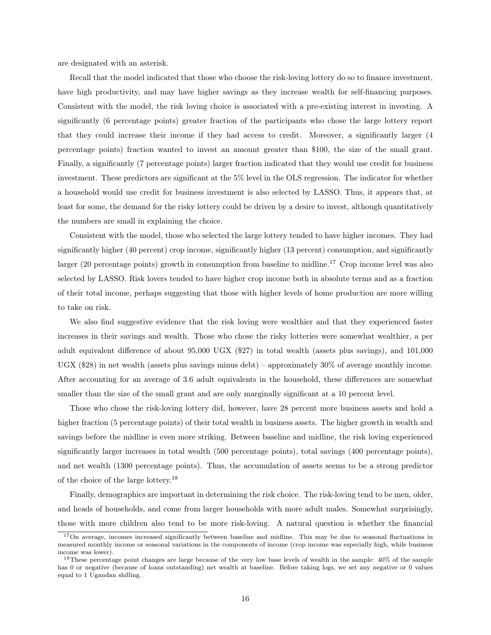are designated with an asterisk.

Recall that the model indicated that those who choose the risk-loving lottery do so to finance investment, have high productivity, and may have higher savings as they increase wealth for self-financing purposes. Consistent with the model, the risk loving choice is associated with a pre-existing interest in investing. A significantly (6 percentage points) greater fraction of the participants who chose the large lottery report that they could increase their income if they had access to credit. Moreover, a significantly larger (4 percentage points) fraction wanted to invest an amount greater than \$100, the size of the small grant. Finally, a significantly (7 percentage points) larger fraction indicated that they would use credit for business investment. These predictors are significant at the 5% level in the OLS regression. The indicator for whether a household would use credit for business investment is also selected by LASSO. Thus, it appears that, at least for some, the demand for the risky lottery could be driven by a desire to invest, although quantitatively the numbers are small in explaining the choice.

Consistent with the model, those who selected the large lottery tended to have higher incomes. They had significantly higher (40 percent) crop income, significantly higher (13 percent) consumption, and significantly larger (20 percentage points) growth in consumption from baseline to midline.<sup>17</sup> Crop income level was also selected by LASSO. Risk lovers tended to have higher crop income both in absolute terms and as a fraction of their total income, perhaps suggesting that those with higher levels of home production are more willing to take on risk.

We also find suggestive evidence that the risk loving were wealthier and that they experienced faster increases in their savings and wealth. Those who chose the risky lotteries were somewhat wealthier, a per adult equivalent difference of about 95,000 UGX (\$27) in total wealth (assets plus savings), and 101,000 UGX (\$28) in net wealth (assets plus savings minus debt) – approximately 30% of average monthly income. After accounting for an average of 3.6 adult equivalents in the household, these differences are somewhat smaller than the size of the small grant and are only marginally significant at a 10 percent level.

Those who chose the risk-loving lottery did, however, have 28 percent more business assets and hold a higher fraction (5 percentage points) of their total wealth in business assets. The higher growth in wealth and savings before the midline is even more striking. Between baseline and midline, the risk loving experienced significantly larger increases in total wealth (500 percentage points), total savings (400 percentage points), and net wealth (1300 percentage points). Thus, the accumulation of assets seems to be a strong predictor of the choice of the large lottery.<sup>18</sup>

Finally, demographics are important in determining the risk choice. The risk-loving tend to be men, older, and heads of households, and come from larger households with more adult males. Somewhat surprisingly, those with more children also tend to be more risk-loving. A natural question is whether the financial

<sup>&</sup>lt;sup>17</sup>On average, incomes increased significantly between baseline and midline. This may be due to seasonal fluctuations in measured monthly income or seasonal variations in the components of income (crop income was especially high, while business income was lower).

<sup>&</sup>lt;sup>18</sup>These percentage point changes are large because of the very low base levels of wealth in the sample: 40% of the sample has 0 or negative (because of loans outstanding) net wealth at baseline. Before taking logs, we set any negative or 0 values equal to 1 Ugandan shilling.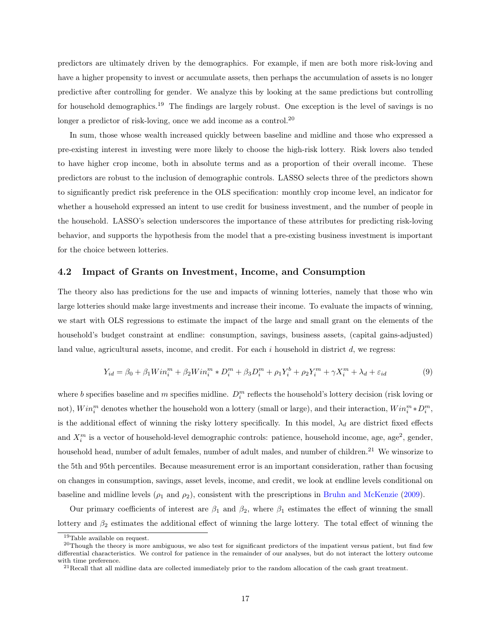predictors are ultimately driven by the demographics. For example, if men are both more risk-loving and have a higher propensity to invest or accumulate assets, then perhaps the accumulation of assets is no longer predictive after controlling for gender. We analyze this by looking at the same predictions but controlling for household demographics.<sup>19</sup> The findings are largely robust. One exception is the level of savings is no longer a predictor of risk-loving, once we add income as a control.<sup>20</sup>

In sum, those whose wealth increased quickly between baseline and midline and those who expressed a pre-existing interest in investing were more likely to choose the high-risk lottery. Risk lovers also tended to have higher crop income, both in absolute terms and as a proportion of their overall income. These predictors are robust to the inclusion of demographic controls. LASSO selects three of the predictors shown to significantly predict risk preference in the OLS specification: monthly crop income level, an indicator for whether a household expressed an intent to use credit for business investment, and the number of people in the household. LASSO's selection underscores the importance of these attributes for predicting risk-loving behavior, and supports the hypothesis from the model that a pre-existing business investment is important for the choice between lotteries.

#### 4.2 Impact of Grants on Investment, Income, and Consumption

The theory also has predictions for the use and impacts of winning lotteries, namely that those who win large lotteries should make large investments and increase their income. To evaluate the impacts of winning, we start with OLS regressions to estimate the impact of the large and small grant on the elements of the household's budget constraint at endline: consumption, savings, business assets, (capital gains-adjusted) land value, agricultural assets, income, and credit. For each  $i$  household in district  $d$ , we regress:

<span id="page-17-0"></span>
$$
Y_{id} = \beta_0 + \beta_1 Win_i^m + \beta_2Win_i^m * D_i^m + \beta_3D_i^m + \rho_1Y_i^b + \rho_2Y_i^m + \gamma X_i^m + \lambda_d + \varepsilon_{id}
$$
 (9)

where b specifies baseline and m specifies midline.  $D_i^m$  reflects the household's lottery decision (risk loving or not),  $Win_i^m$  denotes whether the household won a lottery (small or large), and their interaction,  $Win_i^m * D_i^m$ , is the additional effect of winning the risky lottery specifically. In this model,  $\lambda_d$  are district fixed effects and  $X_i^m$  is a vector of household-level demographic controls: patience, household income, age, age<sup>2</sup>, gender, household head, number of adult females, number of adult males, and number of children.<sup>21</sup> We winsorize to the 5th and 95th percentiles. Because measurement error is an important consideration, rather than focusing on changes in consumption, savings, asset levels, income, and credit, we look at endline levels conditional on baseline and midline levels  $(\rho_1 \text{ and } \rho_2)$ , consistent with the prescriptions in [Bruhn and McKenzie](#page-30-12) [\(2009\)](#page-30-12).

Our primary coefficients of interest are  $\beta_1$  and  $\beta_2$ , where  $\beta_1$  estimates the effect of winning the small lottery and  $\beta_2$  estimates the additional effect of winning the large lottery. The total effect of winning the

<sup>19</sup>Table available on request.

 $^{20}$ Though the theory is more ambiguous, we also test for significant predictors of the impatient versus patient, but find few differential characteristics. We control for patience in the remainder of our analyses, but do not interact the lottery outcome with time preference.

 $^{21}$ Recall that all midline data are collected immediately prior to the random allocation of the cash grant treatment.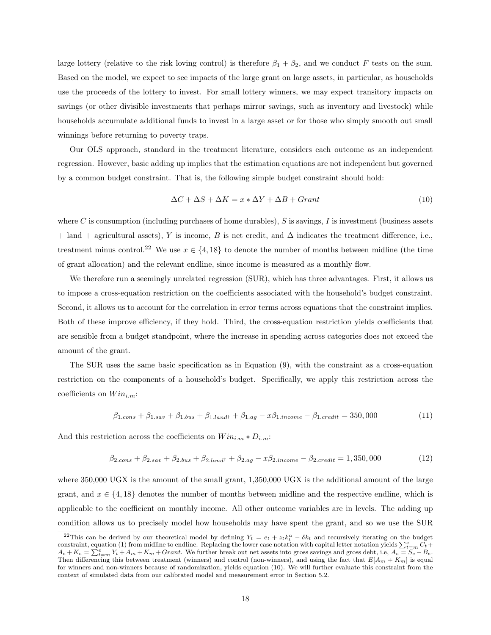large lottery (relative to the risk loving control) is therefore  $\beta_1 + \beta_2$ , and we conduct F tests on the sum. Based on the model, we expect to see impacts of the large grant on large assets, in particular, as households use the proceeds of the lottery to invest. For small lottery winners, we may expect transitory impacts on savings (or other divisible investments that perhaps mirror savings, such as inventory and livestock) while households accumulate additional funds to invest in a large asset or for those who simply smooth out small winnings before returning to poverty traps.

Our OLS approach, standard in the treatment literature, considers each outcome as an independent regression. However, basic adding up implies that the estimation equations are not independent but governed by a common budget constraint. That is, the following simple budget constraint should hold:

<span id="page-18-0"></span>
$$
\Delta C + \Delta S + \Delta K = x * \Delta Y + \Delta B + Grant \tag{10}
$$

where C is consumption (including purchases of home durables),  $S$  is savings, I is investment (business assets + land + agricultural assets), Y is income, B is net credit, and  $\Delta$  indicates the treatment difference, i.e., treatment minus control.<sup>22</sup> We use  $x \in \{4, 18\}$  to denote the number of months between midline (the time of grant allocation) and the relevant endline, since income is measured as a monthly flow.

We therefore run a seemingly unrelated regression (SUR), which has three advantages. First, it allows us to impose a cross-equation restriction on the coefficients associated with the household's budget constraint. Second, it allows us to account for the correlation in error terms across equations that the constraint implies. Both of these improve efficiency, if they hold. Third, the cross-equation restriction yields coefficients that are sensible from a budget standpoint, where the increase in spending across categories does not exceed the amount of the grant.

The SUR uses the same basic specification as in Equation [\(9\)](#page-17-0), with the constraint as a cross-equation restriction on the components of a household's budget. Specifically, we apply this restriction across the coefficients on  $Win_{i.m}:$ 

$$
\beta_{1.cons} + \beta_{1.sav} + \beta_{1.bus} + \beta_{1.land} + \beta_{1.ag} - x\beta_{1.income} - \beta_{1.credit} = 350,000
$$
\n(11)

And this restriction across the coefficients on  $Win_{i,m}*D_{i,m}$ :

$$
\beta_{2.cons} + \beta_{2.sav} + \beta_{2.bus} + \beta_{2.land} + \beta_{2.ag} - x\beta_{2.income} - \beta_{2.credit} = 1,350,000
$$
\n(12)

where 350,000 UGX is the amount of the small grant, 1,350,000 UGX is the additional amount of the large grant, and  $x \in \{4, 18\}$  denotes the number of months between midline and the respective endline, which is applicable to the coefficient on monthly income. All other outcome variables are in levels. The adding up condition allows us to precisely model how households may have spent the grant, and so we use the SUR

<sup>&</sup>lt;sup>22</sup>This can be derived by our theoretical model by defining  $Y_t = e_t + z_t k_t^{\alpha} - \delta k_t$  and recursively iterating on the budget constraint, equation [\(1\)](#page-5-1) from midline to endline. Replacing the lower case notation with capital letter notation yields  $\sum_{t=m}^{e} C_t +$  $A_e + K_e = \sum_{t=m}^{e} Y_t + A_m + K_m + Grant$ . We further break out net assets into gross savings and gross debt, i.e,  $A_e = \sum_{t=m}^{e} B_e - B_e$ . Then differencing this between treatment (winners) and control (non-winners), and using the fact that  $E[A_m + K_m]$  is equal for winners and non-winners because of randomization, yields equation [\(10\)](#page-18-0). We will further evaluate this constraint from the context of simulated data from our calibrated model and measurement error in Section [5.2.](#page-23-0)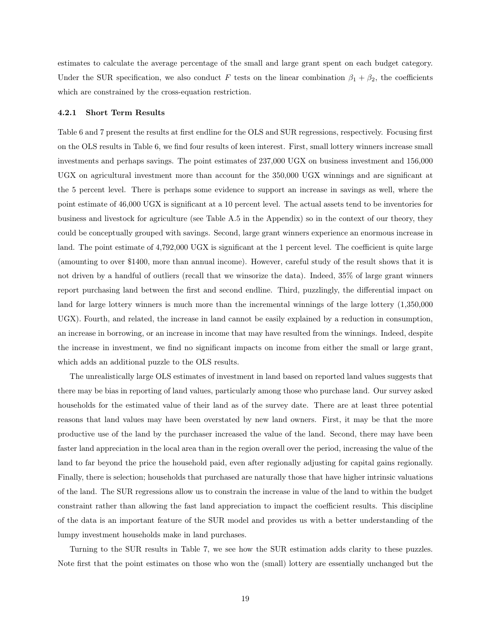estimates to calculate the average percentage of the small and large grant spent on each budget category. Under the SUR specification, we also conduct F tests on the linear combination  $\beta_1 + \beta_2$ , the coefficients which are constrained by the cross-equation restriction.

#### 4.2.1 Short Term Results

Table [6](#page-36-0) and [7](#page-37-0) present the results at first endline for the OLS and SUR regressions, respectively. Focusing first on the OLS results in Table [6,](#page-36-0) we find four results of keen interest. First, small lottery winners increase small investments and perhaps savings. The point estimates of 237,000 UGX on business investment and 156,000 UGX on agricultural investment more than account for the 350,000 UGX winnings and are significant at the 5 percent level. There is perhaps some evidence to support an increase in savings as well, where the point estimate of 46,000 UGX is significant at a 10 percent level. The actual assets tend to be inventories for business and livestock for agriculture (see Table [A.5](#page-49-0) in the Appendix) so in the context of our theory, they could be conceptually grouped with savings. Second, large grant winners experience an enormous increase in land. The point estimate of 4,792,000 UGX is significant at the 1 percent level. The coefficient is quite large (amounting to over \$1400, more than annual income). However, careful study of the result shows that it is not driven by a handful of outliers (recall that we winsorize the data). Indeed, 35% of large grant winners report purchasing land between the first and second endline. Third, puzzlingly, the differential impact on land for large lottery winners is much more than the incremental winnings of the large lottery (1,350,000 UGX). Fourth, and related, the increase in land cannot be easily explained by a reduction in consumption, an increase in borrowing, or an increase in income that may have resulted from the winnings. Indeed, despite the increase in investment, we find no significant impacts on income from either the small or large grant, which adds an additional puzzle to the OLS results.

The unrealistically large OLS estimates of investment in land based on reported land values suggests that there may be bias in reporting of land values, particularly among those who purchase land. Our survey asked households for the estimated value of their land as of the survey date. There are at least three potential reasons that land values may have been overstated by new land owners. First, it may be that the more productive use of the land by the purchaser increased the value of the land. Second, there may have been faster land appreciation in the local area than in the region overall over the period, increasing the value of the land to far beyond the price the household paid, even after regionally adjusting for capital gains regionally. Finally, there is selection; households that purchased are naturally those that have higher intrinsic valuations of the land. The SUR regressions allow us to constrain the increase in value of the land to within the budget constraint rather than allowing the fast land appreciation to impact the coefficient results. This discipline of the data is an important feature of the SUR model and provides us with a better understanding of the lumpy investment households make in land purchases.

Turning to the SUR results in Table [7,](#page-37-0) we see how the SUR estimation adds clarity to these puzzles. Note first that the point estimates on those who won the (small) lottery are essentially unchanged but the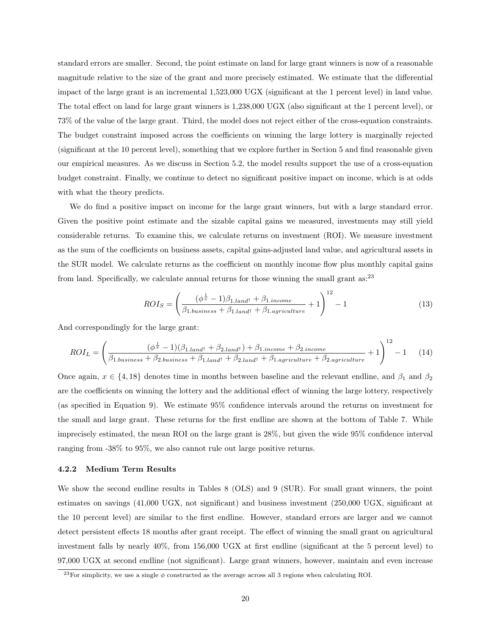standard errors are smaller. Second, the point estimate on land for large grant winners is now of a reasonable magnitude relative to the size of the grant and more precisely estimated. We estimate that the differential impact of the large grant is an incremental 1,523,000 UGX (significant at the 1 percent level) in land value. The total effect on land for large grant winners is 1,238,000 UGX (also significant at the 1 percent level), or 73% of the value of the large grant. Third, the model does not reject either of the cross-equation constraints. The budget constraint imposed across the coefficients on winning the large lottery is marginally rejected (significant at the 10 percent level), something that we explore further in Section [5](#page-21-0) and find reasonable given our empirical measures. As we discuss in Section [5.2,](#page-23-0) the model results support the use of a cross-equation budget constraint. Finally, we continue to detect no significant positive impact on income, which is at odds with what the theory predicts.

We do find a positive impact on income for the large grant winners, but with a large standard error. Given the positive point estimate and the sizable capital gains we measured, investments may still yield considerable returns. To examine this, we calculate returns on investment (ROI). We measure investment as the sum of the coefficients on business assets, capital gains-adjusted land value, and agricultural assets in the SUR model. We calculate returns as the coefficient on monthly income flow plus monthly capital gains from land. Specifically, we calculate annual returns for those winning the small grant as: $^{23}$ 

$$
ROI_S = \left(\frac{(\phi^{\frac{1}{x}} - 1)\beta_{1.land} + \beta_{1.income}}{\beta_{1.business} + \beta_{1.land} + \beta_{1.agriculture}} + 1\right)^{12} - 1
$$
\n(13)

And correspondingly for the large grant:

$$
ROI_L = \left(\frac{(\phi^{\frac{1}{x}} - 1)(\beta_{1.land} + \beta_{2.land} + \beta_{1.income} + \beta_{2.income})}{\beta_{1.business} + \beta_{2.business} + \beta_{1.land} + \beta_{2.land} + \beta_{1.agriculture} + \beta_{2.agriculture} + 1}\right)^{12} - 1
$$
 (14)

Once again,  $x \in \{4, 18\}$  denotes time in months between baseline and the relevant endline, and  $\beta_1$  and  $\beta_2$ are the coefficients on winning the lottery and the additional effect of winning the large lottery, respectively (as specified in Equation [9\)](#page-17-0). We estimate 95% confidence intervals around the returns on investment for the small and large grant. These returns for the first endline are shown at the bottom of Table [7.](#page-37-0) While imprecisely estimated, the mean ROI on the large grant is 28%, but given the wide 95% confidence interval ranging from -38% to 95%, we also cannot rule out large positive returns.

#### 4.2.2 Medium Term Results

We show the second endline results in Tables [8](#page-38-0) (OLS) and [9](#page-39-0) (SUR). For small grant winners, the point estimates on savings (41,000 UGX, not significant) and business investment (250,000 UGX, significant at the 10 percent level) are similar to the first endline. However, standard errors are larger and we cannot detect persistent effects 18 months after grant receipt. The effect of winning the small grant on agricultural investment falls by nearly 40%, from 156,000 UGX at first endline (significant at the 5 percent level) to 97,000 UGX at second endline (not significant). Large grant winners, however, maintain and even increase

<sup>&</sup>lt;sup>23</sup>For simplicity, we use a single  $\phi$  constructed as the average across all 3 regions when calculating ROI.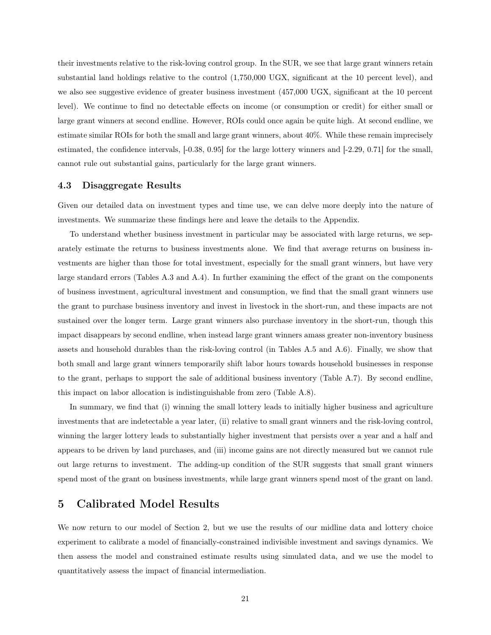their investments relative to the risk-loving control group. In the SUR, we see that large grant winners retain substantial land holdings relative to the control (1,750,000 UGX, significant at the 10 percent level), and we also see suggestive evidence of greater business investment (457,000 UGX, significant at the 10 percent level). We continue to find no detectable effects on income (or consumption or credit) for either small or large grant winners at second endline. However, ROIs could once again be quite high. At second endline, we estimate similar ROIs for both the small and large grant winners, about 40%. While these remain imprecisely estimated, the confidence intervals, [-0.38, 0.95] for the large lottery winners and [-2.29, 0.71] for the small, cannot rule out substantial gains, particularly for the large grant winners.

#### 4.3 Disaggregate Results

Given our detailed data on investment types and time use, we can delve more deeply into the nature of investments. We summarize these findings here and leave the details to the Appendix.

To understand whether business investment in particular may be associated with large returns, we separately estimate the returns to business investments alone. We find that average returns on business investments are higher than those for total investment, especially for the small grant winners, but have very large standard errors (Tables [A.3](#page-47-0) and [A.4\)](#page-48-0). In further examining the effect of the grant on the components of business investment, agricultural investment and consumption, we find that the small grant winners use the grant to purchase business inventory and invest in livestock in the short-run, and these impacts are not sustained over the longer term. Large grant winners also purchase inventory in the short-run, though this impact disappears by second endline, when instead large grant winners amass greater non-inventory business assets and household durables than the risk-loving control (in Tables [A.5](#page-49-0) and [A.6\)](#page-50-0). Finally, we show that both small and large grant winners temporarily shift labor hours towards household businesses in response to the grant, perhaps to support the sale of additional business inventory (Table [A.7\)](#page-51-0). By second endline, this impact on labor allocation is indistinguishable from zero (Table [A.8\)](#page-52-0).

In summary, we find that (i) winning the small lottery leads to initially higher business and agriculture investments that are indetectable a year later, (ii) relative to small grant winners and the risk-loving control, winning the larger lottery leads to substantially higher investment that persists over a year and a half and appears to be driven by land purchases, and (iii) income gains are not directly measured but we cannot rule out large returns to investment. The adding-up condition of the SUR suggests that small grant winners spend most of the grant on business investments, while large grant winners spend most of the grant on land.

## <span id="page-21-0"></span>5 Calibrated Model Results

We now return to our model of Section [2,](#page-4-0) but we use the results of our midline data and lottery choice experiment to calibrate a model of financially-constrained indivisible investment and savings dynamics. We then assess the model and constrained estimate results using simulated data, and we use the model to quantitatively assess the impact of financial intermediation.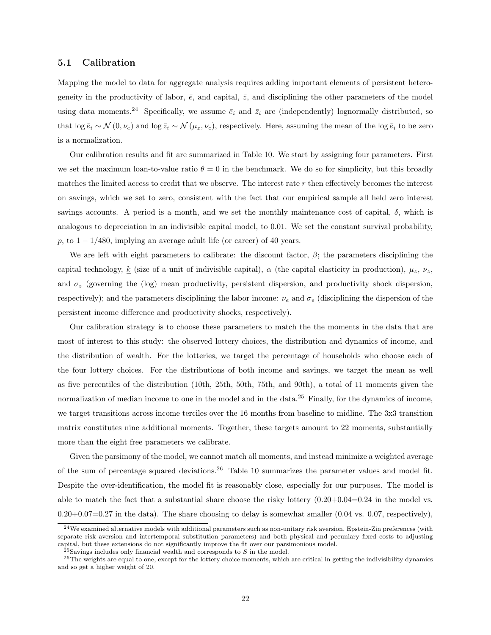#### 5.1 Calibration

Mapping the model to data for aggregate analysis requires adding important elements of persistent heterogeneity in the productivity of labor,  $\bar{e}$ , and capital,  $\bar{z}$ , and disciplining the other parameters of the model using data moments.<sup>24</sup> Specifically, we assume  $\bar{e}_i$  and  $\bar{z}_i$  are (independently) lognormally distributed, so that log  $\bar{e}_i \sim \mathcal{N}(0, \nu_e)$  and log  $\bar{z}_i \sim \mathcal{N}(\mu_z, \nu_e)$ , respectively. Here, assuming the mean of the log  $\bar{e}_i$  to be zero is a normalization.

Our calibration results and fit are summarized in Table [10.](#page-40-0) We start by assigning four parameters. First we set the maximum loan-to-value ratio  $\theta = 0$  in the benchmark. We do so for simplicity, but this broadly matches the limited access to credit that we observe. The interest rate r then effectively becomes the interest on savings, which we set to zero, consistent with the fact that our empirical sample all held zero interest savings accounts. A period is a month, and we set the monthly maintenance cost of capital,  $\delta$ , which is analogous to depreciation in an indivisible capital model, to 0.01. We set the constant survival probability, p, to  $1 - 1/480$ , implying an average adult life (or career) of 40 years.

We are left with eight parameters to calibrate: the discount factor,  $\beta$ ; the parameters disciplining the capital technology, k (size of a unit of indivisible capital),  $\alpha$  (the capital elasticity in production),  $\mu_z$ ,  $\nu_z$ , and  $\sigma_z$  (governing the (log) mean productivity, persistent dispersion, and productivity shock dispersion, respectively); and the parameters disciplining the labor income:  $\nu_e$  and  $\sigma_e$  (disciplining the dispersion of the persistent income difference and productivity shocks, respectively).

Our calibration strategy is to choose these parameters to match the the moments in the data that are most of interest to this study: the observed lottery choices, the distribution and dynamics of income, and the distribution of wealth. For the lotteries, we target the percentage of households who choose each of the four lottery choices. For the distributions of both income and savings, we target the mean as well as five percentiles of the distribution (10th, 25th, 50th, 75th, and 90th), a total of 11 moments given the normalization of median income to one in the model and in the data.<sup>25</sup> Finally, for the dynamics of income, we target transitions across income terciles over the 16 months from baseline to midline. The 3x3 transition matrix constitutes nine additional moments. Together, these targets amount to 22 moments, substantially more than the eight free parameters we calibrate.

Given the parsimony of the model, we cannot match all moments, and instead minimize a weighted average of the sum of percentage squared deviations.<sup>26</sup> Table [10](#page-40-0) summarizes the parameter values and model fit. Despite the over-identification, the model fit is reasonably close, especially for our purposes. The model is able to match the fact that a substantial share choose the risky lottery  $(0.20+0.04=0.24$  in the model vs.  $0.20+0.07=0.27$  in the data). The share choosing to delay is somewhat smaller (0.04 vs. 0.07, respectively),

 $24$ We examined alternative models with additional parameters such as non-unitary risk aversion, Epstein-Zin preferences (with separate risk aversion and intertemporal substitution parameters) and both physical and pecuniary fixed costs to adjusting capital, but these extensions do not significantly improve the fit over our parsimonious model.

 $^{25}$ Savings includes only financial wealth and corresponds to S in the model.

<sup>&</sup>lt;sup>26</sup>The weights are equal to one, except for the lottery choice moments, which are critical in getting the indivisibility dynamics and so get a higher weight of 20.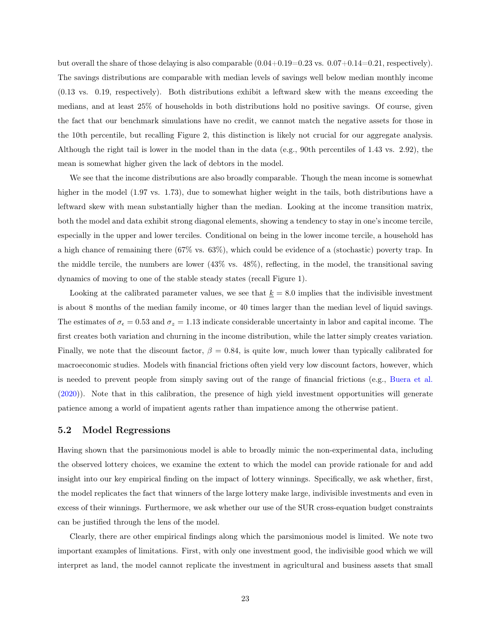but overall the share of those delaying is also comparable  $(0.04+0.19=0.23 \text{ vs. } 0.07+0.14=0.21$ , respectively). The savings distributions are comparable with median levels of savings well below median monthly income (0.13 vs. 0.19, respectively). Both distributions exhibit a leftward skew with the means exceeding the medians, and at least 25% of households in both distributions hold no positive savings. Of course, given the fact that our benchmark simulations have no credit, we cannot match the negative assets for those in the 10th percentile, but recalling Figure [2,](#page-33-0) this distinction is likely not crucial for our aggregate analysis. Although the right tail is lower in the model than in the data (e.g., 90th percentiles of 1.43 vs. 2.92), the mean is somewhat higher given the lack of debtors in the model.

We see that the income distributions are also broadly comparable. Though the mean income is somewhat higher in the model (1.97 vs. 1.73), due to somewhat higher weight in the tails, both distributions have a leftward skew with mean substantially higher than the median. Looking at the income transition matrix, both the model and data exhibit strong diagonal elements, showing a tendency to stay in one's income tercile, especially in the upper and lower terciles. Conditional on being in the lower income tercile, a household has a high chance of remaining there (67% vs. 63%), which could be evidence of a (stochastic) poverty trap. In the middle tercile, the numbers are lower (43% vs. 48%), reflecting, in the model, the transitional saving dynamics of moving to one of the stable steady states (recall Figure [1\)](#page-32-5).

Looking at the calibrated parameter values, we see that  $k = 8.0$  implies that the indivisible investment is about 8 months of the median family income, or 40 times larger than the median level of liquid savings. The estimates of  $\sigma_{\epsilon} = 0.53$  and  $\sigma_{z} = 1.13$  indicate considerable uncertainty in labor and capital income. The first creates both variation and churning in the income distribution, while the latter simply creates variation. Finally, we note that the discount factor,  $\beta = 0.84$ , is quite low, much lower than typically calibrated for macroeconomic studies. Models with financial frictions often yield very low discount factors, however, which is needed to prevent people from simply saving out of the range of financial frictions (e.g., [Buera et al.](#page-30-5) [\(2020\)](#page-30-5)). Note that in this calibration, the presence of high yield investment opportunities will generate patience among a world of impatient agents rather than impatience among the otherwise patient.

#### <span id="page-23-0"></span>5.2 Model Regressions

Having shown that the parsimonious model is able to broadly mimic the non-experimental data, including the observed lottery choices, we examine the extent to which the model can provide rationale for and add insight into our key empirical finding on the impact of lottery winnings. Specifically, we ask whether, first, the model replicates the fact that winners of the large lottery make large, indivisible investments and even in excess of their winnings. Furthermore, we ask whether our use of the SUR cross-equation budget constraints can be justified through the lens of the model.

Clearly, there are other empirical findings along which the parsimonious model is limited. We note two important examples of limitations. First, with only one investment good, the indivisible good which we will interpret as land, the model cannot replicate the investment in agricultural and business assets that small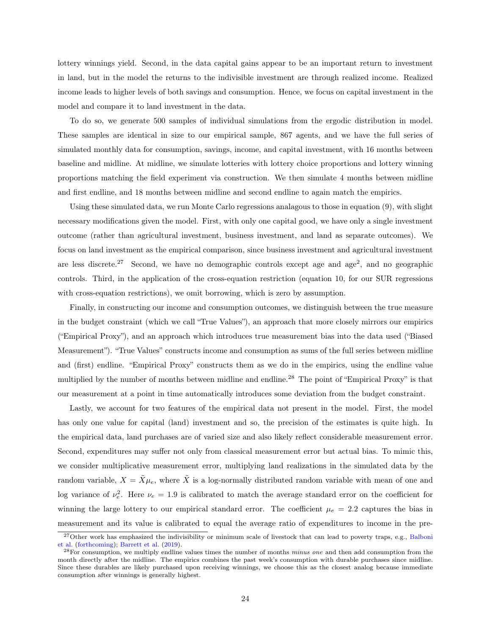lottery winnings yield. Second, in the data capital gains appear to be an important return to investment in land, but in the model the returns to the indivisible investment are through realized income. Realized income leads to higher levels of both savings and consumption. Hence, we focus on capital investment in the model and compare it to land investment in the data.

To do so, we generate 500 samples of individual simulations from the ergodic distribution in model. These samples are identical in size to our empirical sample, 867 agents, and we have the full series of simulated monthly data for consumption, savings, income, and capital investment, with 16 months between baseline and midline. At midline, we simulate lotteries with lottery choice proportions and lottery winning proportions matching the field experiment via construction. We then simulate 4 months between midline and first endline, and 18 months between midline and second endline to again match the empirics.

Using these simulated data, we run Monte Carlo regressions analagous to those in equation [\(9\)](#page-17-0), with slight necessary modifications given the model. First, with only one capital good, we have only a single investment outcome (rather than agricultural investment, business investment, and land as separate outcomes). We focus on land investment as the empirical comparison, since business investment and agricultural investment are less discrete.<sup>27</sup> Second, we have no demographic controls except age and age<sup>2</sup>, and no geographic controls. Third, in the application of the cross-equation restriction (equation [10,](#page-18-0) for our SUR regressions with cross-equation restrictions), we omit borrowing, which is zero by assumption.

Finally, in constructing our income and consumption outcomes, we distinguish between the true measure in the budget constraint (which we call "True Values"), an approach that more closely mirrors our empirics ("Empirical Proxy"), and an approach which introduces true measurement bias into the data used ("Biased Measurement"). "True Values" constructs income and consumption as sums of the full series between midline and (first) endline. "Empirical Proxy" constructs them as we do in the empirics, using the endline value multiplied by the number of months between midline and endline.<sup>28</sup> The point of "Empirical Proxy" is that our measurement at a point in time automatically introduces some deviation from the budget constraint.

Lastly, we account for two features of the empirical data not present in the model. First, the model has only one value for capital (land) investment and so, the precision of the estimates is quite high. In the empirical data, land purchases are of varied size and also likely reflect considerable measurement error. Second, expenditures may suffer not only from classical measurement error but actual bias. To mimic this, we consider multiplicative measurement error, multiplying land realizations in the simulated data by the random variable,  $X = \tilde{X}\mu_e$ , where  $\tilde{X}$  is a log-normally distributed random variable with mean of one and log variance of  $\nu_e^2$ . Here  $\nu_e = 1.9$  is calibrated to match the average standard error on the coefficient for winning the large lottery to our empirical standard error. The coefficient  $\mu_e = 2.2$  captures the bias in measurement and its value is calibrated to equal the average ratio of expenditures to income in the pre-

<sup>&</sup>lt;sup>27</sup>Other work has emphasized the indivisibility or minimum scale of livestock that can lead to poverty traps, e.g., [Balboni](#page-30-9) [et al.](#page-30-9) [\(forthcoming\)](#page-30-9); [Barrett et al.](#page-30-13) [\(2019\)](#page-30-13).

<sup>&</sup>lt;sup>28</sup>For consumption, we multiply endline values times the number of months *minus one* and then add consumption from the month directly after the midline. The empirics combines the past week's consumption with durable purchases since midline. Since these durables are likely purchased upon receiving winnings, we choose this as the closest analog because immediate consumption after winnings is generally highest.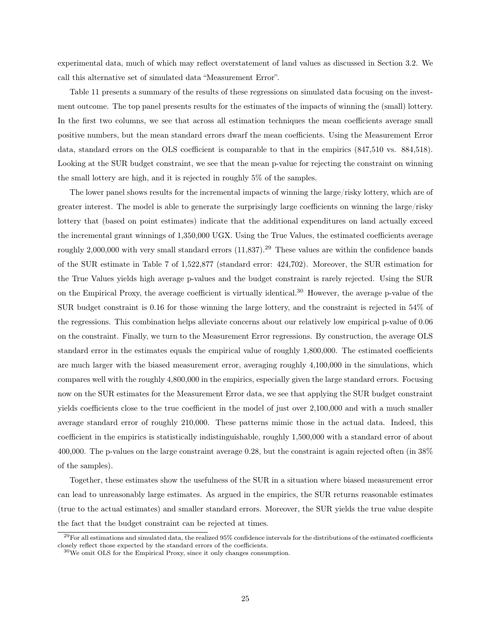experimental data, much of which may reflect overstatement of land values as discussed in Section [3.2.](#page-11-0) We call this alternative set of simulated data "Measurement Error".

Table [11](#page-41-0) presents a summary of the results of these regressions on simulated data focusing on the investment outcome. The top panel presents results for the estimates of the impacts of winning the (small) lottery. In the first two columns, we see that across all estimation techniques the mean coefficients average small positive numbers, but the mean standard errors dwarf the mean coefficients. Using the Measurement Error data, standard errors on the OLS coefficient is comparable to that in the empirics (847,510 vs. 884,518). Looking at the SUR budget constraint, we see that the mean p-value for rejecting the constraint on winning the small lottery are high, and it is rejected in roughly 5% of the samples.

The lower panel shows results for the incremental impacts of winning the large/risky lottery, which are of greater interest. The model is able to generate the surprisingly large coefficients on winning the large/risky lottery that (based on point estimates) indicate that the additional expenditures on land actually exceed the incremental grant winnings of 1,350,000 UGX. Using the True Values, the estimated coefficients average roughly 2,000,000 with very small standard errors  $(11,837)$ .<sup>29</sup> These values are within the confidence bands of the SUR estimate in Table [7](#page-37-0) of 1,522,877 (standard error: 424,702). Moreover, the SUR estimation for the True Values yields high average p-values and the budget constraint is rarely rejected. Using the SUR on the Empirical Proxy, the average coefficient is virtually identical.<sup>30</sup> However, the average p-value of the SUR budget constraint is 0.16 for those winning the large lottery, and the constraint is rejected in 54% of the regressions. This combination helps alleviate concerns about our relatively low empirical p-value of 0.06 on the constraint. Finally, we turn to the Measurement Error regressions. By construction, the average OLS standard error in the estimates equals the empirical value of roughly 1,800,000. The estimated coefficients are much larger with the biased measurement error, averaging roughly 4,100,000 in the simulations, which compares well with the roughly 4,800,000 in the empirics, especially given the large standard errors. Focusing now on the SUR estimates for the Measurement Error data, we see that applying the SUR budget constraint yields coefficients close to the true coefficient in the model of just over 2,100,000 and with a much smaller average standard error of roughly 210,000. These patterns mimic those in the actual data. Indeed, this coefficient in the empirics is statistically indistinguishable, roughly 1,500,000 with a standard error of about 400,000. The p-values on the large constraint average 0.28, but the constraint is again rejected often (in 38% of the samples).

Together, these estimates show the usefulness of the SUR in a situation where biased measurement error can lead to unreasonably large estimates. As argued in the empirics, the SUR returns reasonable estimates (true to the actual estimates) and smaller standard errors. Moreover, the SUR yields the true value despite the fact that the budget constraint can be rejected at times.

 $^{29}$ For all estimations and simulated data, the realized 95% confidence intervals for the distributions of the estimated coefficients closely reflect those expected by the standard errors of the coefficients.

 $30\,\text{We omit OLS}$  for the Empirical Proxy, since it only changes consumption.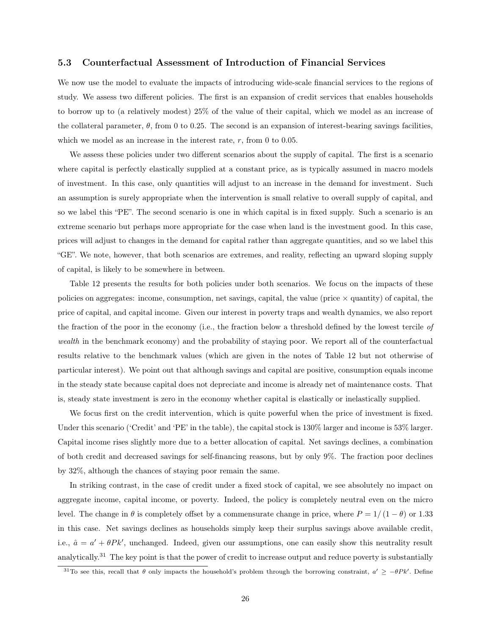#### 5.3 Counterfactual Assessment of Introduction of Financial Services

We now use the model to evaluate the impacts of introducing wide-scale financial services to the regions of study. We assess two different policies. The first is an expansion of credit services that enables households to borrow up to (a relatively modest) 25% of the value of their capital, which we model as an increase of the collateral parameter,  $\theta$ , from 0 to 0.25. The second is an expansion of interest-bearing savings facilities, which we model as an increase in the interest rate,  $r$ , from 0 to 0.05.

We assess these policies under two different scenarios about the supply of capital. The first is a scenario where capital is perfectly elastically supplied at a constant price, as is typically assumed in macro models of investment. In this case, only quantities will adjust to an increase in the demand for investment. Such an assumption is surely appropriate when the intervention is small relative to overall supply of capital, and so we label this "PE". The second scenario is one in which capital is in fixed supply. Such a scenario is an extreme scenario but perhaps more appropriate for the case when land is the investment good. In this case, prices will adjust to changes in the demand for capital rather than aggregate quantities, and so we label this "GE". We note, however, that both scenarios are extremes, and reality, reflecting an upward sloping supply of capital, is likely to be somewhere in between.

Table [12](#page-42-0) presents the results for both policies under both scenarios. We focus on the impacts of these policies on aggregates: income, consumption, net savings, capital, the value (price  $\times$  quantity) of capital, the price of capital, and capital income. Given our interest in poverty traps and wealth dynamics, we also report the fraction of the poor in the economy (i.e., the fraction below a threshold defined by the lowest tercile of wealth in the benchmark economy) and the probability of staying poor. We report all of the counterfactual results relative to the benchmark values (which are given in the notes of Table [12](#page-42-0) but not otherwise of particular interest). We point out that although savings and capital are positive, consumption equals income in the steady state because capital does not depreciate and income is already net of maintenance costs. That is, steady state investment is zero in the economy whether capital is elastically or inelastically supplied.

We focus first on the credit intervention, which is quite powerful when the price of investment is fixed. Under this scenario ('Credit' and 'PE' in the table), the capital stock is  $130\%$  larger and income is  $53\%$  larger. Capital income rises slightly more due to a better allocation of capital. Net savings declines, a combination of both credit and decreased savings for self-financing reasons, but by only 9%. The fraction poor declines by 32%, although the chances of staying poor remain the same.

In striking contrast, in the case of credit under a fixed stock of capital, we see absolutely no impact on aggregate income, capital income, or poverty. Indeed, the policy is completely neutral even on the micro level. The change in  $\theta$  is completely offset by a commensurate change in price, where  $P = 1/(1 - \theta)$  or 1.33 in this case. Net savings declines as households simply keep their surplus savings above available credit, i.e.,  $\hat{a} = a' + \theta P k'$ , unchanged. Indeed, given our assumptions, one can easily show this neutrality result analytically.<sup>31</sup> The key point is that the power of credit to increase output and reduce poverty is substantially

<sup>&</sup>lt;sup>31</sup>To see this, recall that  $\theta$  only impacts the household's problem through the borrowing constraint,  $a' \ge -\theta P k'$ . Define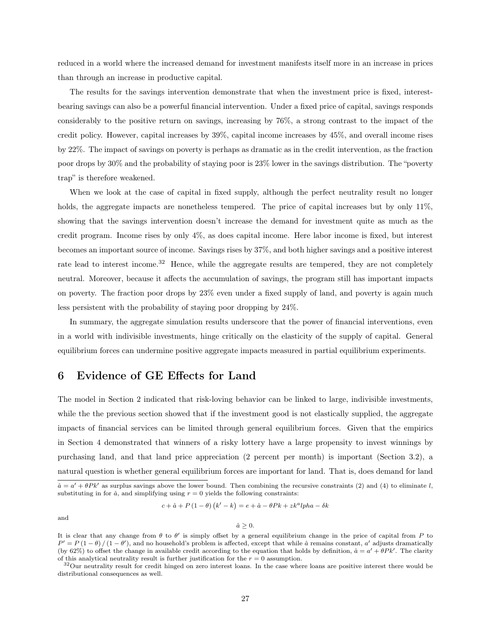reduced in a world where the increased demand for investment manifests itself more in an increase in prices than through an increase in productive capital.

The results for the savings intervention demonstrate that when the investment price is fixed, interestbearing savings can also be a powerful financial intervention. Under a fixed price of capital, savings responds considerably to the positive return on savings, increasing by 76%, a strong contrast to the impact of the credit policy. However, capital increases by 39%, capital income increases by 45%, and overall income rises by 22%. The impact of savings on poverty is perhaps as dramatic as in the credit intervention, as the fraction poor drops by 30% and the probability of staying poor is 23% lower in the savings distribution. The "poverty trap" is therefore weakened.

When we look at the case of capital in fixed supply, although the perfect neutrality result no longer holds, the aggregate impacts are nonetheless tempered. The price of capital increases but by only 11%, showing that the savings intervention doesn't increase the demand for investment quite as much as the credit program. Income rises by only 4%, as does capital income. Here labor income is fixed, but interest becomes an important source of income. Savings rises by 37%, and both higher savings and a positive interest rate lead to interest income.<sup>32</sup> Hence, while the aggregate results are tempered, they are not completely neutral. Moreover, because it affects the accumulation of savings, the program still has important impacts on poverty. The fraction poor drops by 23% even under a fixed supply of land, and poverty is again much less persistent with the probability of staying poor dropping by 24%.

In summary, the aggregate simulation results underscore that the power of financial interventions, even in a world with indivisible investments, hinge critically on the elasticity of the supply of capital. General equilibrium forces can undermine positive aggregate impacts measured in partial equilibrium experiments.

# <span id="page-27-0"></span>6 Evidence of GE Effects for Land

The model in Section [2](#page-4-0) indicated that risk-loving behavior can be linked to large, indivisible investments, while the the previous section showed that if the investment good is not elastically supplied, the aggregate impacts of financial services can be limited through general equilibrium forces. Given that the empirics in Section [4](#page-14-0) demonstrated that winners of a risky lottery have a large propensity to invest winnings by purchasing land, and that land price appreciation (2 percent per month) is important (Section [3.2\)](#page-11-0), a natural question is whether general equilibrium forces are important for land. That is, does demand for land

$$
c + \hat{a} + P(1 - \theta)(k' - k) = e + \hat{a} - \theta P k + z k^a l p h a - \delta k
$$

and

#### $\hat{a}\geq 0.$

 $\hat{a} = a' + \theta P k'$  as surplus savings above the lower bound. Then combining the recursive constraints [\(2\)](#page-5-0) and [\(4\)](#page-6-0) to eliminate l, substituting in for  $\hat{a}$ , and simplifying using  $r = 0$  yields the following constraints:

It is clear that any change from  $\theta$  to  $\theta'$  is simply offset by a general equilibrium change in the price of capital from P to  $P' = P(1 - \theta)/(1 - \theta')$ , and no household's problem is affected, except that while  $\hat{a}$  remains constant, a' adjusts dramatically (by 62%) to offset the change in available credit according to the equation that holds by definition,  $\hat{a} = a' + \theta P k'$ . The clarity of this analytical neutrality result is further justification for the  $r = 0$  assumption.

<sup>&</sup>lt;sup>32</sup>Our neutrality result for credit hinged on zero interest loans. In the case where loans are positive interest there would be distributional consequences as well.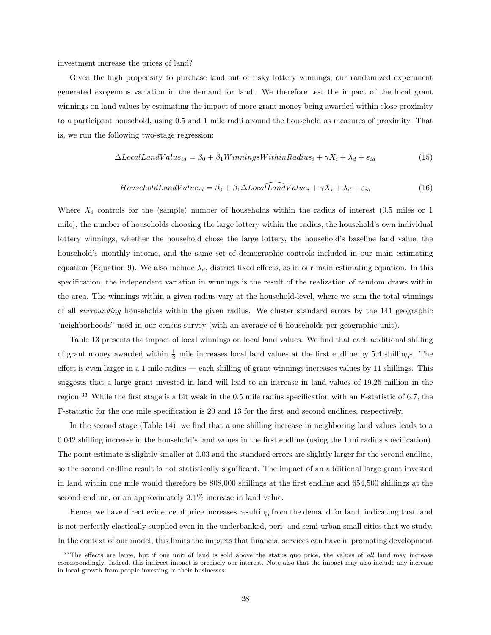investment increase the prices of land?

Given the high propensity to purchase land out of risky lottery winnings, our randomized experiment generated exogenous variation in the demand for land. We therefore test the impact of the local grant winnings on land values by estimating the impact of more grant money being awarded within close proximity to a participant household, using 0.5 and 1 mile radii around the household as measures of proximity. That is, we run the following two-stage regression:

$$
\Delta LocalLandValue_{id} = \beta_0 + \beta_1 WinningsWithinRadius_i + \gamma X_i + \lambda_d + \varepsilon_{id} \tag{15}
$$

$$
HouseholdLandValue_{id} = \beta_0 + \beta_1 \Delta LocalLandValue_i + \gamma X_i + \lambda_d + \varepsilon_{id}
$$
\n(16)

Where  $X_i$  controls for the (sample) number of households within the radius of interest (0.5 miles or 1 mile), the number of households choosing the large lottery within the radius, the household's own individual lottery winnings, whether the household chose the large lottery, the household's baseline land value, the household's monthly income, and the same set of demographic controls included in our main estimating equation (Equation [9\)](#page-17-0). We also include  $\lambda_d$ , district fixed effects, as in our main estimating equation. In this specification, the independent variation in winnings is the result of the realization of random draws within the area. The winnings within a given radius vary at the household-level, where we sum the total winnings of all surrounding households within the given radius. We cluster standard errors by the 141 geographic "neighborhoods" used in our census survey (with an average of 6 households per geographic unit).

Table [13](#page-43-0) presents the impact of local winnings on local land values. We find that each additional shilling of grant money awarded within  $\frac{1}{2}$  mile increases local land values at the first endline by 5.4 shillings. The effect is even larger in a 1 mile radius — each shilling of grant winnings increases values by 11 shillings. This suggests that a large grant invested in land will lead to an increase in land values of 19.25 million in the region.<sup>33</sup> While the first stage is a bit weak in the 0.5 mile radius specification with an F-statistic of 6.7, the F-statistic for the one mile specification is 20 and 13 for the first and second endlines, respectively.

In the second stage (Table [14\)](#page-44-0), we find that a one shilling increase in neighboring land values leads to a 0.042 shilling increase in the household's land values in the first endline (using the 1 mi radius specification). The point estimate is slightly smaller at 0.03 and the standard errors are slightly larger for the second endline, so the second endline result is not statistically significant. The impact of an additional large grant invested in land within one mile would therefore be 808,000 shillings at the first endline and 654,500 shillings at the second endline, or an approximately 3.1% increase in land value.

Hence, we have direct evidence of price increases resulting from the demand for land, indicating that land is not perfectly elastically supplied even in the underbanked, peri- and semi-urban small cities that we study. In the context of our model, this limits the impacts that financial services can have in promoting development

<sup>&</sup>lt;sup>33</sup>The effects are large, but if one unit of land is sold above the status quo price, the values of all land may increase correspondingly. Indeed, this indirect impact is precisely our interest. Note also that the impact may also include any increase in local growth from people investing in their businesses.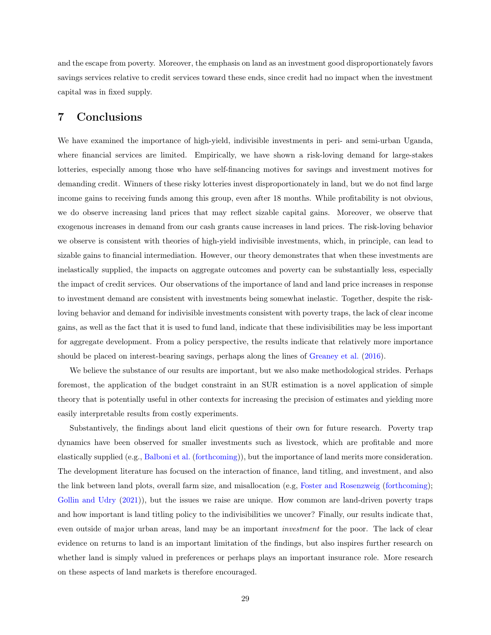and the escape from poverty. Moreover, the emphasis on land as an investment good disproportionately favors savings services relative to credit services toward these ends, since credit had no impact when the investment capital was in fixed supply.

### 7 Conclusions

We have examined the importance of high-yield, indivisible investments in peri- and semi-urban Uganda, where financial services are limited. Empirically, we have shown a risk-loving demand for large-stakes lotteries, especially among those who have self-financing motives for savings and investment motives for demanding credit. Winners of these risky lotteries invest disproportionately in land, but we do not find large income gains to receiving funds among this group, even after 18 months. While profitability is not obvious, we do observe increasing land prices that may reflect sizable capital gains. Moreover, we observe that exogenous increases in demand from our cash grants cause increases in land prices. The risk-loving behavior we observe is consistent with theories of high-yield indivisible investments, which, in principle, can lead to sizable gains to financial intermediation. However, our theory demonstrates that when these investments are inelastically supplied, the impacts on aggregate outcomes and poverty can be substantially less, especially the impact of credit services. Our observations of the importance of land and land price increases in response to investment demand are consistent with investments being somewhat inelastic. Together, despite the riskloving behavior and demand for indivisible investments consistent with poverty traps, the lack of clear income gains, as well as the fact that it is used to fund land, indicate that these indivisibilities may be less important for aggregate development. From a policy perspective, the results indicate that relatively more importance should be placed on interest-bearing savings, perhaps along the lines of [Greaney et al.](#page-31-12) [\(2016\)](#page-31-12).

We believe the substance of our results are important, but we also make methodological strides. Perhaps foremost, the application of the budget constraint in an SUR estimation is a novel application of simple theory that is potentially useful in other contexts for increasing the precision of estimates and yielding more easily interpretable results from costly experiments.

Substantively, the findings about land elicit questions of their own for future research. Poverty trap dynamics have been observed for smaller investments such as livestock, which are profitable and more elastically supplied (e.g., [Balboni et al.](#page-30-9) [\(forthcoming\)](#page-30-9)), but the importance of land merits more consideration. The development literature has focused on the interaction of finance, land titling, and investment, and also the link between land plots, overall farm size, and misallocation (e.g, [Foster and Rosenzweig](#page-31-13) [\(forthcoming\)](#page-31-13); [Gollin and Udry](#page-31-14) [\(2021\)](#page-31-14)), but the issues we raise are unique. How common are land-driven poverty traps and how important is land titling policy to the indivisibilities we uncover? Finally, our results indicate that, even outside of major urban areas, land may be an important investment for the poor. The lack of clear evidence on returns to land is an important limitation of the findings, but also inspires further research on whether land is simply valued in preferences or perhaps plays an important insurance role. More research on these aspects of land markets is therefore encouraged.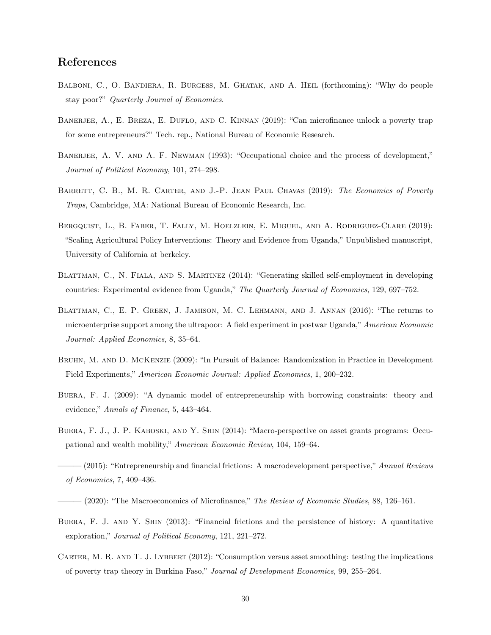# References

- <span id="page-30-9"></span>BALBONI, C., O. BANDIERA, R. BURGESS, M. GHATAK, AND A. HEIL (forthcoming): "Why do people stay poor?" Quarterly Journal of Economics.
- <span id="page-30-4"></span>BANERJEE, A., E. BREZA, E. DUFLO, AND C. KINNAN (2019): "Can microfinance unlock a poverty trap for some entrepreneurs?" Tech. rep., National Bureau of Economic Research.
- <span id="page-30-1"></span>BANERJEE, A. V. AND A. F. NEWMAN (1993): "Occupational choice and the process of development," Journal of Political Economy, 101, 274–298.
- <span id="page-30-13"></span>BARRETT, C. B., M. R. CARTER, AND J.-P. JEAN PAUL CHAVAS (2019): The Economics of Poverty Traps, Cambridge, MA: National Bureau of Economic Research, Inc.
- <span id="page-30-11"></span>Bergquist, L., B. Faber, T. Fally, M. Hoelzlein, E. Miguel, and A. Rodriguez-Clare (2019): "Scaling Agricultural Policy Interventions: Theory and Evidence from Uganda," Unpublished manuscript, University of California at berkeley.
- <span id="page-30-6"></span>Blattman, C., N. Fiala, and S. Martinez (2014): "Generating skilled self-employment in developing countries: Experimental evidence from Uganda," The Quarterly Journal of Economics, 129, 697–752.
- <span id="page-30-7"></span>Blattman, C., E. P. Green, J. Jamison, M. C. Lehmann, and J. Annan (2016): "The returns to microenterprise support among the ultrapoor: A field experiment in postwar Uganda," American Economic Journal: Applied Economics, 8, 35–64.
- <span id="page-30-12"></span>Bruhn, M. and D. McKenzie (2009): "In Pursuit of Balance: Randomization in Practice in Development Field Experiments," American Economic Journal: Applied Economics, 1, 200–232.
- <span id="page-30-0"></span>Buera, F. J. (2009): "A dynamic model of entrepreneurship with borrowing constraints: theory and evidence," Annals of Finance, 5, 443–464.
- <span id="page-30-2"></span>Buera, F. J., J. P. Kaboski, and Y. Shin (2014): "Macro-perspective on asset grants programs: Occupational and wealth mobility," American Economic Review, 104, 159–64.
- <span id="page-30-5"></span><span id="page-30-3"></span>- (2015): "Entrepreneurship and financial frictions: A macrodevelopment perspective," Annual Reviews of Economics, 7, 409–436.
	- $-(2020)$ : "The Macroeconomics of Microfinance," The Review of Economic Studies, 88, 126–161.
- <span id="page-30-8"></span>BUERA, F. J. AND Y. SHIN (2013): "Financial frictions and the persistence of history: A quantitative exploration," Journal of Political Economy, 121, 221–272.
- <span id="page-30-10"></span>CARTER, M. R. AND T. J. LYBBERT (2012): "Consumption versus asset smoothing: testing the implications of poverty trap theory in Burkina Faso," Journal of Development Economics, 99, 255–264.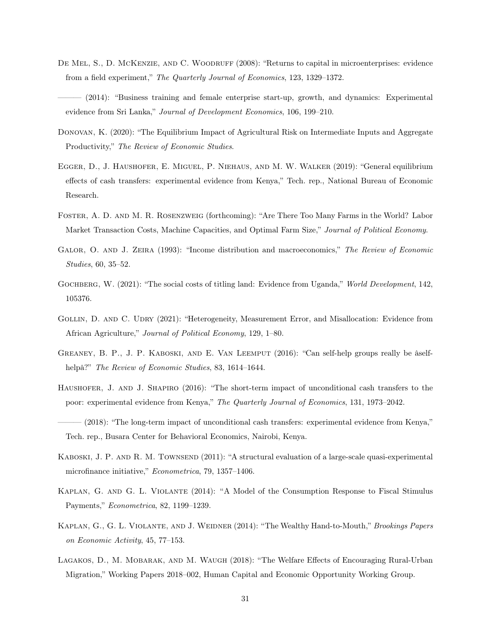- <span id="page-31-1"></span>DE MEL, S., D. MCKENZIE, AND C. WOODRUFF (2008): "Returns to capital in microenterprises: evidence from a field experiment," The Quarterly Journal of Economics, 123, 1329–1372.
- <span id="page-31-2"></span>——— (2014): "Business training and female enterprise start-up, growth, and dynamics: Experimental evidence from Sri Lanka," Journal of Development Economics, 106, 199–210.
- <span id="page-31-7"></span>Donovan, K. (2020): "The Equilibrium Impact of Agricultural Risk on Intermediate Inputs and Aggregate Productivity," The Review of Economic Studies.
- <span id="page-31-5"></span>Egger, D., J. Haushofer, E. Miguel, P. Niehaus, and M. W. Walker (2019): "General equilibrium effects of cash transfers: experimental evidence from Kenya," Tech. rep., National Bureau of Economic Research.
- <span id="page-31-13"></span>Foster, A. D. and M. R. Rosenzweig (forthcoming): "Are There Too Many Farms in the World? Labor Market Transaction Costs, Machine Capacities, and Optimal Farm Size," Journal of Political Economy.
- <span id="page-31-6"></span>GALOR, O. AND J. ZEIRA (1993): "Income distribution and macroeconomics," The Review of Economic Studies, 60, 35–52.
- <span id="page-31-11"></span>GOCHBERG, W. (2021): "The social costs of titling land: Evidence from Uganda," World Development, 142, 105376.
- <span id="page-31-14"></span>GOLLIN, D. AND C. UDRY (2021): "Heterogeneity, Measurement Error, and Misallocation: Evidence from African Agriculture," Journal of Political Economy, 129, 1–80.
- <span id="page-31-12"></span>Greaney, B. P., J. P. Kaboski, and E. Van Leemput (2016): "Can self-help groups really be âselfhelpâ?" *The Review of Economic Studies*, 83, 1614–1644.
- <span id="page-31-3"></span>Haushofer, J. and J. Shapiro (2016): "The short-term impact of unconditional cash transfers to the poor: experimental evidence from Kenya," The Quarterly Journal of Economics, 131, 1973–2042.
- <span id="page-31-4"></span>(2018): "The long-term impact of unconditional cash transfers: experimental evidence from Kenya," Tech. rep., Busara Center for Behavioral Economics, Nairobi, Kenya.
- <span id="page-31-0"></span>KABOSKI, J. P. AND R. M. TOWNSEND (2011): "A structural evaluation of a large-scale quasi-experimental microfinance initiative," Econometrica, 79, 1357–1406.
- <span id="page-31-9"></span>Kaplan, G. and G. L. Violante (2014): "A Model of the Consumption Response to Fiscal Stimulus Payments," Econometrica, 82, 1199–1239.
- <span id="page-31-10"></span>KAPLAN, G., G. L. VIOLANTE, AND J. WEIDNER (2014): "The Wealthy Hand-to-Mouth," Brookings Papers on Economic Activity, 45, 77–153.
- <span id="page-31-8"></span>Lagakos, D., M. Mobarak, and M. Waugh (2018): "The Welfare Effects of Encouraging Rural-Urban Migration," Working Papers 2018–002, Human Capital and Economic Opportunity Working Group.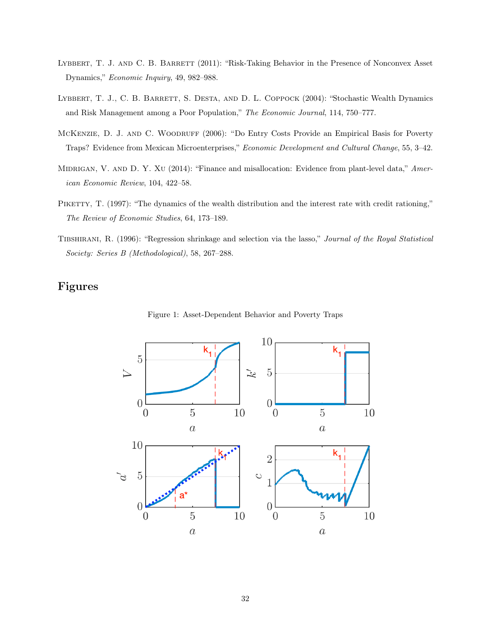- <span id="page-32-3"></span>LYBBERT, T. J. AND C. B. BARRETT (2011): "Risk-Taking Behavior in the Presence of Nonconvex Asset Dynamics," Economic Inquiry, 49, 982–988.
- <span id="page-32-2"></span>LYBBERT, T. J., C. B. BARRETT, S. DESTA, AND D. L. COPPOCK (2004): "Stochastic Wealth Dynamics and Risk Management among a Poor Population," The Economic Journal, 114, 750–777.
- <span id="page-32-4"></span>McKenzie, D. J. and C. Woodruff (2006): "Do Entry Costs Provide an Empirical Basis for Poverty Traps? Evidence from Mexican Microenterprises," Economic Development and Cultural Change, 55, 3–42.
- <span id="page-32-0"></span>MIDRIGAN, V. AND D. Y. XU (2014): "Finance and misallocation: Evidence from plant-level data," American Economic Review, 104, 422–58.
- <span id="page-32-1"></span>PIKETTY, T. (1997): "The dynamics of the wealth distribution and the interest rate with credit rationing," The Review of Economic Studies, 64, 173–189.
- <span id="page-32-6"></span>Tibshirani, R. (1996): "Regression shrinkage and selection via the lasso," Journal of the Royal Statistical Society: Series B (Methodological), 58, 267–288.

# <span id="page-32-5"></span>Figures



Figure 1: Asset-Dependent Behavior and Poverty Traps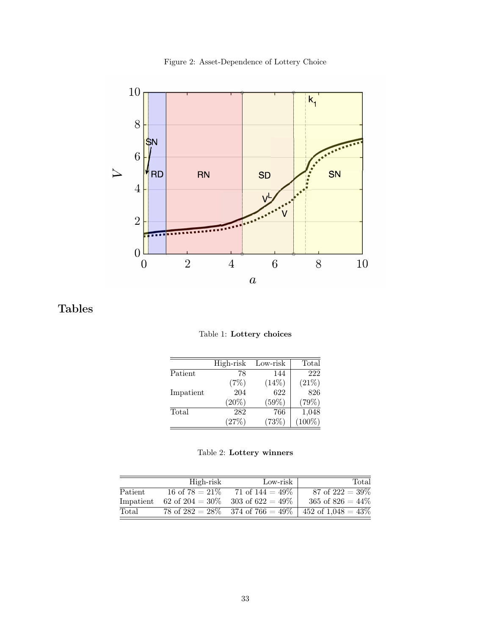Figure 2: Asset-Dependence of Lottery Choice

<span id="page-33-0"></span>

<span id="page-33-1"></span>Tables

Table 1: Lottery choices

|           | High-risk | Low-risk | Total     |
|-----------|-----------|----------|-----------|
| Patient   | 78        | 144      | 222       |
|           | (7%)      | $(14\%)$ | (21%)     |
| Impatient | 204       | 622      | 826       |
|           | $(20\%)$  | (59%)    | (79%)     |
| Total     | 282       | 766      | 1,048     |
|           | (27%)     | (73%)    | $(100\%)$ |

<span id="page-33-2"></span>

|           | High-risk          | Low-risk            | Total                 |
|-----------|--------------------|---------------------|-----------------------|
| Patient   | 16 of $78 = 21\%$  | 71 of $144 = 49\%$  | 87 of $222 = 39\%$    |
| Impatient | 62 of 204 = $30\%$ | 303 of $622 = 49\%$ | 365 of $826 = 44\%$   |
| Total     | 78 of $282 = 28\%$ | 374 of $766 = 49\%$ | 452 of $1,048 = 43\%$ |
|           |                    |                     |                       |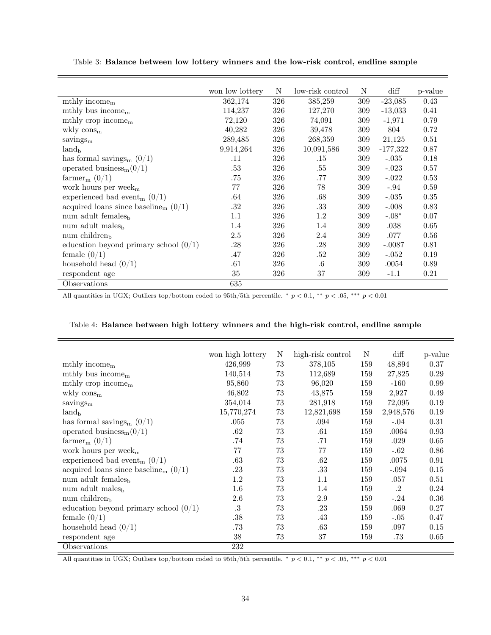|                                                    | won low lottery | N   | low-risk control | N   | $\mathrm{diff}$ | p-value |
|----------------------------------------------------|-----------------|-----|------------------|-----|-----------------|---------|
| mthly income $m$                                   | 362,174         | 326 | 385,259          | 309 | $-23,085$       | 0.43    |
| mthly bus income <sub>m</sub>                      | 114,237         | 326 | 127,270          | 309 | $-13,033$       | 0.41    |
| mthly crop income $_{\rm m}$                       | 72,120          | 326 | 74,091           | 309 | $-1,971$        | 0.79    |
| wkly $\cos_{m}$                                    | 40,282          | 326 | 39,478           | 309 | 804             | 0.72    |
| savings <sub>m</sub>                               | 289,485         | 326 | 268,359          | 309 | 21,125          | 0.51    |
| $land_{\rm b}$                                     | 9,914,264       | 326 | 10,091,586       | 309 | $-177,322$      | 0.87    |
| has formal savings <sub>m</sub> $(0/1)$            | .11             | 326 | .15              | 309 | $-.035$         | 0.18    |
| operated business <sub>m</sub> $(0/1)$             | .53             | 326 | .55              | 309 | $-.023$         | 0.57    |
| farmer <sub>m</sub> $(0/1)$                        | .75             | 326 | .77              | 309 | $-.022$         | 0.53    |
| work hours per week <sub>m</sub>                   | 77              | 326 | 78               | 309 | $-.94$          | 0.59    |
| experienced bad event <sub>m</sub> $(0/1)$         | .64             | 326 | .68              | 309 | $-.035$         | 0.35    |
| acquired loans since baseline <sub>m</sub> $(0/1)$ | .32             | 326 | .33              | 309 | $-.008$         | 0.83    |
| num adult females <sub>b</sub>                     | 1.1             | 326 | 1.2              | 309 | $-.08*$         | 0.07    |
| num adult males <sub>b</sub>                       | 1.4             | 326 | 1.4              | 309 | .038            | 0.65    |
| num children $_{\rm h}$                            | 2.5             | 326 | 2.4              | 309 | .077            | 0.56    |
| education beyond primary school $(0/1)$            | .28             | 326 | .28              | 309 | $-.0087$        | 0.81    |
| female $(0/1)$                                     | .47             | 326 | .52              | 309 | $-.052$         | 0.19    |
| household head $(0/1)$                             | .61             | 326 | $.6\,$           | 309 | .0054           | 0.89    |
| respondent age                                     | 35              | 326 | 37               | 309 | $-1.1$          | 0.21    |
| Observations                                       | 635             |     |                  |     |                 |         |

<span id="page-34-0"></span>Table 3: Balance between low lottery winners and the low-risk control, endline sample

All quantities in UGX; Outliers top/bottom coded to 95th/5th percentile.  $\ast$   $p < 0.1$ ,  $\ast \ast$   $p < 0.05$ ,  $\ast \ast \ast$   $p < 0.01$ 

|                                                    | won high lottery | N  | high-risk control | N   | $\mathrm{diff}$      | p-value |
|----------------------------------------------------|------------------|----|-------------------|-----|----------------------|---------|
| mthly income $m$                                   | 426,999          | 73 | 378,105           | 159 | 48,894               | 0.37    |
| mthly bus income $m$                               | 140,514          | 73 | 112,689           | 159 | 27,825               | 0.29    |
| mthly crop income $m$                              | 95,860           | 73 | 96,020            | 159 | $-160$               | 0.99    |
| wkly $\cos_{m}$                                    | 46,802           | 73 | 43,875            | 159 | 2,927                | 0.49    |
| savings <sub>m</sub>                               | 354,014          | 73 | 281,918           | 159 | 72,095               | 0.19    |
| $land_{b}$                                         | 15,770,274       | 73 | 12,821,698        | 159 | 2,948,576            | 0.19    |
| has formal savings <sub>m</sub> $(0/1)$            | .055             | 73 | .094              | 159 | $-.04$               | 0.31    |
| operated business <sub>m</sub> $(0/1)$             | .62              | 73 | .61               | 159 | .0064                | 0.93    |
| farmer <sub>m</sub> $(0/1)$                        | .74              | 73 | .71               | 159 | .029                 | 0.65    |
| work hours per week $_m$                           | 77               | 73 | 77                | 159 | $-.62$               | 0.86    |
| experienced bad event <sub>m</sub> $(0/1)$         | .63              | 73 | .62               | 159 | .0075                | 0.91    |
| acquired loans since baseline <sub>m</sub> $(0/1)$ | .23              | 73 | .33               | 159 | $-.094$              | 0.15    |
| num adult females <sub>b</sub>                     | 1.2              | 73 | 1.1               | 159 | .057                 | 0.51    |
| num adult males <sub>b</sub>                       | 1.6              | 73 | 1.4               | 159 | $\cdot$ <sup>2</sup> | 0.24    |
| num children $_{\rm b}$                            | 2.6              | 73 | 2.9               | 159 | $-.24$               | 0.36    |
| education beyond primary school $(0/1)$            | $.3\,$           | 73 | .23               | 159 | .069                 | 0.27    |
| female $(0/1)$                                     | .38              | 73 | .43               | 159 | $-.05$               | 0.47    |
| household head $(0/1)$                             | .73              | 73 | .63               | 159 | .097                 | 0.15    |
| respondent age                                     | 38               | 73 | 37                | 159 | .73                  | 0.65    |
| Observations                                       | 232              |    |                   |     |                      |         |

<span id="page-34-1"></span>

All quantities in UGX; Outliers top/bottom coded to 95th/5th percentile. \*  $p < 0.1$ , \*\*  $p < 0.05$ , \*\*\*  $p < 0.01$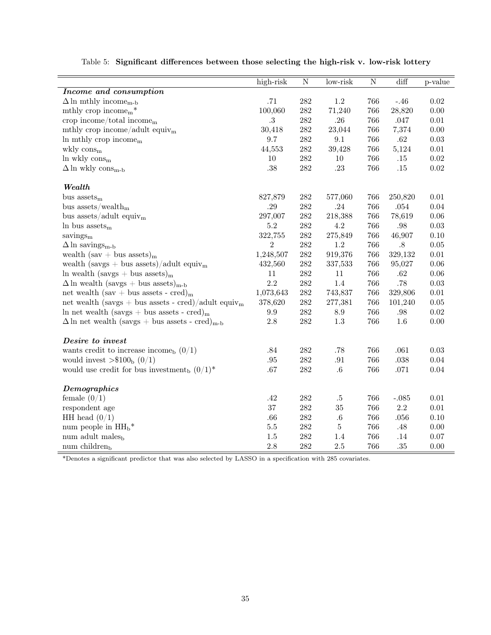<span id="page-35-0"></span>

|                                                                   | high-risk        | $\overline{\text{N}}$ | $low-risk$ | $\overline{\text{N}}$ | $\overline{\text{diff}}$ | p-value  |
|-------------------------------------------------------------------|------------------|-----------------------|------------|-----------------------|--------------------------|----------|
| Income and consumption                                            |                  |                       |            |                       |                          |          |
| $\Delta\ln$ mthly income<br>m-b                                   | .71              | $282\,$               | $1.2\,$    | 766                   | $-.46$                   | 0.02     |
| mthly crop income <sub>m</sub> $*$                                | 100,060          | 282                   | 71,240     | 766                   | 28,820                   | $0.00\,$ |
| crop income/total income $_{\rm m}$                               | $.3\,$           | 282                   | .26        | 766                   | .047                     | $0.01\,$ |
| mthly crop income/adult equiv <sub>m</sub>                        | 30,418           | $282\,$               | 23,044     | 766                   | 7,374                    | 0.00     |
| In mthly crop income $m$                                          | 9.7              | $282\,$               | 9.1        | 766                   | $.62\,$                  | 0.03     |
| wkly $\cos_m$                                                     | 44,553           | $\bf 282$             | 39,428     | 766                   | 5,124                    | $0.01\,$ |
| $ln$ wkly $consm$                                                 | 10               | $282\,$               | $10\,$     | 766                   | $.15\,$                  | $0.02\,$ |
| $\Delta\ln$ wkly $\rm cons_{m\text{-}b}$                          | .38              | 282                   | $.23\,$    | 766                   | $.15\,$                  | $0.02\,$ |
| Wealth                                                            |                  |                       |            |                       |                          |          |
| bus $\text{asserts}_{m}$                                          | 827,879          | $282\,$               | 577,060    | 766                   | 250,820                  | 0.01     |
| bus assets/wealth $_{\rm m}$                                      | .29              | $282\,$               | .24        | 766                   | .054                     | 0.04     |
| bus assets/adult equiv <sub>m</sub>                               | 297,007          | $282\,$               | 218,388    | 766                   | 78,619                   | $0.06\,$ |
| In bus assets $_m$                                                | $5.2\,$          | $282\,$               | 4.2        | 766                   | .98                      | 0.03     |
| savings <sub>m</sub>                                              | 322,755          | $282\,$               | 275,849    | 766                   | 46,907                   | 0.10     |
| $\Delta$ ln savings <sub>m-b</sub>                                | $\boldsymbol{2}$ | $282\,$               | 1.2        | 766                   | .8                       | $0.05\,$ |
| wealth $(sav + bus \; assets)_{m}$                                | 1,248,507        | $282\,$               | 919,376    | 766                   | 329,132                  | $0.01\,$ |
| wealth (savgs + bus assets)/adult equiv <sub>m</sub>              | 432,560          | $282\,$               | 337,533    | 766                   | 95,027                   | $0.06\,$ |
| $\ln$ wealth (savgs + bus assets) <sub>m</sub>                    | 11               | 282                   | $11\,$     | 766                   | $.62\,$                  | 0.06     |
| $\Delta$ ln wealth (savgs + bus assets) <sub>m-b</sub>            | 2.2              | 282                   | $1.4\,$    | 766                   | $.78\,$                  | 0.03     |
| net wealth (sav + bus assets - cred) <sub>m</sub>                 | 1,073,643        | $282\,$               | 743,837    | 766                   | 329,806                  | $0.01\,$ |
| net wealth (savgs + bus assets - cred)/adult equiv <sub>m</sub>   | 378,620          | $282\,$               | 277,381    | 766                   | 101,240                  | 0.05     |
| ln net wealth (savgs + bus assets - cred) <sub>m</sub>            | 9.9              | $282\,$               | $\ \, 8.9$ | 766                   | .98                      | $0.02\,$ |
| $\Delta$ ln net wealth (savgs + bus assets - cred) <sub>m-b</sub> | $2.8\,$          | $\bf 282$             | $1.3\,$    | 766                   | $1.6\,$                  | $0.00\,$ |
| Desire to invest                                                  |                  |                       |            |                       |                          |          |
| wants credit to increase income <sub>b</sub> $(0/1)$              | $.84\,$          | 282                   | $.78\,$    | 766                   | .061                     | 0.03     |
| would invest $> $100b (0/1)$                                      | $.95\,$          | $282\,$               | .91        | 766                   | .038                     | 0.04     |
| would use credit for bus investment <sub>b</sub> $(0/1)^*$        | .67              | $282\,$               | $.6\,$     | 766                   | $.071\,$                 | $0.04\,$ |
| Demographics                                                      |                  |                       |            |                       |                          |          |
| female $(0/1)$                                                    | .42              | 282                   | $.5\,$     | 766                   | $-.085$                  | 0.01     |
| respondent age                                                    | $37\,$           | $282\,$               | $35\,$     | 766                   | $2.2\,$                  | $0.01\,$ |
| HH head $(0/1)$                                                   | .66              | 282                   | $.6\,$     | 766                   | .056                     | 0.10     |
| num people in $HH_b*$                                             | $5.5\,$          | $282\,$               | $\bf 5$    | 766                   | $.48\,$                  | 0.00     |
| num adult males <sub>b</sub>                                      | 1.5              | $282\,$               | 1.4        | 766                   | $.14\,$                  | 0.07     |
| num children <sub>b</sub>                                         | 2.8              | 282                   | 2.5        | 766                   | $.35\,$                  | 0.00     |

Table 5: Significant differences between those selecting the high-risk v. low-risk lottery

\*Denotes a significant predictor that was also selected by LASSO in a specification with 285 covariates.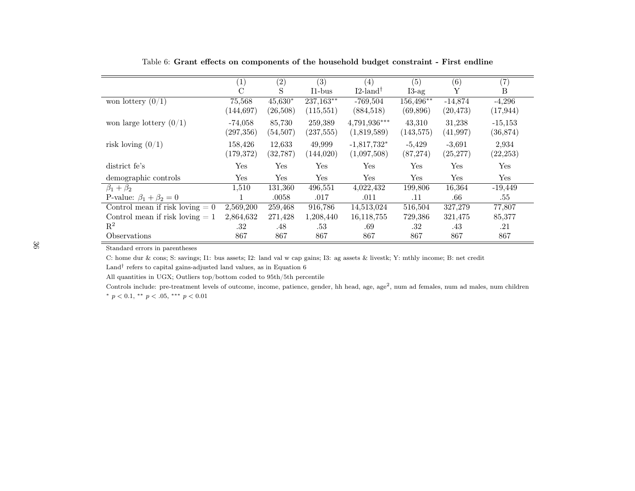|                                   | $\left( 1\right)$ | (2)       | (3)        | (4)                     | (5)        | (6)       | (7)       |
|-----------------------------------|-------------------|-----------|------------|-------------------------|------------|-----------|-----------|
|                                   | $\rm _C$          | S         | $11-bus$   | $I2$ -land <sup>†</sup> | $I3-ag$    | Υ         | B         |
| won lottery $(0/1)$               | 75,568            | $45,630*$ | 237,163**  | $-769,504$              | 156,496**  | $-14,874$ | $-4,296$  |
|                                   | (144, 697)        | (26,508)  | (115, 551) | (884, 518)              | (69, 896)  | (20, 473) | (17, 944) |
| won large lottery $(0/1)$         | $-74,058$         | 85,730    | 259,389    | $4,791,936***$          | 43,310     | 31,238    | $-15,153$ |
|                                   | (297, 356)        | (54,507)  | (237, 555) | (1,819,589)             | (143, 575) | (41, 997) | (36, 874) |
| risk loving $(0/1)$               | 158,426           | 12,633    | 49,999     | $-1,817,732*$           | $-5,429$   | $-3,691$  | 2,934     |
|                                   | (179, 372)        | (32, 787) | (144,020)  | (1,097,508)             | (87, 274)  | (25, 277) | (22, 253) |
| district fe's                     | Yes               | Yes       | Yes        | Yes                     | Yes        | Yes       | Yes       |
| demographic controls              | Yes               | Yes       | Yes        | Yes                     | Yes        | Yes       | Yes       |
| $\beta_1+\beta_2$                 | 1,510             | 131,360   | 496,551    | 4,022,432               | 199,806    | 16,364    | $-19,449$ |
| P-value: $\beta_1 + \beta_2 = 0$  |                   | .0058     | .017       | .011                    | .11        | .66       | .55       |
| Control mean if risk loving $= 0$ | 2,569,200         | 259,468   | 916,786    | 14,513,024              | 516,504    | 327,279   | 77,807    |
| Control mean if risk loving $= 1$ | 2,864,632         | 271,428   | 1,208,440  | 16,118,755              | 729,386    | 321,475   | 85,377    |
| $\mathbf{R}^2$                    | .32               | .48       | .53        | .69                     | .32        | .43       | .21       |
| Observations                      | 867               | 867       | 867        | 867                     | 867        | 867       | 867       |

Table 6: Grant effects on components of the household budget constraint - First endline

C: home dur & cons; S: savings; I1: bus assets; I2: land val <sup>w</sup> cap gains; I3: ag assets & livestk; Y: mthly income; B: net credit

Land<sup>†</sup> refers to capital gains-adjusted land values, as in Equation  $6$ 

All quantities in UGX; Outliers top/bottom coded to 95th/5th percentile

<span id="page-36-0"></span>Controls include: pre-treatment levels of outcome, income, patience, gender, hh head, age, age<sup>2</sup>, num ad females, num ad males, num children \*  $p < 0.1$ , \*\*  $p < .05$ , \*\*\*  $p < 0.01$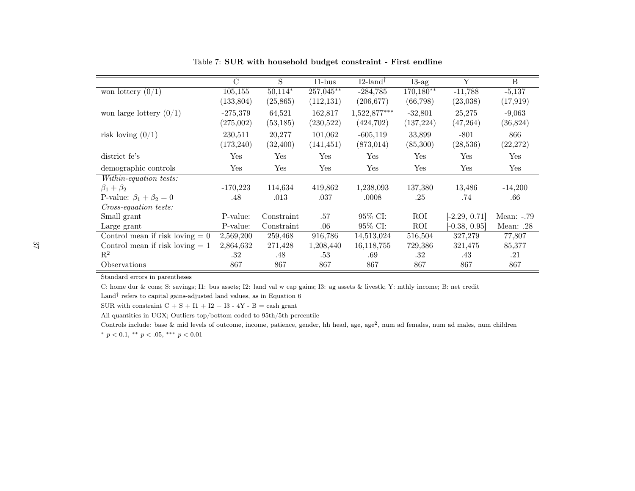|                                   | $\rm C$    | S          | $I1-bus$   | $I2$ -land <sup>†</sup> | $I3-ag$     | Y               | <sub>B</sub> |
|-----------------------------------|------------|------------|------------|-------------------------|-------------|-----------------|--------------|
| won lottery $(0/1)$               | 105,155    | $50,114*$  | 257,045**  | $-284,785$              | $170,180**$ | $-11,788$       | $-5,137$     |
|                                   | (133, 804) | (25, 865)  | (112, 131) | (206, 677)              | (66, 798)   | (23,038)        | (17, 919)    |
| won large lottery $(0/1)$         | $-275,379$ | 64,521     | 162,817    | 1,522,877***            | $-32,801$   | 25,275          | $-9,063$     |
|                                   | (275,002)  | (53, 185)  | (230, 522) | (424, 702)              | (137, 224)  | (47, 264)       | (36, 824)    |
| risk loving $(0/1)$               | 230,511    | 20,277     | 101,062    | $-605, 119$             | 33,899      | $-801$          | 866          |
|                                   | (173, 240) | (32, 400)  | (141, 451) | (873, 014)              | (85,300)    | (28, 536)       | (22, 272)    |
| district fe's                     | Yes        | Yes        | Yes        | Yes                     | Yes         | Yes             | Yes          |
| demographic controls              | Yes        | Yes        | Yes        | Yes                     | Yes         | Yes             | Yes          |
| Within-equation tests:            |            |            |            |                         |             |                 |              |
| $\beta_1+\beta_2$                 | $-170,223$ | 114,634    | 419,862    | 1,238,093               | 137,380     | 13,486          | $-14,200$    |
| P-value: $\beta_1 + \beta_2 = 0$  | .48        | .013       | .037       | .0008                   | .25         | .74             | .66          |
| Cross-equation tests:             |            |            |            |                         |             |                 |              |
| Small grant                       | P-value:   | Constraint | .57        | 95% CI:                 | ROI         | $[-2.29, 0.71]$ | Mean: $-.79$ |
| Large grant                       | P-value:   | Constraint | $.06\,$    | 95\% CI:                | ROI         | $[-0.38, 0.95]$ | Mean: .28    |
| Control mean if risk loving $= 0$ | 2,569,200  | 259,468    | 916,786    | 14,513,024              | 516,504     | 327,279         | 77,807       |
| Control mean if risk loving $= 1$ | 2,864,632  | 271,428    | 1,208,440  | 16, 118, 755            | 729,386     | 321,475         | 85,377       |
| $\mathbf{R}^2$                    | .32        | .48        | .53        | .69                     | .32         | .43             | .21          |
| Observations                      | 867        | 867        | 867        | 867                     | 867         | 867             | 867          |

Table 7: SUR with household budget constraint - First endline

C: home dur & cons; S: savings; I1: bus assets; I2: land val <sup>w</sup> cap gains; I3: ag assets & livestk; Y: mthly income; B: net credit

Land<sup>†</sup> refers to capital gains-adjusted land values, as in Equation [6](#page-13-0)

SUR with constraint  $C + S + I1 + I2 + I3 - 4Y - B = \cosh \text{ grant}$ 

All quantities in UGX; Outliers top/bottom coded to 95th/5th percentile

<span id="page-37-0"></span>Controls include: base & mid levels of outcome, income, patience, gender, hh head, age, age<sup>2</sup>, num ad females, num ad males, num children \*  $p < 0.1$ , \*\*  $p < .05$ , \*\*\*  $p < 0.01$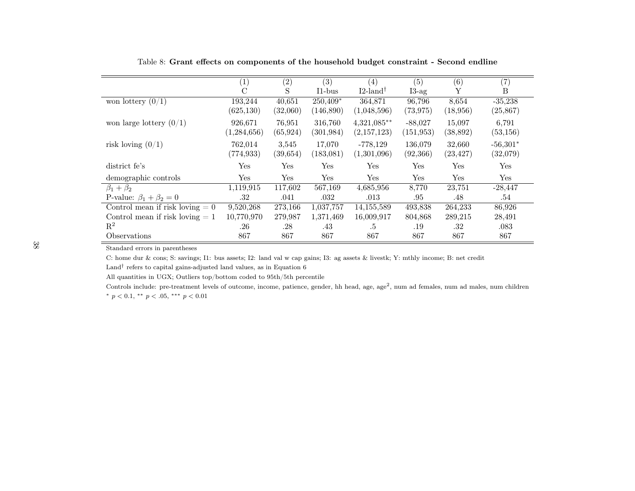|                                   | (1)           | (2)       | (3)        | (4)                     | (5)        | (6)       | (7)        |
|-----------------------------------|---------------|-----------|------------|-------------------------|------------|-----------|------------|
|                                   | $\mathcal{C}$ | S         | $I1-bus$   | $I2$ -land <sup>†</sup> | $I3-ag$    | Υ         | B          |
| won lottery $(0/1)$               | 193,244       | 40,651    | 250,409*   | 364,871                 | 96,796     | 8,654     | $-35,238$  |
|                                   | (625, 130)    | (32,060)  | (146,890)  | (1,048,596)             | (73, 975)  | (18, 956) | (25, 867)  |
| won large lottery $(0/1)$         | 926,671       | 76,951    | 316,760    | $4,321,085**$           | $-88,027$  | 15,097    | 6,791      |
|                                   | (1,284,656)   | (65, 924) | (301, 984) | (2,157,123)             | (151, 953) | (38, 892) | (53, 156)  |
| risk loving $(0/1)$               | 762,014       | 3,545     | 17,070     | $-778,129$              | 136,079    | 32,660    | $-56,301*$ |
|                                   | (774, 933)    | (39, 654) | (183,081)  | (1,301,096)             | (92, 366)  | (23, 427) | (32,079)   |
| district fe's                     | Yes           | Yes       | Yes        | Yes                     | Yes        | Yes       | Yes        |
| demographic controls              | Yes           | Yes       | Yes        | Yes                     | Yes        | Yes       | Yes        |
| $\beta_1+\beta_2$                 | 1,119,915     | 117,602   | 567,169    | 4,685,956               | 8,770      | 23,751    | $-28,447$  |
| P-value: $\beta_1 + \beta_2 = 0$  | .32           | .041      | .032       | .013                    | .95        | .48       | .54        |
| Control mean if risk loving $= 0$ | 9,520,268     | 273,166   | 1,037,757  | 14, 155, 589            | 493,838    | 264,233   | 86,926     |
| Control mean if risk loving $= 1$ | 10,770,970    | 279,987   | 1,371,469  | 16,009,917              | 804,868    | 289,215   | 28,491     |
| $\mathbf{R}^2$                    | .26           | .28       | .43        | .5                      | .19        | .32       | .083       |
| Observations                      | 867           | 867       | 867        | 867                     | 867        | 867       | 867        |

Table 8: Grant effects on components of the household budget constraint - Second endline

C: home dur & cons; S: savings; I1: bus assets; I2: land val <sup>w</sup> cap gains; I3: ag assets & livestk; Y: mthly income; B: net credit

Land<sup>†</sup> refers to capital gains-adjusted land values, as in Equation  $6$ 

All quantities in UGX; Outliers top/bottom coded to 95th/5th percentile

<span id="page-38-0"></span>Controls include: pre-treatment levels of outcome, income, patience, gender, hh head, age, age<sup>2</sup>, num ad females, num ad males, num children \*  $p < 0.1$ , \*\*  $p < .05$ , \*\*\*  $p < 0.01$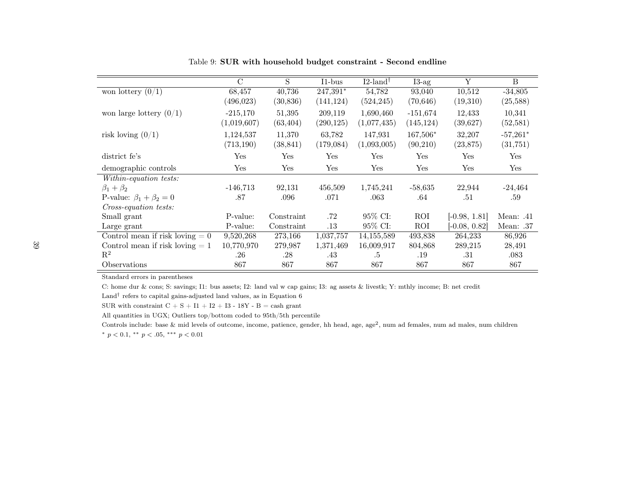|                                   | $\mathcal{C}$ | S          | $11-bus$   | $I2$ -land <sup>†</sup> | $I3-ag$    | Y             | B          |
|-----------------------------------|---------------|------------|------------|-------------------------|------------|---------------|------------|
| won lottery $(0/1)$               | 68,457        | 40,736     | $247,391*$ | 54,782                  | 93,040     | 10,512        | $-34,805$  |
|                                   | (496, 023)    | (30, 836)  | (141, 124) | (524, 245)              | (70, 646)  | (19,310)      | (25,588)   |
| won large lottery $(0/1)$         | $-215,170$    | 51,395     | 209,119    | 1,690,460               | $-151,674$ | 12,433        | 10,341     |
|                                   | (1,019,607)   | (63, 404)  | (290, 125) | (1,077,435)             | (145, 124) | (39,627)      | (52, 581)  |
| risk loving $(0/1)$               | 1,124,537     | 11,370     | 63,782     | 147,931                 | 167,506*   | 32,207        | $-57,261*$ |
|                                   | (713, 190)    | (38, 841)  | (179,084)  | (1,093,005)             | (90,210)   | (23, 875)     | (31, 751)  |
| district fe's                     | Yes           | Yes        | Yes        | Yes                     | Yes        | Yes           | Yes        |
| demographic controls              | Yes           | Yes        | Yes        | Yes                     | Yes        | Yes           | Yes        |
| Within-equation tests:            |               |            |            |                         |            |               |            |
| $\beta_1+\beta_2$                 | $-146,713$    | 92,131     | 456,509    | 1,745,241               | $-58,635$  | 22,944        | $-24,464$  |
| P-value: $\beta_1 + \beta_2 = 0$  | .87           | .096       | .071       | .063                    | .64        | .51           | .59        |
| Cross-equation tests:             |               |            |            |                         |            |               |            |
| Small grant                       | P-value:      | Constraint | .72        | 95\% CI:                | ROI        | $-0.98, 1.81$ | Mean: .41  |
| Large grant                       | P-value:      | Constraint | $.13\,$    | 95% CI:                 | ROI        | $-0.08, 0.82$ | Mean: .37  |
| Control mean if risk loving $= 0$ | 9,520,268     | 273,166    | 1,037,757  | 14, 155, 589            | 493,838    | 264,233       | 86,926     |
| Control mean if risk loving $= 1$ | 10,770,970    | 279,987    | 1,371,469  | 16,009,917              | 804,868    | 289,215       | 28,491     |
| $\mathbf{R}^2$                    | .26           | .28        | .43        | .5                      | .19        | .31           | .083       |
| Observations                      | 867           | 867        | 867        | 867                     | 867        | 867           | 867        |

Table 9: SUR with household budget constraint - Second endline

C: home dur & cons; S: savings; I1: bus assets; I2: land val <sup>w</sup> cap gains; I3: ag assets & livestk; Y: mthly income; B: net credit

Land<sup>†</sup> refers to capital gains-adjusted land values, as in Equation [6](#page-13-0)

SUR with constraint  $C + S + I1 + I2 + I3 - 18Y - B = \cosh \text{ grant}$ 

All quantities in UGX; Outliers top/bottom coded to 95th/5th percentile

<span id="page-39-0"></span>Controls include: base & mid levels of outcome, income, patience, gender, hh head, age, age<sup>2</sup>, num ad females, num ad males, num children \*  $p < 0.1$ , \*\*  $p < .05$ , \*\*\*  $p < 0.01$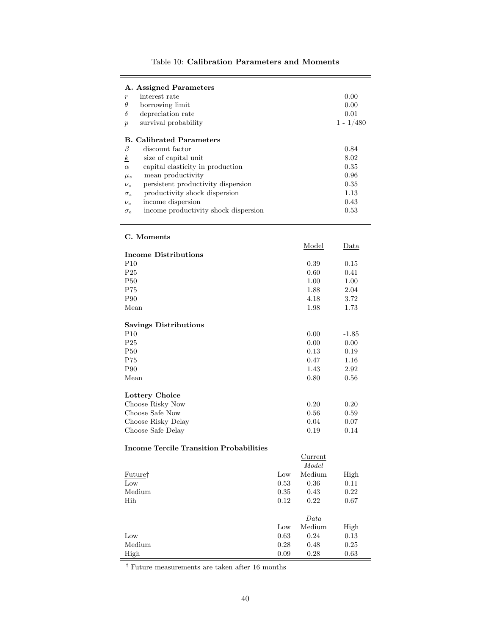<span id="page-40-0"></span>

| A. Assigned Parameters                             |             |
|----------------------------------------------------|-------------|
| interest rate<br>$\boldsymbol{r}$                  | 0.00        |
| $\theta$<br>borrowing limit                        | 0.00        |
| δ<br>depreciation rate                             | 0.01        |
| survival probability<br>$\boldsymbol{p}$           | $1 - 1/480$ |
| <b>B.</b> Calibrated Parameters                    |             |
| β<br>discount factor                               | 0.84        |
| $\boldsymbol{k}$<br>size of capital unit           | 8.02        |
| capital elasticity in production<br>$\alpha$       | 0.35        |
| mean productivity<br>$\mu_z$                       | 0.96        |
| persistent productivity dispersion<br>$\nu_z$      | 0.35        |
| productivity shock dispersion<br>$\sigma_z$        | 1.13        |
| income dispersion<br>$\nu_e$                       | 0.43        |
| income productivity shock dispersion<br>$\sigma_e$ | 0.53        |

### Table 10: Calibration Parameters and Moments

#### C. Moments

|                              | Model | Data    |
|------------------------------|-------|---------|
| <b>Income Distributions</b>  |       |         |
| P10                          | 0.39  | 0.15    |
| P <sub>25</sub>              | 0.60  | 0.41    |
| P50                          | 1.00  | 1.00    |
| P75                          | 1.88  | 2.04    |
| P90                          | 4.18  | 3.72    |
| Mean                         | 1.98  | 1.73    |
| <b>Savings Distributions</b> |       |         |
| P <sub>10</sub>              | 0.00  | $-1.85$ |
| P <sub>25</sub>              | 0.00  | 0.00    |
| P50                          | 0.13  | 0.19    |
| P75                          | 0.47  | 1.16    |
| P90                          | 1.43  | 2.92    |
| Mean                         | 0.80  | 0.56    |
| Lottery Choice               |       |         |
| Choose Risky Now             | 0.20  | 0.20    |
| Choose Safe Now              | 0.56  | 0.59    |
| Choose Risky Delay           | 0.04  | 0.07    |
| Choose Safe Delay            | 0.19  | 0.14    |

### Income Tercile Transition Probabilities

|         |      | Current<br>Model |      |
|---------|------|------------------|------|
| Future† | Low  | Medium           | High |
| Low     | 0.53 | 0.36             | 0.11 |
| Medium  | 0.35 | 0.43             | 0.22 |
| Hih     | 0.12 | 0.22             | 0.67 |
|         |      | Data             |      |
|         | Low  | Medium           | High |
| Low     | 0.63 | 0.24             | 0.13 |
| Medium  | 0.28 | 0.48             | 0.25 |
| High    | 0.09 | 0.28             | 0.63 |

 $^\dagger$  Future measurements are taken after 16 months

-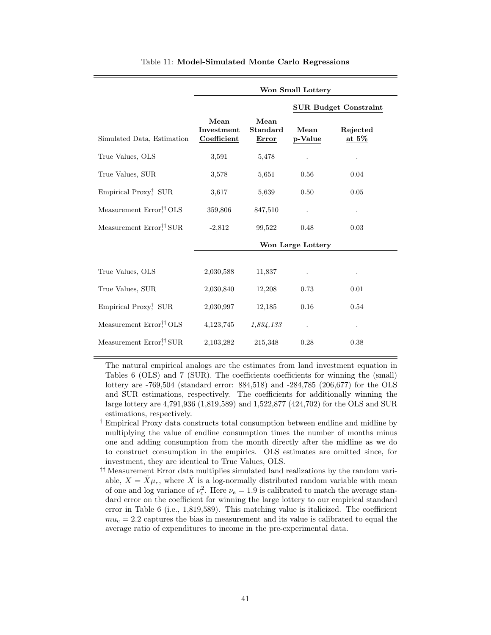<span id="page-41-0"></span>

|                                                                 | Won Small Lottery                 |                                  |                   |                              |  |  |  |
|-----------------------------------------------------------------|-----------------------------------|----------------------------------|-------------------|------------------------------|--|--|--|
|                                                                 |                                   |                                  |                   | <b>SUR Budget Constraint</b> |  |  |  |
| Simulated Data, Estimation                                      | Mean<br>Investment<br>Coefficient | Mean<br>Standard<br><b>Error</b> | Mean<br>p-Value   | Rejected<br>at $5\%$         |  |  |  |
| True Values, OLS                                                | 3,591                             | 5,478                            |                   |                              |  |  |  |
| True Values, SUR                                                | 3,578                             | 5,651                            | 0.56              | 0.04                         |  |  |  |
| Empirical Proxy <sup>†</sup> , SUR                              | 3,617                             | 5,639                            | 0.50              | 0.05                         |  |  |  |
| Measurement Error, <sup>††</sup> OLS                            | 359,806                           | 847,510                          |                   |                              |  |  |  |
| Measurement Error <sup>††</sup> SUR                             | $-2,812$                          | 99,522                           | 0.48              | 0.03                         |  |  |  |
|                                                                 |                                   |                                  | Won Large Lottery |                              |  |  |  |
| True Values, OLS                                                | 2,030,588                         | 11,837                           |                   |                              |  |  |  |
| True Values, SUR                                                | 2,030,840                         | 12,208                           | 0.73              | 0.01                         |  |  |  |
| Empirical Proxy, SUR                                            | 2,030,997                         | 12,185                           | 0.16              | 0.54                         |  |  |  |
| Measurement Error, <sup>††</sup> OLS                            | 4, 123, 745                       | 1,834,133                        | $\cdot$           |                              |  |  |  |
| Measurement $\mathrm{Error}_\cdot^{\dagger\dagger}\mathrm{SUR}$ | 2,103,282                         | 215,348                          | 0.28              | 0.38                         |  |  |  |

#### Table 11: Model-Simulated Monte Carlo Regressions

The natural empirical analogs are the estimates from land investment equation in Tables [6](#page-36-0) (OLS) and [7](#page-37-0) (SUR). The coefficients coefficients for winning the (small) lottery are -769,504 (standard error: 884,518) and -284,785 (206,677) for the OLS and SUR estimations, respectively. The coefficients for additionally winning the large lottery are 4,791,936 (1,819,589) and 1,522,877 (424,702) for the OLS and SUR estimations, respectively.

- † Empirical Proxy data constructs total consumption between endline and midline by multiplying the value of endline consumption times the number of months minus one and adding consumption from the month directly after the midline as we do to construct consumption in the empirics. OLS estimates are omitted since, for investment, they are identical to True Values, OLS.
- †† Measurement Error data multiplies simulated land realizations by the random variable,  $X = \tilde{X}\mu_e$ , where  $\tilde{X}$  is a log-normally distributed random variable with mean of one and log variance of  $\nu_e^2$ . Here  $\nu_e = 1.9$  is calibrated to match the average standard error on the coefficient for winning the large lottery to our empirical standard error in Table [6](#page-36-0) (i.e., 1,819,589). This matching value is italicized. The coefficient  $mu_e = 2.2$  captures the bias in measurement and its value is calibrated to equal the average ratio of expenditures to income in the pre-experimental data.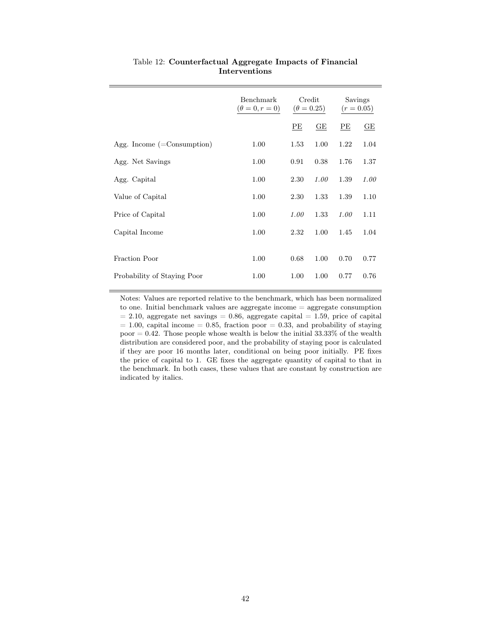<span id="page-42-0"></span>

|                                     | Benchmark<br>$(\theta = 0, r = 0)$ | Credit<br>$(\theta = 0.25)$ |                         | Savings<br>$(r = 0.05)$ |      |
|-------------------------------------|------------------------------------|-----------------------------|-------------------------|-------------------------|------|
|                                     |                                    | PЕ                          | $\underline{\text{GE}}$ | PE                      | GE   |
| Agg. Income $(=\text{Consumption})$ | 1.00                               | 1.53                        | 1.00                    | 1.22                    | 1.04 |
| Agg. Net Savings                    | 1.00                               | 0.91                        | 0.38                    | 1.76                    | 1.37 |
| Agg. Capital                        | 1.00                               | 2.30                        | 1.00                    | 1.39                    | 1.00 |
| Value of Capital                    | 1.00                               | 2.30                        | 1.33                    | 1.39                    | 1.10 |
| Price of Capital                    | 1.00                               | 1.00                        | 1.33                    | 1.00                    | 1.11 |
| Capital Income                      | 1.00                               | 2.32                        | 1.00                    | 1.45                    | 1.04 |
| Fraction Poor                       | 1.00                               | 0.68                        | 1.00                    | 0.70                    | 0.77 |
| Probability of Staying Poor         | 1.00                               | 1.00                        | 1.00                    | 0.77                    | 0.76 |

### Table 12: Counterfactual Aggregate Impacts of Financial Interventions

Notes: Values are reported relative to the benchmark, which has been normalized to one. Initial benchmark values are aggregate income = aggregate consumption  $= 2.10$ , aggregate net savings  $= 0.86$ , aggregate capital  $= 1.59$ , price of capital  $= 1.00$ , capital income  $= 0.85$ , fraction poor  $= 0.33$ , and probability of staying poor  $= 0.42$ . Those people whose wealth is below the initial 33.33% of the wealth distribution are considered poor, and the probability of staying poor is calculated if they are poor 16 months later, conditional on being poor initially. PE fixes the price of capital to 1. GE fixes the aggregate quantity of capital to that in the benchmark. In both cases, these values that are constant by construction are indicated by italics.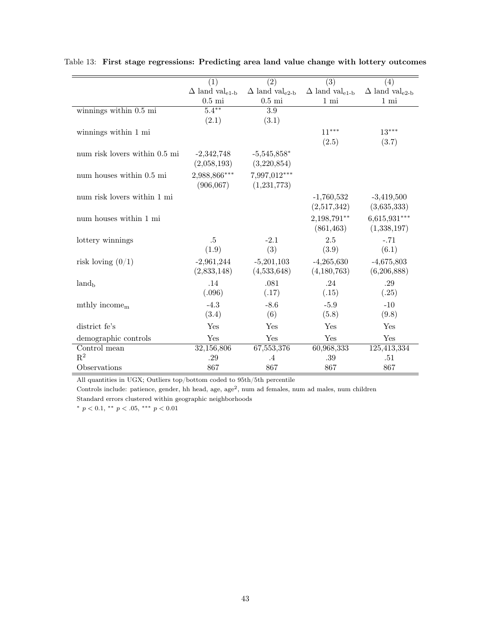|                               | (1)                               | (2)                               | $\overline{(3)}$                  | (4)                               |
|-------------------------------|-----------------------------------|-----------------------------------|-----------------------------------|-----------------------------------|
|                               | $\Delta$ land val <sub>e1-b</sub> | $\Delta$ land val <sub>e2-b</sub> | $\Delta$ land val <sub>e1-b</sub> | $\Delta$ land val <sub>e2-b</sub> |
|                               | $0.5$ mi                          | $0.5$ mi                          | $1 \text{ mi}$                    | $1 \text{ mi}$                    |
| winnings within 0.5 mi        | $5.4***$                          | $\overline{3.9}$                  |                                   |                                   |
|                               | (2.1)                             | (3.1)                             |                                   |                                   |
| winnings within 1 mi          |                                   |                                   | $11***$                           | $13***$                           |
|                               |                                   |                                   | (2.5)                             | (3.7)                             |
|                               |                                   |                                   |                                   |                                   |
| num risk lovers within 0.5 mi | $-2,342,748$                      | $-5,545,858*$                     |                                   |                                   |
|                               | (2,058,193)                       | (3,220,854)                       |                                   |                                   |
| num houses within 0.5 mi      | 2,988,866***                      | 7,997,012***                      |                                   |                                   |
|                               | (906, 067)                        | (1,231,773)                       |                                   |                                   |
| num risk lovers within 1 mi   |                                   |                                   | $-1,760,532$                      | $-3,419,500$                      |
|                               |                                   |                                   | (2,517,342)                       | (3,635,333)                       |
| num houses within 1 mi        |                                   |                                   | 2,198,791**                       | $6,615,931***$                    |
|                               |                                   |                                   | (861, 463)                        | (1,338,197)                       |
| lottery winnings              | .5                                | $-2.1$                            | 2.5                               | $-.71$                            |
|                               | (1.9)                             | (3)                               | (3.9)                             | (6.1)                             |
|                               |                                   |                                   |                                   |                                   |
| risk loving $(0/1)$           | $-2,961,244$                      | $-5,201,103$                      | $-4,265,630$                      | $-4,675,803$                      |
|                               | (2,833,148)                       | (4,533,648)                       | (4,180,763)                       | (6,206,888)                       |
| $land_{\rm b}$                | .14                               | .081                              | .24                               | .29                               |
|                               | (.096)                            | (.17)                             | (.15)                             | (.25)                             |
| mthly income <sub>m</sub>     | $-4.3$                            | $-8.6$                            | $-5.9$                            | $-10$                             |
|                               | (3.4)                             | (6)                               | (5.8)                             | (9.8)                             |
| district fe's                 | Yes                               | Yes                               | Yes                               | Yes                               |
| demographic controls          | Yes                               | Yes                               | Yes                               | Yes                               |
| Control mean                  | 32,156,806                        | 67,553,376                        | 60,968,333                        | 125,413,334                       |
| $R^2$                         | .29                               | $\cdot$ 4                         | .39                               | .51                               |
| Observations                  | 867                               | 867                               | 867                               | 867                               |

<span id="page-43-0"></span>Table 13: First stage regressions: Predicting area land value change with lottery outcomes

All quantities in UGX; Outliers top/bottom coded to 95th/5th percentile

Controls include: patience, gender, hh head, age, age<sup>2</sup>, num ad females, num ad males, num children Standard errors clustered within geographic neighborhoods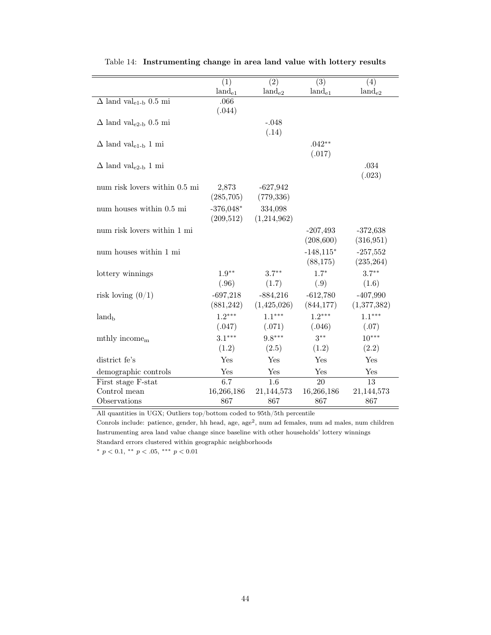<span id="page-44-0"></span>

|                                          | $\overline{(1)}$        | $\overline{(2)}$          | $\overline{(3)}$ | (4)         |
|------------------------------------------|-------------------------|---------------------------|------------------|-------------|
|                                          | $land_{e1}$             | $land_{e2}$               | $land_{e1}$      | $land_{e2}$ |
| $\Delta$ land val <sub>e1-b</sub> 0.5 mi | .066                    |                           |                  |             |
|                                          | (.044)                  |                           |                  |             |
| $\Delta$ land val <sub>e2-b</sub> 0.5 mi |                         | $-.048$                   |                  |             |
|                                          |                         | (.14)                     |                  |             |
| $\Delta$ land val <sub>e1-b</sub> 1 mi   |                         |                           | $.042**$         |             |
|                                          |                         |                           | (.017)           |             |
| $\Delta$ land val <sub>e2-b</sub> 1 mi   |                         |                           |                  | .034        |
|                                          |                         |                           |                  | (.023)      |
| num risk lovers within 0.5 mi            | 2,873                   | $-627,942$                |                  |             |
|                                          | (285,705)               | (779, 336)                |                  |             |
| num houses within 0.5 mi                 | $-376,048*$             | 334,098                   |                  |             |
|                                          | (209,512)               | (1,214,962)               |                  |             |
| num risk lovers within 1 mi              |                         |                           | $-207,493$       | $-372,638$  |
|                                          |                         |                           | (208, 600)       | (316, 951)  |
| num houses within 1 mi                   |                         |                           | $-148,115*$      | $-257,552$  |
|                                          |                         |                           | (88, 175)        | (235, 264)  |
|                                          | $1.9**$                 | $3.7***$                  | $1.7*$           | $3.7***$    |
| lottery winnings                         | (.96)                   | (1.7)                     | (.9)             | (1.6)       |
|                                          |                         |                           |                  |             |
| risk loving $(0/1)$                      | $-697,218$<br>(881,242) | $-884,216$<br>(1,425,026) | $-612,780$       | $-407,990$  |
|                                          |                         |                           | (844,177)        | (1,377,382) |
| land <sub>b</sub>                        | $1.2***$                | $1.1***$                  | $1.2***$         | $1.1***$    |
|                                          | (.047)                  | (.071)                    | (.046)           | (.07)       |
| mthly income $m$                         | $3.1***$                | $9.8***$                  | $3***$           | $10***$     |
|                                          | (1.2)                   | (2.5)                     | (1.2)            | (2.2)       |
| district fe's                            | Yes                     | Yes                       | Yes              | Yes         |
| demographic controls                     | Yes                     | Yes                       | Yes              | Yes         |
| First stage F-stat                       | 6.7                     | 1.6                       | 20               | 13          |
| Control mean                             | 16,266,186              | 21,144,573                | 16,266,186       | 21,144,573  |
| Observations                             | 867                     | 867                       | 867              | 867         |

Table 14: Instrumenting change in area land value with lottery results

All quantities in UGX; Outliers top/bottom coded to 95th/5th percentile

Conrols include: patience, gender, hh head, age, age<sup>2</sup>, num ad females, num ad males, num children Instrumenting area land value change since baseline with other households' lottery winnings Standard errors clustered within geographic neighborhoods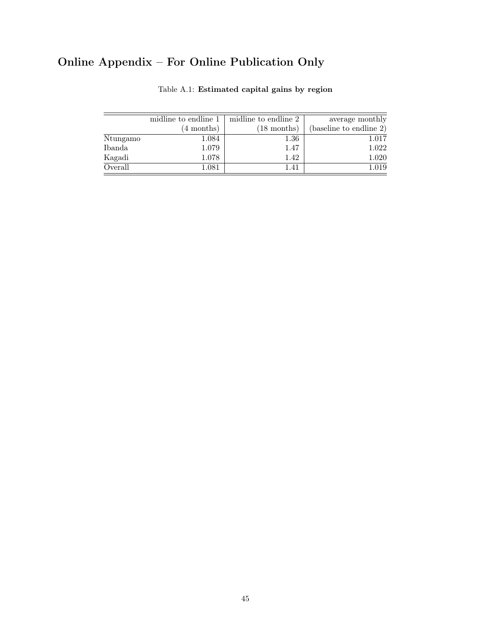# <span id="page-45-0"></span>Online Appendix – For Online Publication Only

|          | midline to endline 1 | midline to endline 2  | average monthly         |
|----------|----------------------|-----------------------|-------------------------|
|          | $(4$ months)         | $(18 \text{ months})$ | (baseline to endline 2) |
| Ntungamo | 1.084                | $1.36\,$              | 1.017                   |
| Ibanda   | 1.079                | 1.47                  | 1.022                   |
| Kagadi   | 1.078                | 1.42                  | 1.020                   |
| Overall  | 1.081                | 1.41                  | 1.019                   |

| Table A.1: Estimated capital gains by region |  |  |  |  |  |
|----------------------------------------------|--|--|--|--|--|
|----------------------------------------------|--|--|--|--|--|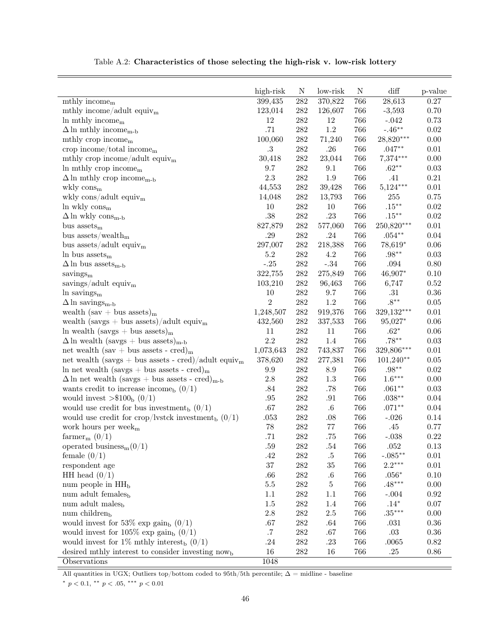<span id="page-46-0"></span>

|                                                                                          | high-risk      | $\mathbf N$      | low-risk      | $\mathbf N$ | $\mathrm{diff}$      | p-value      |
|------------------------------------------------------------------------------------------|----------------|------------------|---------------|-------------|----------------------|--------------|
| $mthly$ income <sub>m</sub>                                                              | 399, 435       | $\overline{282}$ | 370,822       | 766         | 28,613               | $0.27\,$     |
| mthly income/adult equiv <sub>m</sub>                                                    | 123,014        | $282\,$          | 126,607       | 766         | $-3,593$             | 0.70         |
| $\ln$ mthly income <sub>m</sub>                                                          | 12             | ${\bf 282}$      | 12            | 766         | $-.042$              | 0.73         |
| $\Delta$ ln mthly income <sub>m-b</sub>                                                  | .71            | $282\,$          | $1.2\,$       | 766         | $-.46**$             | 0.02         |
| mthly crop income $m$                                                                    | 100,060        | $282\,$          | 71,240        | 766         | 28,820***            | 0.00         |
| crop income/total income $_{\rm m}$                                                      | $.3\,$         | $282\,$          | $.26\,$       | 766         | $.047**$             | $0.01\,$     |
| mthly crop income/adult equiv <sub>m</sub>                                               | 30,418         | $282\,$          | 23,044        | 766         | 7,374***             | 0.00         |
| In mthly crop income $m$                                                                 | 9.7            | $282\,$          | 9.1           | 766         | $.62**$              | 0.03         |
| $\Delta$ ln mthly crop income <sub>m-b</sub>                                             | $2.3\,$        | $282\,$          | $1.9\,$       | 766         | .41                  | $0.21\,$     |
| wkly $\cos_{m}$                                                                          | 44,553         | $282\,$          | 39,428        | 766         | $5,124***$           | $0.01\,$     |
| wkly $\cos/\text{adult}$ equiv <sub>m</sub>                                              | 14,048         | $282\,$          | 13,793        | 766         | 255                  | 0.75         |
| $\ln$ wkly $\cos_{\rm m}$                                                                | 10             | ${\bf 282}$      | 10            | 766         | $.15***$             | 0.02         |
| $\Delta\ln$ wkly $\rm cons_{m\text{-}b}$                                                 | .38            | $282\,$          | $.23\,$       | 766         | $.15***$             | 0.02         |
| bus assets <sub>m</sub>                                                                  | 827,879        | $282\,$          | 577,060       | 766         | 250,820***           | $0.01\,$     |
| bus assets/wealth <sub>m</sub>                                                           | .29            | $282\,$          | .24           | 766         | $.054**$             | 0.04         |
| bus assets/adult equiv <sub>m</sub>                                                      | 297,007        | $282\,$          | 218,388       | 766         | 78,619*              | 0.06         |
| In bus $assetsm$                                                                         | $5.2\,$        | $282\,$          | $4.2\,$       | 766         | $.98^{\ast\ast}$     | $0.03\,$     |
| $\Delta$ ln bus assets <sub>m-b</sub>                                                    | $-.25$         | $282\,$          | $-.34$        | 766         | .094                 | 0.80         |
| savings $_{\rm m}$                                                                       | 322,755        | $282\,$          | 275,849       | 766         | 46,907*              | 0.10         |
| savings/adult equiv <sub>m</sub>                                                         | 103,210        | $282\,$          | 96,463        | 766         | 6,747                | $0.52\,$     |
| $ln$ savings <sub>m</sub>                                                                | 10             | ${\bf 282}$      | 9.7           | 766         | $.31\,$              | $0.36\,$     |
| $\Delta$ ln savings <sub>m-b</sub>                                                       | $\overline{2}$ | $282\,$          | $1.2\,$       | 766         | $.8***$              | $0.05\,$     |
| wealth $(sav + bus \; assets)_{m}$                                                       | 1,248,507      | $282\,$          | 919,376       | 766         | 329,132***           | $0.01\,$     |
| wealth (savgs + bus assets)/adult equiv <sub>m</sub>                                     | 432,560        | $282\,$          | 337,533       | 766         | 95,027*              | $0.06\,$     |
| $\ln$ wealth (savgs + bus assets) <sub>m</sub>                                           | 11             | $282\,$          | 11            | 766         | $.62*$               | $0.06\,$     |
| $\Delta \ln$ wealth (savgs + bus assets) <sub>m-b</sub>                                  | $2.2\,$        | $282\,$          | 1.4           | 766         | $.78**$              | $0.03\,$     |
| net wealth (sav + bus assets - cred) <sub>m</sub>                                        | 1,073,643      | $282\,$          | 743,837       | 766         | 329,806***           | $0.01\,$     |
| net wealth (savgs + bus assets - cred)/adult equiv <sub>m</sub>                          | 378,620        | $282\,$          | 277,381       | 766         | $101,240**$          | $0.05\,$     |
|                                                                                          | 9.9            | $282\,$          | $8.9\,$       | 766         | $.98^{\ast\ast}$     | $0.02\,$     |
| ln net wealth (savgs + bus assets - cred) <sub>m</sub>                                   | $2.8\,$        | $282\,$          | $1.3\,$       | 766         | $1.6***$             | $0.00\,$     |
| $\Delta$ ln net wealth (savgs + bus assets - cred) <sub>m-b</sub>                        | .84            | $282\,$          | $.78\,$       | 766         | $.061**$             | $0.03\,$     |
| wants credit to increase income <sub>b</sub> $(0/1)$                                     |                | $282\,$          |               | 766         |                      |              |
| would invest $> $100b$ (0/1)<br>would use credit for bus investment <sub>b</sub> $(0/1)$ | .95<br>$.67\,$ | $282\,$          | .91<br>$.6\,$ | 766         | $.038**$<br>$.071**$ | 0.04<br>0.04 |
|                                                                                          |                |                  |               |             |                      |              |
| would use credit for crop/lystck investment <sub>b</sub> $(0/1)$                         | $.053\,$       | $282\,$          | .08           | 766         | $-.026$              | 0.14         |
| work hours per week <sub>m</sub>                                                         | $78\,$         | $282\,$          | $77\,$        | 766         | $.45\,$              | 0.77         |
| farmer <sub>m</sub> $(0/1)$                                                              | .71            | $282\,$          | .75           | 766         | $-.038$              | 0.22         |
| operated business <sub>m</sub> $(0/1)$                                                   | $.59\,$        | $282\,$          | $.54\,$       | 766         | $.052\,$             | $0.13\,$     |
| female $(0/1)$                                                                           | .42            | $282\,$          | $.5\,$        | 766         | $-.085**$            | $0.01\,$     |
| respondent age                                                                           | $37\,$         | $282\,$          | 35            | 766         | $2.2***$             | $0.01\,$     |
| HH head $(0/1)$                                                                          | .66            | $282\,$          | $.6\,$        | 766         | $.056^{\ast}$        | $0.10\,$     |
| num people in HH <sub>b</sub>                                                            | $5.5\,$        | $282\,$          | $\bf 5$       | 766         | $.48***$             | $0.00\,$     |
| num adult females <sub>b</sub>                                                           | $1.1\,$        | $282\,$          | 1.1           | 766         | $-.004$              | $\rm 0.92$   |
| num adult males <sub>b</sub>                                                             | $1.5\,$        | $282\,$          | 1.4           | 766         | $.14^*$              | 0.07         |
| num children <sub>b</sub>                                                                | $2.8\,$        | $282\,$          | $2.5\,$       | 766         | $.35***$             | $0.00\,$     |
| would invest for 53% exp gain <sub>b</sub> $(0/1)$                                       | .67            | $282\,$          | .64           | 766         | $.031\,$             | $0.36\,$     |
| would invest for 105% exp gain <sub>b</sub> $(0/1)$                                      | $\cdot 7$      | $282\,$          | .67           | 766         | $.03\,$              | $0.36\,$     |
| would invest for 1% mthly interest <sub>b</sub> $(0/1)$                                  | $.24\,$        | $282\,$          | .23           | 766         | .0065                | 0.82         |
| desired mthly interest to consider investing now <sub>b</sub>                            | 16             | $282\,$          | 16            | 766         | $.25\,$              | $0.86\,$     |
| Observations                                                                             | 1048           |                  |               |             |                      |              |

Table A.2: Characteristics of those selecting the high-risk v. low-risk lottery

All quantities in UGX; Outliers top/bottom coded to 95th/5th percentile;  $\Delta$  = midline - baseline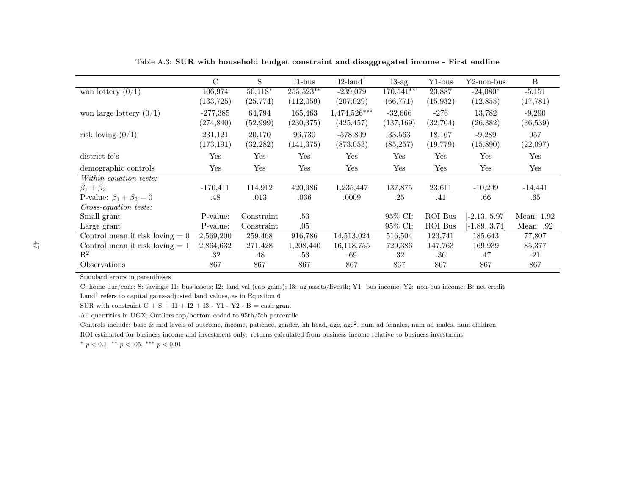|                                   | $\overline{C}$ | S          | $I1-bus$   | $I2$ -land <sup>†</sup> | $I3-ag$    | Y1-bus    | $Y2$ -non-bus   | $\mathbf{B}$ |
|-----------------------------------|----------------|------------|------------|-------------------------|------------|-----------|-----------------|--------------|
| won lottery $(0/1)$               | 106,974        | $50,118*$  | 255,523**  | $-239,079$              | 170,541**  | 23,887    | $-24,080*$      | $-5,151$     |
|                                   | (133, 725)     | (25, 774)  | (112,059)  | (207, 029)              | (66, 771)  | (15, 932) | (12, 855)       | (17, 781)    |
| won large lottery $(0/1)$         | $-277,385$     | 64,794     | 165,463    | $1,474,526***$          | $-32,666$  | $-276$    | 13,782          | $-9,290$     |
|                                   | (274, 840)     | (52,999)   | (230, 375) | (425, 457)              | (137, 169) | (32,704)  | (26, 382)       | (36,539)     |
| risk loving $(0/1)$               | 231,121        | 20,170     | 96,730     | $-578,809$              | 33,563     | 18,167    | $-9,289$        | 957          |
|                                   | (173, 191)     | (32, 282)  | (141, 375) | (873,053)               | (85, 257)  | (19, 779) | (15,890)        | (22,097)     |
| district fe's                     | Yes            | Yes        | Yes        | Yes                     | Yes        | Yes       | Yes             | Yes          |
| demographic controls              | Yes            | Yes        | Yes        | Yes                     | Yes        | Yes       | Yes             | Yes          |
| Within-equation tests:            |                |            |            |                         |            |           |                 |              |
| $\beta_1+\beta_2$                 | $-170,411$     | 114,912    | 420,986    | 1,235,447               | 137,875    | 23,611    | $-10,299$       | $-14,441$    |
| P-value: $\beta_1 + \beta_2 = 0$  | .48            | .013       | .036       | .0009                   | .25        | .41       | .66             | .65          |
| Cross-equation tests:             |                |            |            |                         |            |           |                 |              |
| Small grant                       | P-value:       | Constraint | .53        |                         | 95% CI:    | ROI Bus   | $[-2.13, 5.97]$ | Mean: 1.92   |
| Large grant                       | P-value:       | Constraint | .05        |                         | 95\% CI:   | ROI Bus   | $[-1.89, 3.74]$ | Mean: .92    |
| Control mean if risk loving $= 0$ | 2,569,200      | 259,468    | 916,786    | 14,513,024              | 516,504    | 123,741   | 185,643         | 77,807       |
| Control mean if risk loving $= 1$ | 2,864,632      | 271,428    | 1,208,440  | 16,118,755              | 729,386    | 147,763   | 169,939         | 85,377       |
| $\mathbf{R}^2$                    | .32            | .48        | .53        | .69                     | .32        | .36       | .47             | .21          |
| Observations                      | 867            | 867        | 867        | 867                     | 867        | 867       | 867             | 867          |

Table A.3: SUR with household budget constraint and disaggregated income - First endline

C: home dur/cons; S: savings; I1: bus assets; I2: land val (cap gains); I3: ag assets/livestk; Y1: bus income; Y2: non-bus income; B: net credit

Land<sup>†</sup> refers to capital gains-adjusted land values, as in Equation [6](#page-13-0) SUR with constraint  $C + S + I1 + I2 + I3 - Y1 - Y2 - B =$  cash grant

All quantities in UGX; Outliers top/bottom coded to 95th/5th percentile

Controls include: base & mid levels of outcome, income, patience, gender, hh head, age, age<sup>2</sup>, num ad females, num ad males, num children

<span id="page-47-0"></span>ROI estimated for business income and investment only: returns calculated from business income relative to business investment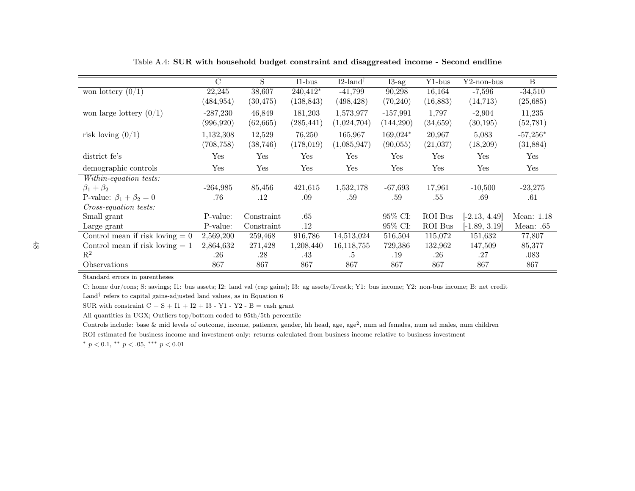|                                   | $\rm C$    | S          | $I1-bus$   | $I2$ -land <sup>†</sup> | $I3-ag$    | Y1-bus         | $Y2$ -non-bus   | $\mathbf{B}$ |
|-----------------------------------|------------|------------|------------|-------------------------|------------|----------------|-----------------|--------------|
| won lottery $\overline{(0/1)}$    | 22,245     | 38,607     | $240,412*$ | $-41,799$               | 90,298     | 16,164         | $-7,596$        | $-34,510$    |
|                                   | (484, 954) | (30, 475)  | (138, 843) | (498, 428)              | (70, 240)  | (16, 883)      | (14, 713)       | (25, 685)    |
| won large lottery $(0/1)$         | $-287,230$ | 46,849     | 181,203    | 1,573,977               | $-157,991$ | 1,797          | $-2,904$        | 11,235       |
|                                   | (996, 920) | (62, 665)  | (285, 441) | (1,024,704)             | (144,290)  | (34, 659)      | (30, 195)       | (52, 781)    |
| risk loving $(0/1)$               | 1,132,308  | 12,529     | 76,250     | 165,967                 | 169,024*   | 20,967         | 5,083           | $-57,256*$   |
|                                   | (708, 758) | (38, 746)  | (178, 019) | (1,085,947)             | (90,055)   | (21,037)       | (18,209)        | (31,884)     |
| district fe's                     | Yes        | Yes        | Yes        | Yes                     | Yes        | Yes            | Yes             | Yes          |
| demographic controls              | Yes        | Yes        | Yes        | Yes                     | Yes        | Yes            | Yes             | Yes          |
| Within-equation tests:            |            |            |            |                         |            |                |                 |              |
| $\beta_1+\beta_2$                 | $-264,985$ | 85,456     | 421,615    | 1,532,178               | $-67,693$  | 17,961         | $-10,500$       | $-23,275$    |
| P-value: $\beta_1 + \beta_2 = 0$  | .76        | .12        | .09        | .59                     | .59        | .55            | .69             | .61          |
| <i>Cross-equation tests:</i>      |            |            |            |                         |            |                |                 |              |
| Small grant                       | P-value:   | Constraint | .65        |                         | 95% CI:    | <b>ROI</b> Bus | $-2.13, 4.49$   | Mean: 1.18   |
| Large grant                       | P-value:   | Constraint | $.12\,$    |                         | 95\% CI:   | ROI Bus        | $[-1.89, 3.19]$ | Mean: $.65$  |
| Control mean if risk loving $= 0$ | 2,569,200  | 259,468    | 916,786    | 14,513,024              | 516,504    | 115,072        | 151,632         | 77,807       |
| Control mean if risk loving $= 1$ | 2,864,632  | 271,428    | 1,208,440  | 16, 118, 755            | 729,386    | 132,962        | 147,509         | 85,377       |
| $\mathrm{R}^2$                    | .26        | .28        | .43        | .5                      | .19        | $.26\,$        | .27             | .083         |
| Observations                      | 867        | 867        | 867        | 867                     | 867        | 867            | 867             | 867          |

Table A.4: SUR with household budget constraint and disaggreated income - Second endline

C: home dur/cons; S: savings; I1: bus assets; I2: land val (cap gains); I3: ag assets/livestk; Y1: bus income; Y2: non-bus income; B: net credit

Land<sup>†</sup> refers to capital gains-adjusted land values, as in Equation [6](#page-13-0)

SUR with constraint  $C + S + I1 + I2 + I3 - Y1 - Y2 - B =$  cash grant

All quantities in UGX; Outliers top/bottom coded to 95th/5th percentile

Controls include: base & mid levels of outcome, income, patience, gender, hh head, age, age<sup>2</sup>, num ad females, num ad males, num children

<span id="page-48-0"></span>ROI estimated for business income and investment only: returns calculated from business income relative to business investment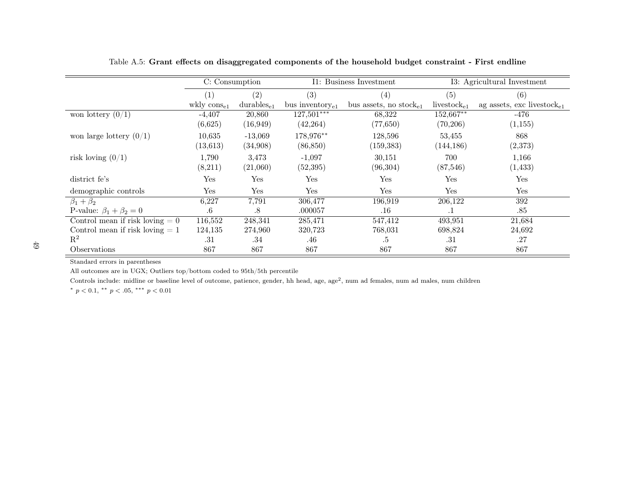|                                   | C: Consumption  |                        |                       | I1: Business Investment            |                         | I3: Agricultural Investment            |
|-----------------------------------|-----------------|------------------------|-----------------------|------------------------------------|-------------------------|----------------------------------------|
|                                   | (1)             | (2)                    | (3)                   | (4)                                | (5)                     | (6)                                    |
|                                   | wkly $\cos_{1}$ | durables <sub>e1</sub> | bus inventory $_{e1}$ | bus assets, no stock <sub>e1</sub> | livestock <sub>e1</sub> | ag assets, exc livestock <sub>e1</sub> |
| won lottery $(0/1)$               | $-4,407$        | 20,860                 | 127,501***            | 68,322                             | 152,667**               | -476                                   |
|                                   | (6,625)         | (16, 949)              | (42, 264)             | (77, 650)                          | (70, 206)               | (1, 155)                               |
| won large lottery $(0/1)$         | 10,635          | $-13,069$              | 178,976**             | 128,596                            | 53,455                  | 868                                    |
|                                   | (13, 613)       | (34,908)               | (86, 850)             | (159, 383)                         | (144, 186)              | (2,373)                                |
| risk loving $(0/1)$               | 1,790           | 3,473                  | $-1,097$              | 30,151                             | 700                     | 1,166                                  |
|                                   | (8,211)         | (21,060)               | (52, 395)             | (96, 304)                          | (87, 546)               | (1, 433)                               |
| district fe's                     | Yes             | Yes                    | Yes                   | Yes                                | Yes                     | Yes                                    |
| demographic controls              | Yes             | Yes                    | Yes                   | Yes                                | Yes                     | Yes                                    |
| $\beta_1 + \beta_2$               | 6,227           | 7,791                  | 306,477               | 196,919                            | 206,122                 | 392                                    |
| P-value: $\beta_1 + \beta_2 = 0$  | $.6\,$          | $.8\,$                 | .000057               | $.16\,$                            | .1                      | .85                                    |
| Control mean if risk loving $= 0$ | 116,552         | 248,341                | 285,471               | 547,412                            | 493,951                 | 21,684                                 |
| Control mean if risk loving $= 1$ | 124,135         | 274,960                | 320,723               | 768,031                            | 698,824                 | 24,692                                 |
| $\mathbf{R}^2$                    | .31             | .34                    | .46                   | .5                                 | .31                     | .27                                    |
| Observations                      | 867             | 867                    | 867                   | 867                                | 867                     | 867                                    |

Table A.5: Grant effects on disaggregated components of the household budget constraint - First endline

<span id="page-49-0"></span>All outcomes are in UGX; Outliers top/bottom coded to 95th/5th percentile

Controls include: midline or baseline level of outcome, patience, gender, hh head, age, age<sup>2</sup>, num ad females, num ad males, num children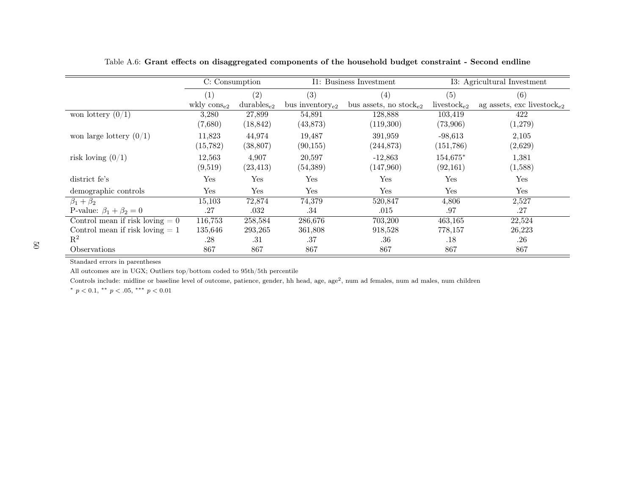|                                   | C: Consumption   |                 | I1: Business Investment |                                    | I3: Agricultural Investment |                                        |
|-----------------------------------|------------------|-----------------|-------------------------|------------------------------------|-----------------------------|----------------------------------------|
|                                   | (1)              | (2)             | (3)                     | (4)                                | (5)                         | (6)                                    |
|                                   | wkly $\cos_{e2}$ | $durables_{e2}$ | bus inventory $_{e2}$   | bus assets, no stock <sub>e2</sub> | livestock <sub>e2</sub>     | ag assets, exc livestock <sub>e2</sub> |
| won lottery $(0/1)$               | 3,280            | 27,899          | 54,891                  | 128,888                            | 103,419                     | 422                                    |
|                                   | (7,680)          | (18, 842)       | (43, 873)               | (119,300)                          | (73,906)                    | (1,279)                                |
| won large lottery $(0/1)$         | 11,823           | 44,974          | 19,487                  | 391,959                            | $-98.613$                   | 2,105                                  |
|                                   | (15, 782)        | (38, 807)       | (90, 155)               | (244, 873)                         | (151,786)                   | (2,629)                                |
| risk loving $(0/1)$               | 12,563           | 4,907           | 20,597                  | $-12,863$                          | 154,675*                    | 1,381                                  |
|                                   | (9,519)          | (23, 413)       | (54, 389)               | (147,960)                          | (92,161)                    | (1,588)                                |
| district fe's                     | Yes              | Yes             | Yes                     | Yes                                | Yes                         | Yes                                    |
| demographic controls              | Yes              | Yes             | Yes                     | Yes                                | Yes                         | Yes                                    |
| $\beta_1+\beta_2$                 | 15,103           | 72,874          | 74,379                  | 520,847                            | 4,806                       | 2,527                                  |
| P-value: $\beta_1 + \beta_2 = 0$  | .27              | .032            | .34                     | .015                               | .97                         | .27                                    |
| Control mean if risk loving $= 0$ | 116,753          | 258,584         | 286,676                 | 703,200                            | 463,165                     | 22,524                                 |
| Control mean if risk loving $= 1$ | 135,646          | 293,265         | 361,808                 | 918,528                            | 778,157                     | 26,223                                 |
| $\mathbf{R}^2$                    | .28              | .31             | .37                     | .36                                | .18                         | .26                                    |
| Observations                      | 867              | 867             | 867                     | 867                                | 867                         | 867                                    |

Table A.6: Grant effects on disaggregated components of the household budget constraint - Second endline

All outcomes are in UGX; Outliers top/bottom coded to 95th/5th percentile

<span id="page-50-0"></span>Controls include: midline or baseline level of outcome, patience, gender, hh head, age, age<sup>2</sup>, num ad females, num ad males, num children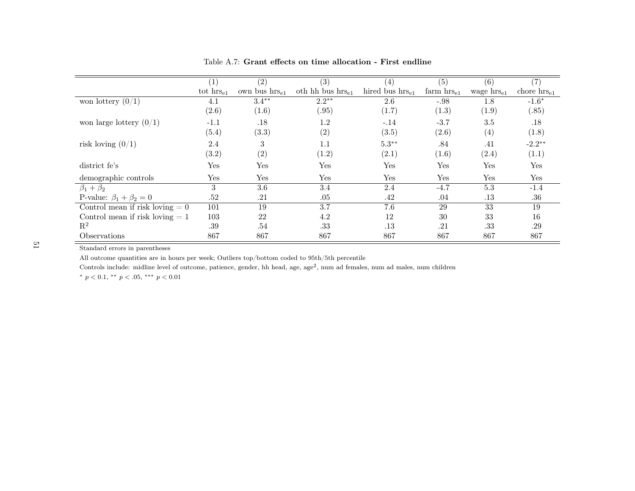|                                   |                | (2)                | (3)                   | (4)                  | (5)             | (6)             | $\left( 7\right)$       |
|-----------------------------------|----------------|--------------------|-----------------------|----------------------|-----------------|-----------------|-------------------------|
|                                   | tot $hrs_{e1}$ | own bus $hrs_{e1}$ | oth hh bus $hrs_{e1}$ | hired bus $hrs_{e1}$ | farm $hrs_{e1}$ | wage $hrs_{e1}$ | chore $\text{hrs}_{e1}$ |
| won lottery $(0/1)$               | 4.1            | $3.4***$           | $2.2***$              | 2.6                  | $-.98$          | 1.8             | $-1.6*$                 |
|                                   | (2.6)          | (1.6)              | (.95)                 | (1.7)                | (1.3)           | (1.9)           | (.85)                   |
| won large lottery $(0/1)$         | $-1.1$         | .18                | 1.2                   | $-.14$               | $-3.7$          | 3.5             | .18                     |
|                                   | (5.4)          | (3.3)              | (2)                   | (3.5)                | (2.6)           | (4)             | (1.8)                   |
| risk loving $(0/1)$               | 2.4            | 3                  | 1.1                   | $5.3***$             | .84             | .41             | $-2.2**$                |
|                                   | (3.2)          | (2)                | (1.2)                 | (2.1)                | (1.6)           | (2.4)           | (1.1)                   |
| district fe's                     | Yes            | Yes                | Yes                   | Yes                  | Yes             | Yes             | Yes                     |
| demographic controls              | Yes            | Yes                | Yes                   | Yes                  | Yes             | Yes             | Yes                     |
| $\beta_1 + \beta_2$               | 3              | 3.6                | 3.4                   | 2.4                  | $-4.7$          | 5.3             | $-1.4$                  |
| P-value: $\beta_1 + \beta_2 = 0$  | .52            | .21                | .05                   | .42                  | .04             | .13             | $.36\,$                 |
| Control mean if risk loving $= 0$ | 101            | 19                 | 3.7                   | 7.6                  | 29              | 33              | 19                      |
| Control mean if risk loving $= 1$ | 103            | 22                 | 4.2                   | 12                   | 30              | 33              | 16                      |
| $\mathbf{R}^2$                    | .39            | .54                | .33                   | .13                  | .21             | .33             | .29                     |
| Observations                      | 867            | 867                | 867                   | 867                  | 867             | 867             | 867                     |

<span id="page-51-0"></span>Table A.7: Grant effects on time allocation - First endline

All outcome quantities are in hours per week; Outliers top/bottom coded to 95th/5th percentile

Controls include: midline level of outcome, patience, gender, hh head, age, age<sup>2</sup>, num ad females, num ad males, num children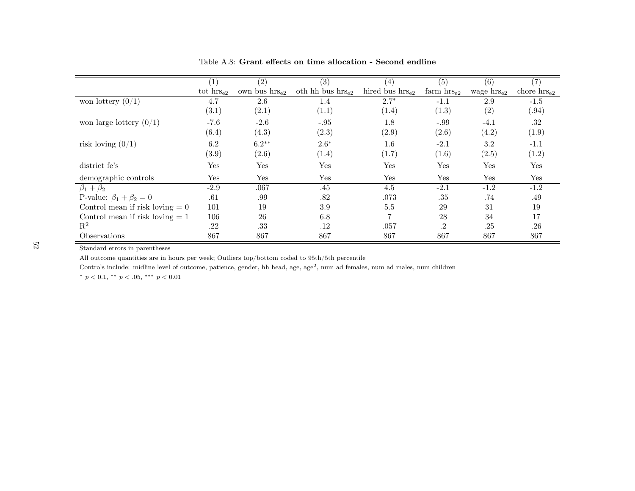|                                   |                       | (2)                | (3)                   | (4)                  | (5)             | (6)                    |                         |
|-----------------------------------|-----------------------|--------------------|-----------------------|----------------------|-----------------|------------------------|-------------------------|
|                                   | tot $\text{hrs}_{e2}$ | own bus $hrs_{e2}$ | oth hh bus $hrs_{e2}$ | hired bus $hrs_{e2}$ | farm $hrs_{e2}$ | wage $\text{hrs}_{e2}$ | chore $\text{hrs}_{e2}$ |
| won lottery $(0/1)$               | 4.7                   | 2.6                | 1.4                   | $2.7*$               | $-1.1$          | 2.9                    | $-1.5$                  |
|                                   | (3.1)                 | (2.1)              | (1.1)                 | (1.4)                | (1.3)           | (2)                    | (0.94)                  |
| won large lottery $(0/1)$         | $-7.6$                | $-2.6$             | $-.95$                | 1.8                  | $-.99$          | $-4.1$                 | .32                     |
|                                   | (6.4)                 | (4.3)              | (2.3)                 | (2.9)                | (2.6)           | (4.2)                  | (1.9)                   |
| risk loving $(0/1)$               | 6.2                   | $6.2**$            | $2.6*$                | $1.6\,$              | $-2.1$          | 3.2                    | $-1.1$                  |
|                                   | (3.9)                 | (2.6)              | (1.4)                 | (1.7)                | (1.6)           | (2.5)                  | (1.2)                   |
| district fe's                     | Yes                   | Yes                | Yes                   | Yes                  | Yes             | Yes                    | Yes                     |
| demographic controls              | Yes                   | Yes                | Yes                   | Yes                  | Yes             | Yes                    | Yes                     |
| $\beta_1 + \beta_2$               | $-2.9$                | .067               | .45                   | 4.5                  | $-2.1$          | $-1.2$                 | $-1.2$                  |
| P-value: $\beta_1 + \beta_2 = 0$  | .61                   | .99                | .82                   | .073                 | .35             | .74                    | .49                     |
| Control mean if risk loving $= 0$ | 101                   | 19                 | 3.9                   | $5.5\,$              | 29              | 31                     | 19                      |
| Control mean if risk loving $= 1$ | 106                   | 26                 | 6.8                   | $\overline{7}$       | 28              | 34                     | 17                      |
| $\mathbf{R}^2$                    | .22                   | .33                | .12                   | .057                 | .2              | .25                    | .26                     |
| <i><b>Observations</b></i>        | 867                   | 867                | 867                   | 867                  | 867             | 867                    | 867                     |

Table A.8: Grant effects on time allocation - Second endline

All outcome quantities are in hours per week; Outliers top/bottom coded to 95th/5th percentile

<span id="page-52-0"></span>Controls include: midline level of outcome, patience, gender, hh head, age, age<sup>2</sup>, num ad females, num ad males, num children